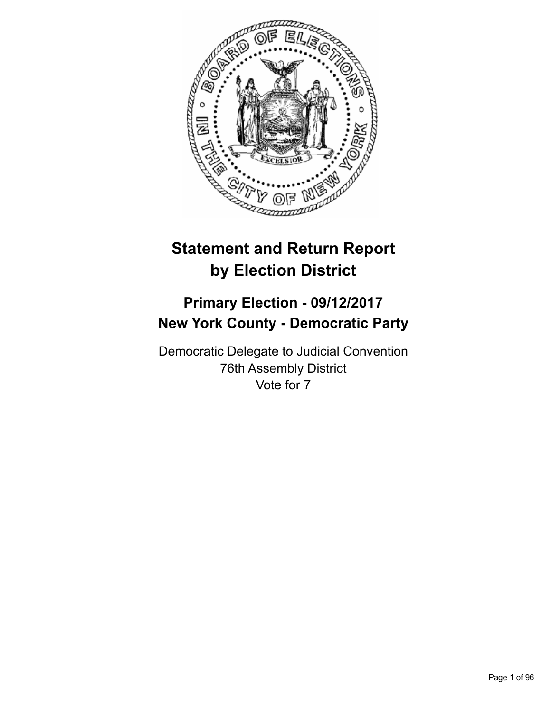

# **Statement and Return Report by Election District**

## **Primary Election - 09/12/2017 New York County - Democratic Party**

Democratic Delegate to Judicial Convention 76th Assembly District Vote for 7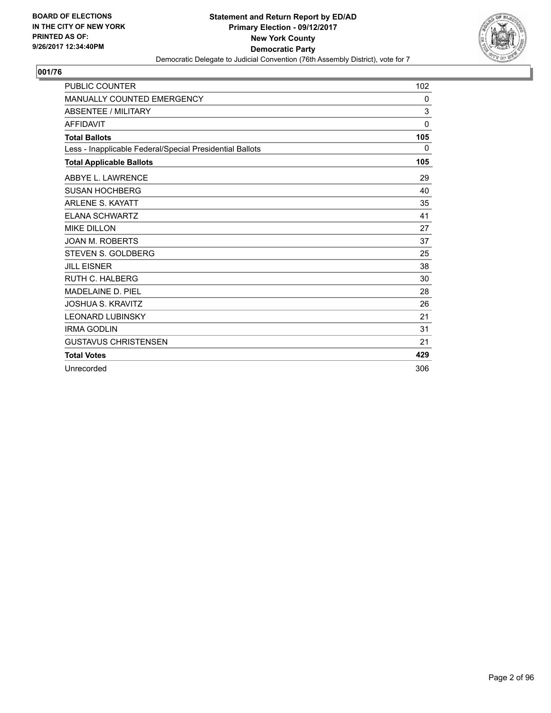

| <b>PUBLIC COUNTER</b>                                    | 102          |
|----------------------------------------------------------|--------------|
| <b>MANUALLY COUNTED EMERGENCY</b>                        | $\mathbf{0}$ |
| <b>ABSENTEE / MILITARY</b>                               | 3            |
| <b>AFFIDAVIT</b>                                         | $\Omega$     |
| <b>Total Ballots</b>                                     | 105          |
| Less - Inapplicable Federal/Special Presidential Ballots | 0            |
| <b>Total Applicable Ballots</b>                          | 105          |
| ABBYE L. LAWRENCE                                        | 29           |
| <b>SUSAN HOCHBERG</b>                                    | 40           |
| <b>ARLENE S. KAYATT</b>                                  | 35           |
| <b>ELANA SCHWARTZ</b>                                    | 41           |
| <b>MIKE DILLON</b>                                       | 27           |
| <b>JOAN M. ROBERTS</b>                                   | 37           |
| <b>STEVEN S. GOLDBERG</b>                                | 25           |
| <b>JILL EISNER</b>                                       | 38           |
| <b>RUTH C. HALBERG</b>                                   | 30           |
| <b>MADELAINE D. PIEL</b>                                 | 28           |
| <b>JOSHUA S. KRAVITZ</b>                                 | 26           |
| <b>LEONARD LUBINSKY</b>                                  | 21           |
| <b>IRMA GODLIN</b>                                       | 31           |
| <b>GUSTAVUS CHRISTENSEN</b>                              | 21           |
| <b>Total Votes</b>                                       | 429          |
| Unrecorded                                               | 306          |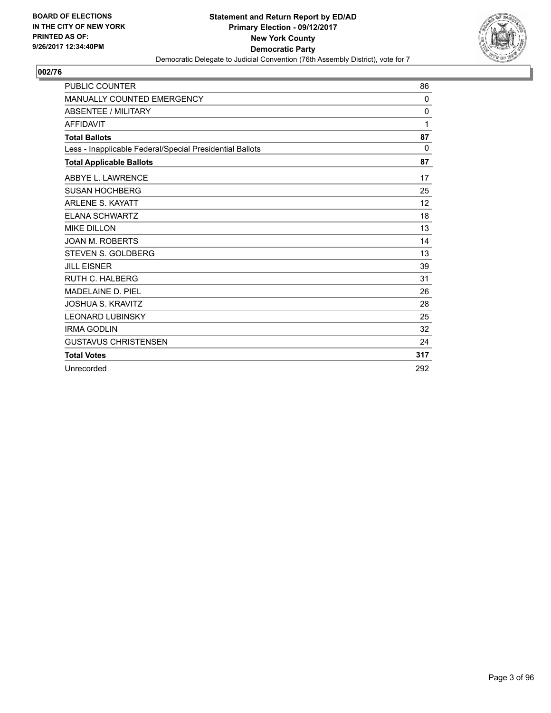

| <b>PUBLIC COUNTER</b>                                    | 86  |
|----------------------------------------------------------|-----|
| MANUALLY COUNTED EMERGENCY                               | 0   |
| <b>ABSENTEE / MILITARY</b>                               | 0   |
| <b>AFFIDAVIT</b>                                         | 1   |
| <b>Total Ballots</b>                                     | 87  |
| Less - Inapplicable Federal/Special Presidential Ballots | 0   |
| <b>Total Applicable Ballots</b>                          | 87  |
| ABBYE L. LAWRENCE                                        | 17  |
| <b>SUSAN HOCHBERG</b>                                    | 25  |
| <b>ARLENE S. KAYATT</b>                                  | 12  |
| <b>ELANA SCHWARTZ</b>                                    | 18  |
| <b>MIKE DILLON</b>                                       | 13  |
| <b>JOAN M. ROBERTS</b>                                   | 14  |
| <b>STEVEN S. GOLDBERG</b>                                | 13  |
| <b>JILL EISNER</b>                                       | 39  |
| <b>RUTH C. HALBERG</b>                                   | 31  |
| <b>MADELAINE D. PIEL</b>                                 | 26  |
| <b>JOSHUA S. KRAVITZ</b>                                 | 28  |
| <b>LEONARD LUBINSKY</b>                                  | 25  |
| <b>IRMA GODLIN</b>                                       | 32  |
| <b>GUSTAVUS CHRISTENSEN</b>                              | 24  |
| <b>Total Votes</b>                                       | 317 |
| Unrecorded                                               | 292 |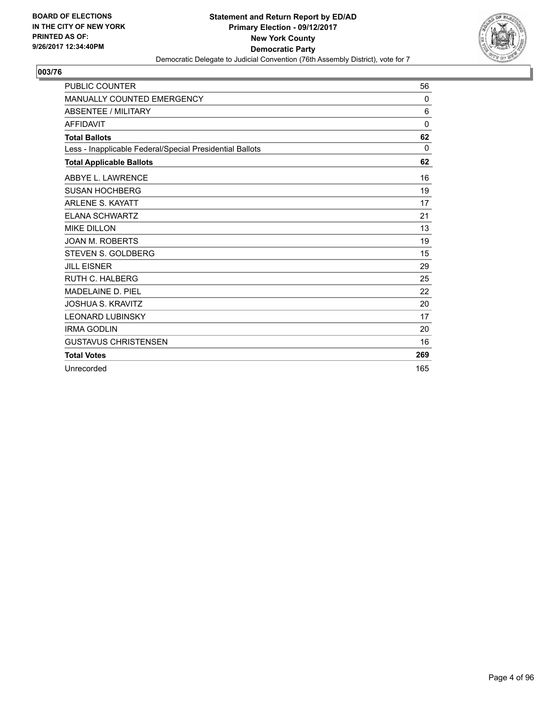

| <b>PUBLIC COUNTER</b>                                    | 56           |
|----------------------------------------------------------|--------------|
| <b>MANUALLY COUNTED EMERGENCY</b>                        | 0            |
| <b>ABSENTEE / MILITARY</b>                               | 6            |
| <b>AFFIDAVIT</b>                                         | $\mathbf{0}$ |
| <b>Total Ballots</b>                                     | 62           |
| Less - Inapplicable Federal/Special Presidential Ballots | $\Omega$     |
| <b>Total Applicable Ballots</b>                          | 62           |
| ABBYE L. LAWRENCE                                        | 16           |
| <b>SUSAN HOCHBERG</b>                                    | 19           |
| <b>ARLENE S. KAYATT</b>                                  | 17           |
| <b>ELANA SCHWARTZ</b>                                    | 21           |
| <b>MIKE DILLON</b>                                       | 13           |
| <b>JOAN M. ROBERTS</b>                                   | 19           |
| <b>STEVEN S. GOLDBERG</b>                                | 15           |
| <b>JILL EISNER</b>                                       | 29           |
| <b>RUTH C. HALBERG</b>                                   | 25           |
| <b>MADELAINE D. PIEL</b>                                 | 22           |
| <b>JOSHUA S. KRAVITZ</b>                                 | 20           |
| <b>LEONARD LUBINSKY</b>                                  | 17           |
| <b>IRMA GODLIN</b>                                       | 20           |
| <b>GUSTAVUS CHRISTENSEN</b>                              | 16           |
| <b>Total Votes</b>                                       | 269          |
| Unrecorded                                               | 165          |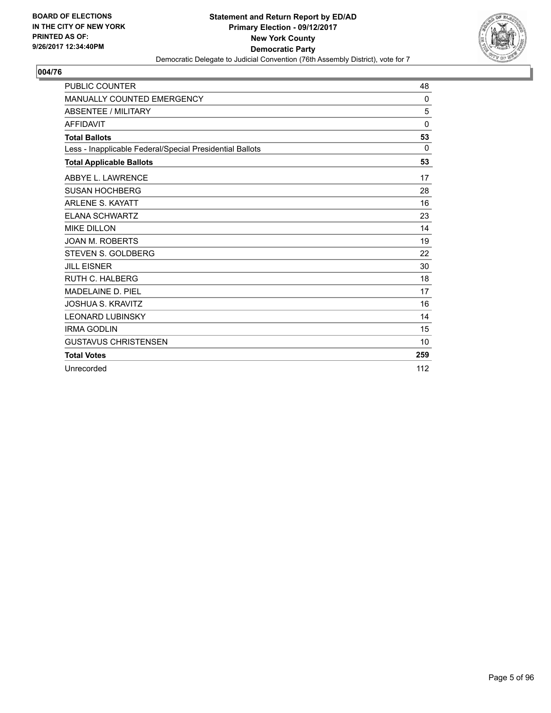

| <b>PUBLIC COUNTER</b>                                    | 48           |
|----------------------------------------------------------|--------------|
| <b>MANUALLY COUNTED EMERGENCY</b>                        | $\Omega$     |
| <b>ABSENTEE / MILITARY</b>                               | 5            |
| <b>AFFIDAVIT</b>                                         | $\mathbf{0}$ |
| <b>Total Ballots</b>                                     | 53           |
| Less - Inapplicable Federal/Special Presidential Ballots | 0            |
| <b>Total Applicable Ballots</b>                          | 53           |
| ABBYE L. LAWRENCE                                        | 17           |
| <b>SUSAN HOCHBERG</b>                                    | 28           |
| <b>ARLENE S. KAYATT</b>                                  | 16           |
| <b>ELANA SCHWARTZ</b>                                    | 23           |
| <b>MIKE DILLON</b>                                       | 14           |
| <b>JOAN M. ROBERTS</b>                                   | 19           |
| <b>STEVEN S. GOLDBERG</b>                                | 22           |
| <b>JILL EISNER</b>                                       | 30           |
| <b>RUTH C. HALBERG</b>                                   | 18           |
| <b>MADELAINE D. PIEL</b>                                 | 17           |
| <b>JOSHUA S. KRAVITZ</b>                                 | 16           |
| <b>LEONARD LUBINSKY</b>                                  | 14           |
| <b>IRMA GODLIN</b>                                       | 15           |
| <b>GUSTAVUS CHRISTENSEN</b>                              | 10           |
| <b>Total Votes</b>                                       | 259          |
| Unrecorded                                               | 112          |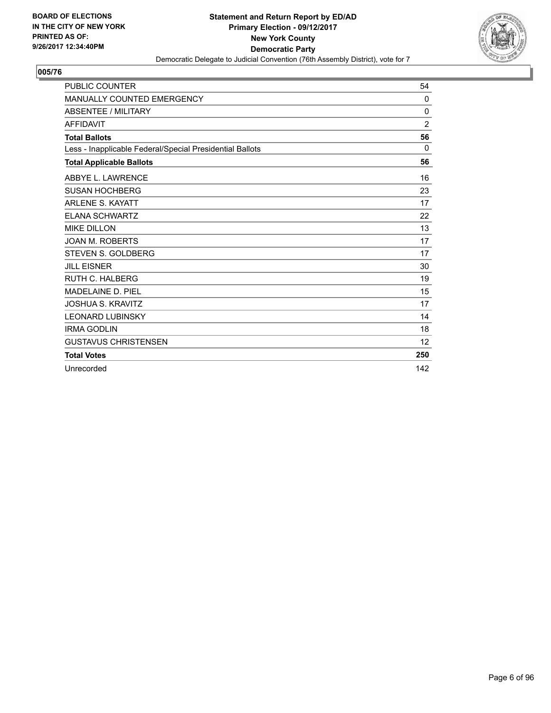

| <b>PUBLIC COUNTER</b>                                    | 54             |
|----------------------------------------------------------|----------------|
| <b>MANUALLY COUNTED EMERGENCY</b>                        | $\Omega$       |
| <b>ABSENTEE / MILITARY</b>                               | 0              |
| <b>AFFIDAVIT</b>                                         | $\overline{2}$ |
| <b>Total Ballots</b>                                     | 56             |
| Less - Inapplicable Federal/Special Presidential Ballots | 0              |
| <b>Total Applicable Ballots</b>                          | 56             |
| ABBYE L. LAWRENCE                                        | 16             |
| <b>SUSAN HOCHBERG</b>                                    | 23             |
| <b>ARLENE S. KAYATT</b>                                  | 17             |
| <b>ELANA SCHWARTZ</b>                                    | 22             |
| <b>MIKE DILLON</b>                                       | 13             |
| <b>JOAN M. ROBERTS</b>                                   | 17             |
| <b>STEVEN S. GOLDBERG</b>                                | 17             |
| <b>JILL EISNER</b>                                       | 30             |
| <b>RUTH C. HALBERG</b>                                   | 19             |
| <b>MADELAINE D. PIEL</b>                                 | 15             |
| <b>JOSHUA S. KRAVITZ</b>                                 | 17             |
| <b>LEONARD LUBINSKY</b>                                  | 14             |
| <b>IRMA GODLIN</b>                                       | 18             |
| <b>GUSTAVUS CHRISTENSEN</b>                              | 12             |
| <b>Total Votes</b>                                       | 250            |
| Unrecorded                                               | 142            |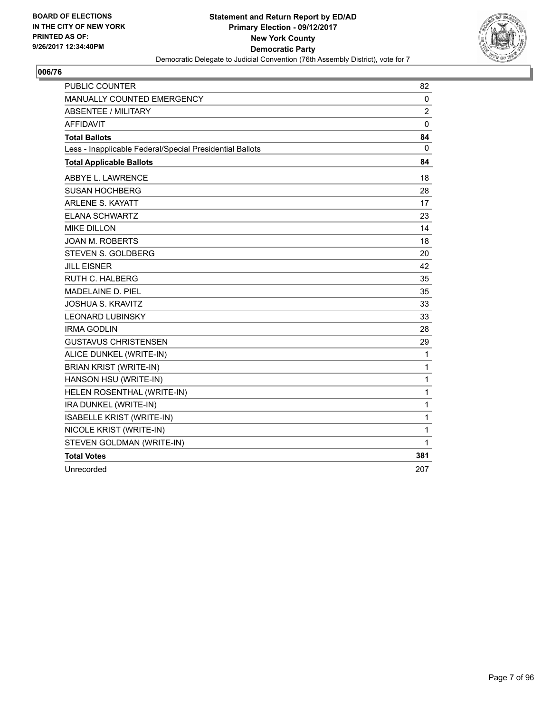

| <b>PUBLIC COUNTER</b>                                    | 82             |
|----------------------------------------------------------|----------------|
| <b>MANUALLY COUNTED EMERGENCY</b>                        | 0              |
| ABSENTEE / MILITARY                                      | $\overline{2}$ |
| <b>AFFIDAVIT</b>                                         | $\mathbf 0$    |
| <b>Total Ballots</b>                                     | 84             |
| Less - Inapplicable Federal/Special Presidential Ballots | 0              |
| <b>Total Applicable Ballots</b>                          | 84             |
| ABBYE L. LAWRENCE                                        | 18             |
| <b>SUSAN HOCHBERG</b>                                    | 28             |
| <b>ARLENE S. KAYATT</b>                                  | 17             |
| <b>ELANA SCHWARTZ</b>                                    | 23             |
| <b>MIKE DILLON</b>                                       | 14             |
| <b>JOAN M. ROBERTS</b>                                   | 18             |
| STEVEN S. GOLDBERG                                       | 20             |
| <b>JILL EISNER</b>                                       | 42             |
| RUTH C. HALBERG                                          | 35             |
| MADELAINE D. PIEL                                        | 35             |
| <b>JOSHUA S. KRAVITZ</b>                                 | 33             |
| <b>LEONARD LUBINSKY</b>                                  | 33             |
| <b>IRMA GODLIN</b>                                       | 28             |
| <b>GUSTAVUS CHRISTENSEN</b>                              | 29             |
| ALICE DUNKEL (WRITE-IN)                                  | $\mathbf{1}$   |
| <b>BRIAN KRIST (WRITE-IN)</b>                            | 1              |
| HANSON HSU (WRITE-IN)                                    | 1              |
| HELEN ROSENTHAL (WRITE-IN)                               | 1              |
| IRA DUNKEL (WRITE-IN)                                    | 1              |
| ISABELLE KRIST (WRITE-IN)                                | 1              |
| NICOLE KRIST (WRITE-IN)                                  | 1              |
| STEVEN GOLDMAN (WRITE-IN)                                | 1              |
| <b>Total Votes</b>                                       | 381            |
| Unrecorded                                               | 207            |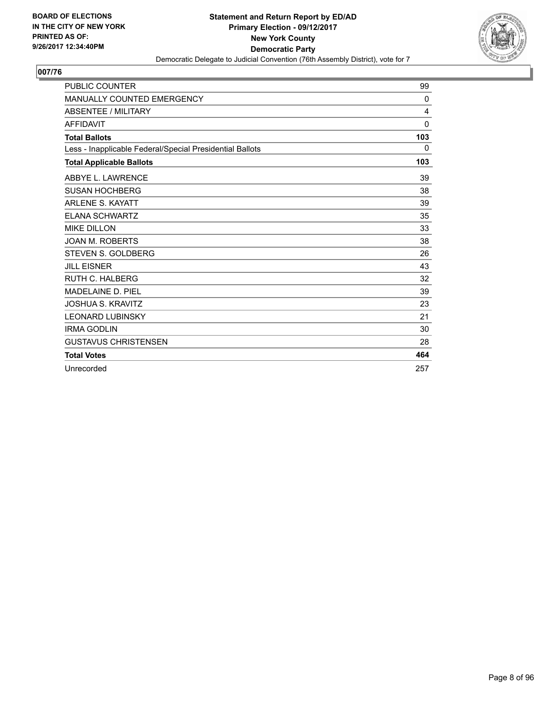

| <b>PUBLIC COUNTER</b>                                    | 99           |
|----------------------------------------------------------|--------------|
| <b>MANUALLY COUNTED EMERGENCY</b>                        | $\Omega$     |
| <b>ABSENTEE / MILITARY</b>                               | 4            |
| <b>AFFIDAVIT</b>                                         | $\mathbf{0}$ |
| <b>Total Ballots</b>                                     | 103          |
| Less - Inapplicable Federal/Special Presidential Ballots | $\mathbf{0}$ |
| <b>Total Applicable Ballots</b>                          | 103          |
| ABBYE L. LAWRENCE                                        | 39           |
| <b>SUSAN HOCHBERG</b>                                    | 38           |
| <b>ARLENE S. KAYATT</b>                                  | 39           |
| <b>ELANA SCHWARTZ</b>                                    | 35           |
| <b>MIKE DILLON</b>                                       | 33           |
| <b>JOAN M. ROBERTS</b>                                   | 38           |
| <b>STEVEN S. GOLDBERG</b>                                | 26           |
| <b>JILL EISNER</b>                                       | 43           |
| <b>RUTH C. HALBERG</b>                                   | 32           |
| <b>MADELAINE D. PIEL</b>                                 | 39           |
| <b>JOSHUA S. KRAVITZ</b>                                 | 23           |
| <b>LEONARD LUBINSKY</b>                                  | 21           |
| <b>IRMA GODLIN</b>                                       | 30           |
| <b>GUSTAVUS CHRISTENSEN</b>                              | 28           |
| <b>Total Votes</b>                                       | 464          |
| Unrecorded                                               | 257          |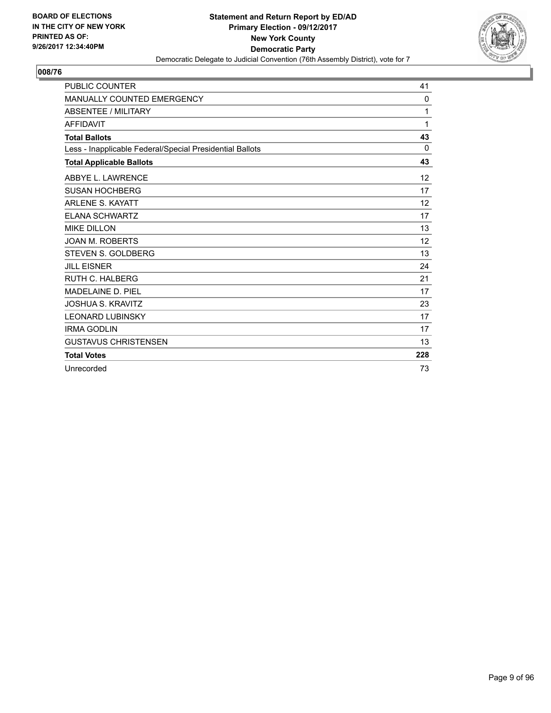

| <b>PUBLIC COUNTER</b>                                    | 41           |
|----------------------------------------------------------|--------------|
| <b>MANUALLY COUNTED EMERGENCY</b>                        | 0            |
| <b>ABSENTEE / MILITARY</b>                               | 1            |
| <b>AFFIDAVIT</b>                                         | 1            |
| <b>Total Ballots</b>                                     | 43           |
| Less - Inapplicable Federal/Special Presidential Ballots | $\mathbf{0}$ |
| <b>Total Applicable Ballots</b>                          | 43           |
| ABBYE L. LAWRENCE                                        | 12           |
| <b>SUSAN HOCHBERG</b>                                    | 17           |
| <b>ARLENE S. KAYATT</b>                                  | 12           |
| <b>ELANA SCHWARTZ</b>                                    | 17           |
| <b>MIKE DILLON</b>                                       | 13           |
| <b>JOAN M. ROBERTS</b>                                   | 12           |
| <b>STEVEN S. GOLDBERG</b>                                | 13           |
| <b>JILL EISNER</b>                                       | 24           |
| <b>RUTH C. HALBERG</b>                                   | 21           |
| <b>MADELAINE D. PIEL</b>                                 | 17           |
| <b>JOSHUA S. KRAVITZ</b>                                 | 23           |
| <b>LEONARD LUBINSKY</b>                                  | 17           |
| <b>IRMA GODLIN</b>                                       | 17           |
| <b>GUSTAVUS CHRISTENSEN</b>                              | 13           |
| <b>Total Votes</b>                                       | 228          |
| Unrecorded                                               | 73           |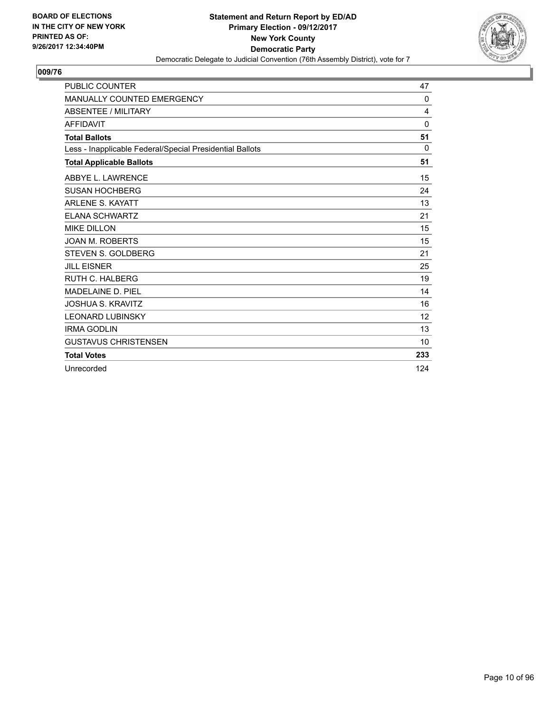

| <b>PUBLIC COUNTER</b>                                    | 47           |
|----------------------------------------------------------|--------------|
| <b>MANUALLY COUNTED EMERGENCY</b>                        | $\mathbf{0}$ |
| <b>ABSENTEE / MILITARY</b>                               | 4            |
| <b>AFFIDAVIT</b>                                         | $\Omega$     |
| <b>Total Ballots</b>                                     | 51           |
| Less - Inapplicable Federal/Special Presidential Ballots | $\Omega$     |
| <b>Total Applicable Ballots</b>                          | 51           |
| ABBYE L. LAWRENCE                                        | 15           |
| <b>SUSAN HOCHBERG</b>                                    | 24           |
| <b>ARLENE S. KAYATT</b>                                  | 13           |
| <b>ELANA SCHWARTZ</b>                                    | 21           |
| <b>MIKE DILLON</b>                                       | 15           |
| <b>JOAN M. ROBERTS</b>                                   | 15           |
| <b>STEVEN S. GOLDBERG</b>                                | 21           |
| <b>JILL EISNER</b>                                       | 25           |
| <b>RUTH C. HALBERG</b>                                   | 19           |
| <b>MADELAINE D. PIEL</b>                                 | 14           |
| <b>JOSHUA S. KRAVITZ</b>                                 | 16           |
| <b>LEONARD LUBINSKY</b>                                  | 12           |
| <b>IRMA GODLIN</b>                                       | 13           |
| <b>GUSTAVUS CHRISTENSEN</b>                              | 10           |
| <b>Total Votes</b>                                       | 233          |
| Unrecorded                                               | 124          |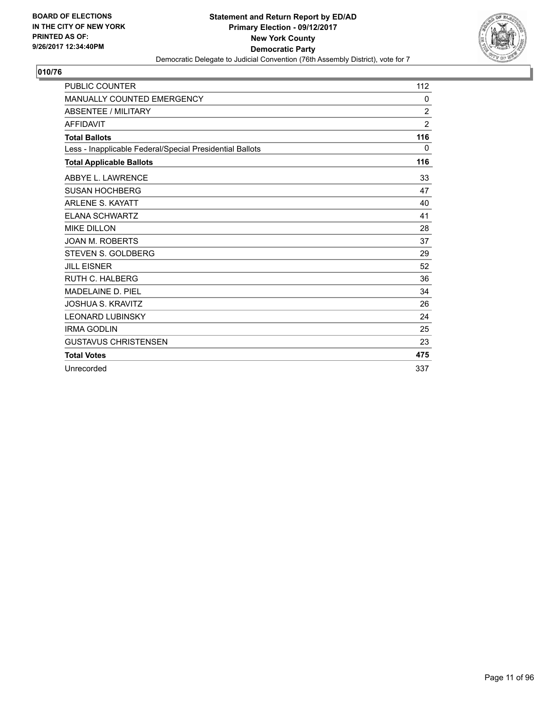

| <b>PUBLIC COUNTER</b>                                    | 112            |
|----------------------------------------------------------|----------------|
| <b>MANUALLY COUNTED EMERGENCY</b>                        | 0              |
| <b>ABSENTEE / MILITARY</b>                               | $\overline{c}$ |
| <b>AFFIDAVIT</b>                                         | $\overline{2}$ |
| <b>Total Ballots</b>                                     | 116            |
| Less - Inapplicable Federal/Special Presidential Ballots | $\mathbf{0}$   |
| <b>Total Applicable Ballots</b>                          | 116            |
| ABBYE L. LAWRENCE                                        | 33             |
| <b>SUSAN HOCHBERG</b>                                    | 47             |
| <b>ARLENE S. KAYATT</b>                                  | 40             |
| <b>ELANA SCHWARTZ</b>                                    | 41             |
| <b>MIKE DILLON</b>                                       | 28             |
| <b>JOAN M. ROBERTS</b>                                   | 37             |
| <b>STEVEN S. GOLDBERG</b>                                | 29             |
| <b>JILL EISNER</b>                                       | 52             |
| <b>RUTH C. HALBERG</b>                                   | 36             |
| <b>MADELAINE D. PIEL</b>                                 | 34             |
| <b>JOSHUA S. KRAVITZ</b>                                 | 26             |
| <b>LEONARD LUBINSKY</b>                                  | 24             |
| <b>IRMA GODLIN</b>                                       | 25             |
| <b>GUSTAVUS CHRISTENSEN</b>                              | 23             |
| <b>Total Votes</b>                                       | 475            |
| Unrecorded                                               | 337            |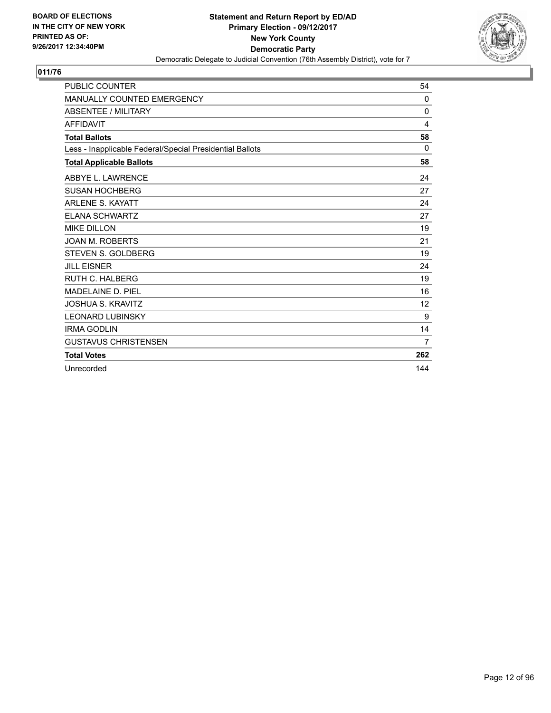

| <b>PUBLIC COUNTER</b>                                    | 54             |
|----------------------------------------------------------|----------------|
| <b>MANUALLY COUNTED EMERGENCY</b>                        | $\Omega$       |
| <b>ABSENTEE / MILITARY</b>                               | 0              |
| <b>AFFIDAVIT</b>                                         | 4              |
| <b>Total Ballots</b>                                     | 58             |
| Less - Inapplicable Federal/Special Presidential Ballots | $\Omega$       |
| <b>Total Applicable Ballots</b>                          | 58             |
| ABBYE L. LAWRENCE                                        | 24             |
| <b>SUSAN HOCHBERG</b>                                    | 27             |
| <b>ARLENE S. KAYATT</b>                                  | 24             |
| <b>ELANA SCHWARTZ</b>                                    | 27             |
| <b>MIKE DILLON</b>                                       | 19             |
| <b>JOAN M. ROBERTS</b>                                   | 21             |
| STEVEN S. GOLDBERG                                       | 19             |
| <b>JILL EISNER</b>                                       | 24             |
| RUTH C. HALBERG                                          | 19             |
| <b>MADELAINE D. PIEL</b>                                 | 16             |
| <b>JOSHUA S. KRAVITZ</b>                                 | 12             |
| <b>LEONARD LUBINSKY</b>                                  | 9              |
| <b>IRMA GODLIN</b>                                       | 14             |
| <b>GUSTAVUS CHRISTENSEN</b>                              | $\overline{7}$ |
| <b>Total Votes</b>                                       | 262            |
| Unrecorded                                               | 144            |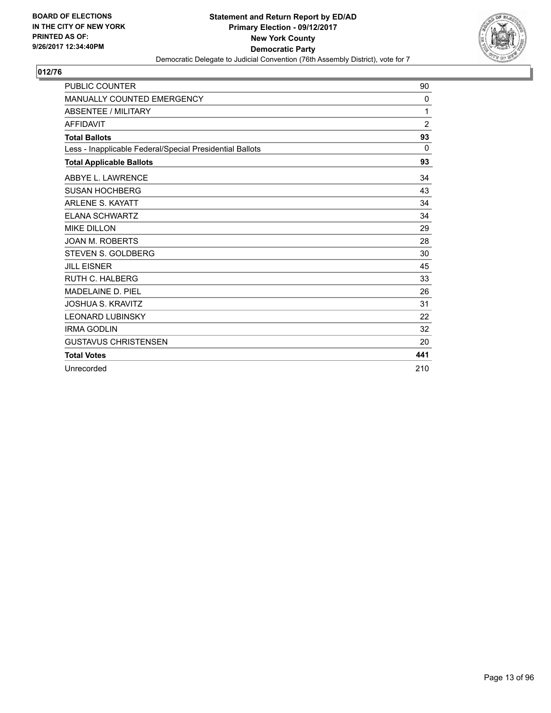

| <b>PUBLIC COUNTER</b>                                    | 90             |
|----------------------------------------------------------|----------------|
| <b>MANUALLY COUNTED EMERGENCY</b>                        | 0              |
| <b>ABSENTEE / MILITARY</b>                               | 1              |
| <b>AFFIDAVIT</b>                                         | $\overline{2}$ |
| <b>Total Ballots</b>                                     | 93             |
| Less - Inapplicable Federal/Special Presidential Ballots | 0              |
| <b>Total Applicable Ballots</b>                          | 93             |
| ABBYE L. LAWRENCE                                        | 34             |
| <b>SUSAN HOCHBERG</b>                                    | 43             |
| <b>ARLENE S. KAYATT</b>                                  | 34             |
| <b>ELANA SCHWARTZ</b>                                    | 34             |
| <b>MIKE DILLON</b>                                       | 29             |
| <b>JOAN M. ROBERTS</b>                                   | 28             |
| <b>STEVEN S. GOLDBERG</b>                                | 30             |
| <b>JILL EISNER</b>                                       | 45             |
| <b>RUTH C. HALBERG</b>                                   | 33             |
| <b>MADELAINE D. PIEL</b>                                 | 26             |
| <b>JOSHUA S. KRAVITZ</b>                                 | 31             |
| <b>LEONARD LUBINSKY</b>                                  | 22             |
| <b>IRMA GODLIN</b>                                       | 32             |
| <b>GUSTAVUS CHRISTENSEN</b>                              | 20             |
| <b>Total Votes</b>                                       | 441            |
| Unrecorded                                               | 210            |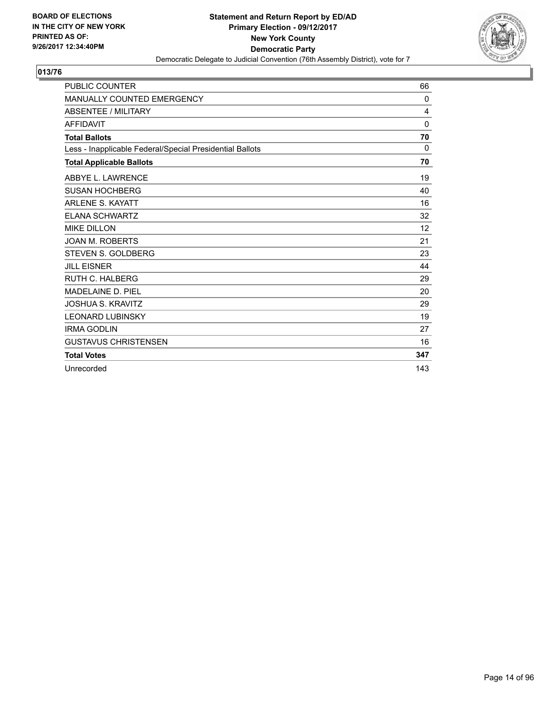

| <b>PUBLIC COUNTER</b>                                    | 66       |
|----------------------------------------------------------|----------|
| <b>MANUALLY COUNTED EMERGENCY</b>                        | 0        |
| <b>ABSENTEE / MILITARY</b>                               | 4        |
| <b>AFFIDAVIT</b>                                         | $\Omega$ |
| <b>Total Ballots</b>                                     | 70       |
| Less - Inapplicable Federal/Special Presidential Ballots | 0        |
| <b>Total Applicable Ballots</b>                          | 70       |
| ABBYE L. LAWRENCE                                        | 19       |
| <b>SUSAN HOCHBERG</b>                                    | 40       |
| <b>ARLENE S. KAYATT</b>                                  | 16       |
| <b>ELANA SCHWARTZ</b>                                    | 32       |
| <b>MIKE DILLON</b>                                       | 12       |
| <b>JOAN M. ROBERTS</b>                                   | 21       |
| STEVEN S. GOLDBERG                                       | 23       |
| <b>JILL EISNER</b>                                       | 44       |
| <b>RUTH C. HALBERG</b>                                   | 29       |
| <b>MADELAINE D. PIEL</b>                                 | 20       |
| JOSHUA S. KRAVITZ                                        | 29       |
| <b>LEONARD LUBINSKY</b>                                  | 19       |
| <b>IRMA GODLIN</b>                                       | 27       |
| <b>GUSTAVUS CHRISTENSEN</b>                              | 16       |
| <b>Total Votes</b>                                       | 347      |
| Unrecorded                                               | 143      |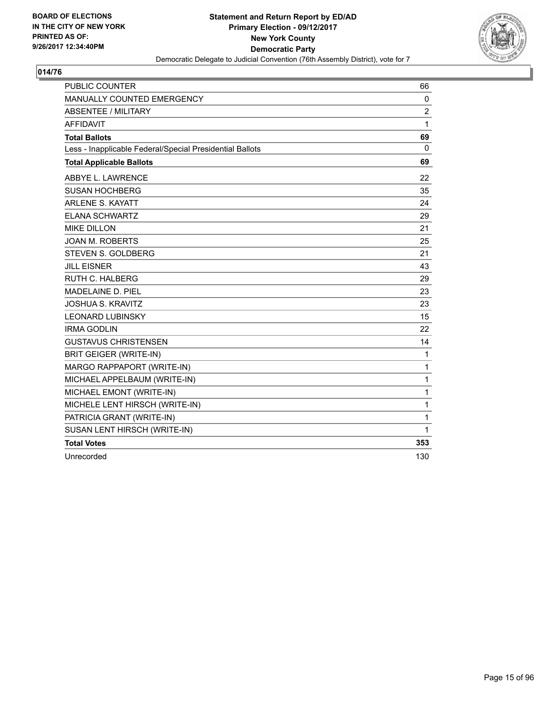

| <b>PUBLIC COUNTER</b>                                    | 66           |
|----------------------------------------------------------|--------------|
| MANUALLY COUNTED EMERGENCY                               | 0            |
| <b>ABSENTEE / MILITARY</b>                               | 2            |
| <b>AFFIDAVIT</b>                                         | 1            |
| <b>Total Ballots</b>                                     | 69           |
| Less - Inapplicable Federal/Special Presidential Ballots | 0            |
| <b>Total Applicable Ballots</b>                          | 69           |
| ABBYE L. LAWRENCE                                        | 22           |
| <b>SUSAN HOCHBERG</b>                                    | 35           |
| ARLENE S. KAYATT                                         | 24           |
| <b>ELANA SCHWARTZ</b>                                    | 29           |
| <b>MIKE DILLON</b>                                       | 21           |
| <b>JOAN M. ROBERTS</b>                                   | 25           |
| STEVEN S. GOLDBERG                                       | 21           |
| <b>JILL EISNER</b>                                       | 43           |
| <b>RUTH C. HALBERG</b>                                   | 29           |
| <b>MADELAINE D. PIEL</b>                                 | 23           |
| <b>JOSHUA S. KRAVITZ</b>                                 | 23           |
| <b>LEONARD LUBINSKY</b>                                  | 15           |
| <b>IRMA GODLIN</b>                                       | 22           |
| <b>GUSTAVUS CHRISTENSEN</b>                              | 14           |
| <b>BRIT GEIGER (WRITE-IN)</b>                            | $\mathbf{1}$ |
| MARGO RAPPAPORT (WRITE-IN)                               | 1            |
| MICHAEL APPELBAUM (WRITE-IN)                             | 1            |
| MICHAEL EMONT (WRITE-IN)                                 | 1            |
| MICHELE LENT HIRSCH (WRITE-IN)                           | 1            |
| PATRICIA GRANT (WRITE-IN)                                | 1            |
| SUSAN LENT HIRSCH (WRITE-IN)                             | 1            |
| <b>Total Votes</b>                                       | 353          |
| Unrecorded                                               | 130          |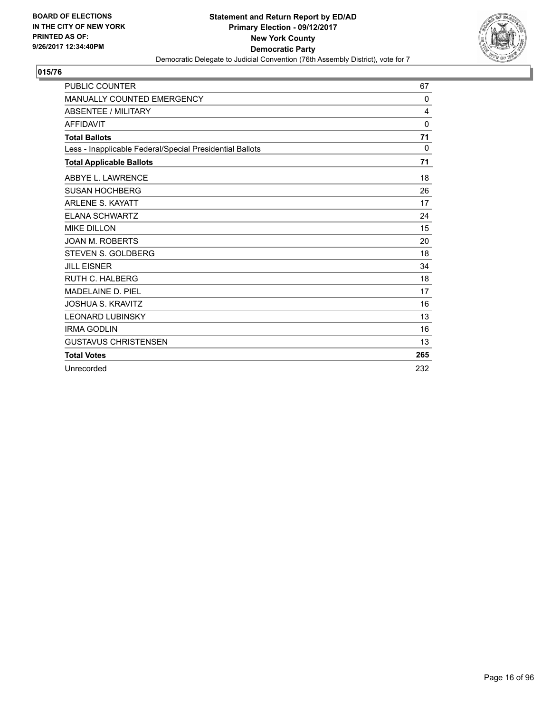

| <b>PUBLIC COUNTER</b>                                    | 67           |
|----------------------------------------------------------|--------------|
| <b>MANUALLY COUNTED EMERGENCY</b>                        | $\mathbf{0}$ |
| <b>ABSENTEE / MILITARY</b>                               | 4            |
| <b>AFFIDAVIT</b>                                         | $\Omega$     |
| <b>Total Ballots</b>                                     | 71           |
| Less - Inapplicable Federal/Special Presidential Ballots | 0            |
| <b>Total Applicable Ballots</b>                          | 71           |
| ABBYE L. LAWRENCE                                        | 18           |
| <b>SUSAN HOCHBERG</b>                                    | 26           |
| <b>ARLENE S. KAYATT</b>                                  | 17           |
| <b>ELANA SCHWARTZ</b>                                    | 24           |
| <b>MIKE DILLON</b>                                       | 15           |
| <b>JOAN M. ROBERTS</b>                                   | 20           |
| <b>STEVEN S. GOLDBERG</b>                                | 18           |
| <b>JILL EISNER</b>                                       | 34           |
| <b>RUTH C. HALBERG</b>                                   | 18           |
| MADELAINE D. PIEL                                        | 17           |
| <b>JOSHUA S. KRAVITZ</b>                                 | 16           |
| <b>LEONARD LUBINSKY</b>                                  | 13           |
| <b>IRMA GODLIN</b>                                       | 16           |
| <b>GUSTAVUS CHRISTENSEN</b>                              | 13           |
| <b>Total Votes</b>                                       | 265          |
| Unrecorded                                               | 232          |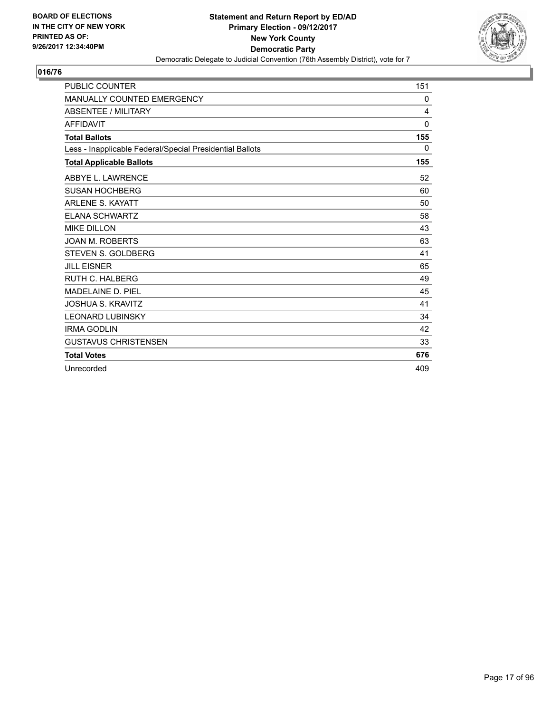

| <b>PUBLIC COUNTER</b>                                    | 151          |
|----------------------------------------------------------|--------------|
| <b>MANUALLY COUNTED EMERGENCY</b>                        | 0            |
| <b>ABSENTEE / MILITARY</b>                               | 4            |
| <b>AFFIDAVIT</b>                                         | $\mathbf{0}$ |
| <b>Total Ballots</b>                                     | 155          |
| Less - Inapplicable Federal/Special Presidential Ballots | 0            |
| <b>Total Applicable Ballots</b>                          | 155          |
| ABBYE L. LAWRENCE                                        | 52           |
| <b>SUSAN HOCHBERG</b>                                    | 60           |
| <b>ARLENE S. KAYATT</b>                                  | 50           |
| <b>ELANA SCHWARTZ</b>                                    | 58           |
| <b>MIKE DILLON</b>                                       | 43           |
| <b>JOAN M. ROBERTS</b>                                   | 63           |
| <b>STEVEN S. GOLDBERG</b>                                | 41           |
| <b>JILL EISNER</b>                                       | 65           |
| <b>RUTH C. HALBERG</b>                                   | 49           |
| MADELAINE D. PIEL                                        | 45           |
| <b>JOSHUA S. KRAVITZ</b>                                 | 41           |
| <b>LEONARD LUBINSKY</b>                                  | 34           |
| <b>IRMA GODLIN</b>                                       | 42           |
| <b>GUSTAVUS CHRISTENSEN</b>                              | 33           |
| <b>Total Votes</b>                                       | 676          |
| Unrecorded                                               | 409          |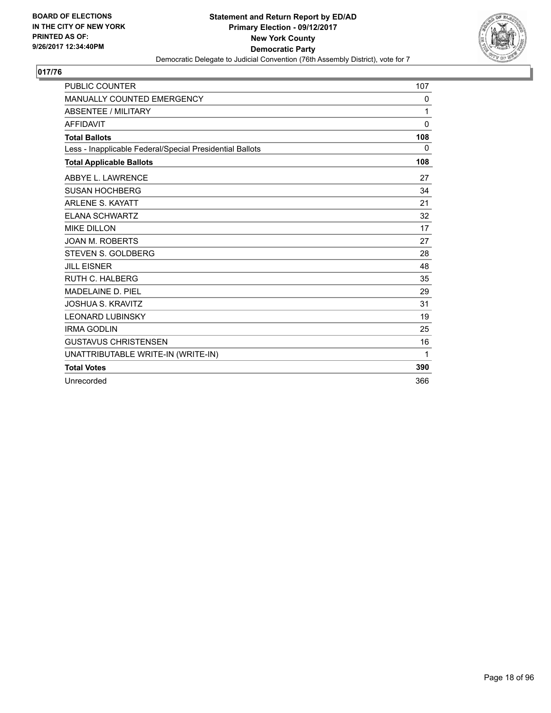

| PUBLIC COUNTER                                           | 107      |
|----------------------------------------------------------|----------|
| <b>MANUALLY COUNTED EMERGENCY</b>                        | 0        |
| <b>ABSENTEE / MILITARY</b>                               | 1        |
| <b>AFFIDAVIT</b>                                         | $\Omega$ |
| <b>Total Ballots</b>                                     | 108      |
| Less - Inapplicable Federal/Special Presidential Ballots | 0        |
| <b>Total Applicable Ballots</b>                          | 108      |
| ABBYE L. LAWRENCE                                        | 27       |
| <b>SUSAN HOCHBERG</b>                                    | 34       |
| <b>ARLENE S. KAYATT</b>                                  | 21       |
| <b>ELANA SCHWARTZ</b>                                    | 32       |
| <b>MIKE DILLON</b>                                       | 17       |
| <b>JOAN M. ROBERTS</b>                                   | 27       |
| STEVEN S. GOLDBERG                                       | 28       |
| <b>JILL EISNER</b>                                       | 48       |
| <b>RUTH C. HALBERG</b>                                   | 35       |
| <b>MADELAINE D. PIEL</b>                                 | 29       |
| <b>JOSHUA S. KRAVITZ</b>                                 | 31       |
| <b>LEONARD LUBINSKY</b>                                  | 19       |
| <b>IRMA GODLIN</b>                                       | 25       |
| <b>GUSTAVUS CHRISTENSEN</b>                              | 16       |
| UNATTRIBUTABLE WRITE-IN (WRITE-IN)                       | 1        |
| <b>Total Votes</b>                                       | 390      |
| Unrecorded                                               | 366      |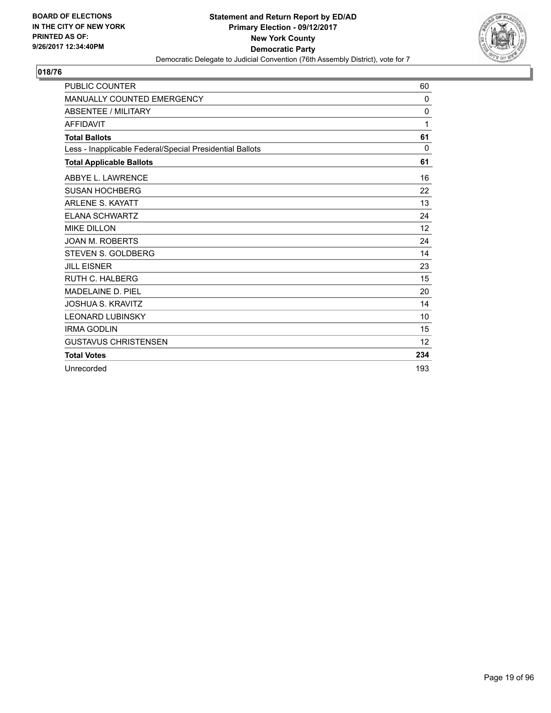

| <b>PUBLIC COUNTER</b>                                    | 60           |
|----------------------------------------------------------|--------------|
| <b>MANUALLY COUNTED EMERGENCY</b>                        | $\mathbf{0}$ |
| <b>ABSENTEE / MILITARY</b>                               | 0            |
| <b>AFFIDAVIT</b>                                         | 1            |
| <b>Total Ballots</b>                                     | 61           |
| Less - Inapplicable Federal/Special Presidential Ballots | 0            |
| <b>Total Applicable Ballots</b>                          | 61           |
| ABBYE L. LAWRENCE                                        | 16           |
| <b>SUSAN HOCHBERG</b>                                    | 22           |
| <b>ARLENE S. KAYATT</b>                                  | 13           |
| <b>ELANA SCHWARTZ</b>                                    | 24           |
| <b>MIKE DILLON</b>                                       | 12           |
| <b>JOAN M. ROBERTS</b>                                   | 24           |
| STEVEN S. GOLDBERG                                       | 14           |
| <b>JILL EISNER</b>                                       | 23           |
| <b>RUTH C. HALBERG</b>                                   | 15           |
| <b>MADELAINE D. PIEL</b>                                 | 20           |
| <b>JOSHUA S. KRAVITZ</b>                                 | 14           |
| <b>LEONARD LUBINSKY</b>                                  | 10           |
| <b>IRMA GODLIN</b>                                       | 15           |
| <b>GUSTAVUS CHRISTENSEN</b>                              | 12           |
| <b>Total Votes</b>                                       | 234          |
| Unrecorded                                               | 193          |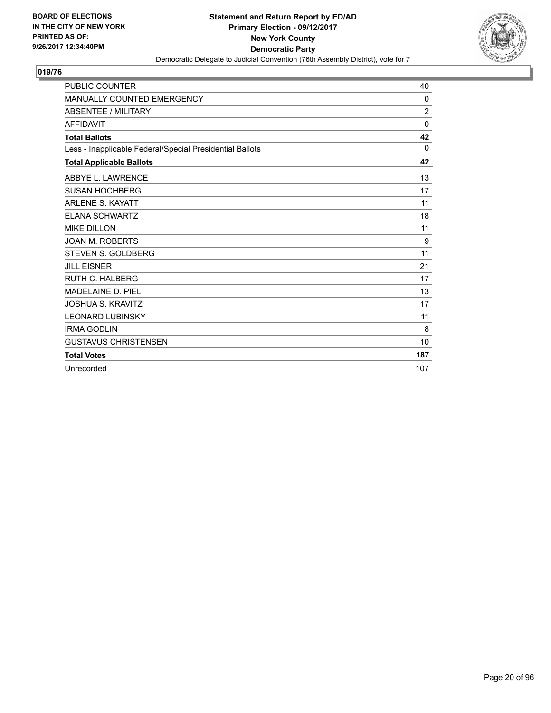

| <b>PUBLIC COUNTER</b>                                    | 40             |
|----------------------------------------------------------|----------------|
| <b>MANUALLY COUNTED EMERGENCY</b>                        | $\mathbf{0}$   |
| <b>ABSENTEE / MILITARY</b>                               | $\overline{2}$ |
| <b>AFFIDAVIT</b>                                         | $\Omega$       |
| <b>Total Ballots</b>                                     | 42             |
| Less - Inapplicable Federal/Special Presidential Ballots | 0              |
| <b>Total Applicable Ballots</b>                          | 42             |
| ABBYE L. LAWRENCE                                        | 13             |
| <b>SUSAN HOCHBERG</b>                                    | 17             |
| <b>ARLENE S. KAYATT</b>                                  | 11             |
| <b>ELANA SCHWARTZ</b>                                    | 18             |
| <b>MIKE DILLON</b>                                       | 11             |
| <b>JOAN M. ROBERTS</b>                                   | 9              |
| <b>STEVEN S. GOLDBERG</b>                                | 11             |
| <b>JILL EISNER</b>                                       | 21             |
| <b>RUTH C. HALBERG</b>                                   | 17             |
| MADELAINE D. PIEL                                        | 13             |
| <b>JOSHUA S. KRAVITZ</b>                                 | 17             |
| <b>LEONARD LUBINSKY</b>                                  | 11             |
| <b>IRMA GODLIN</b>                                       | 8              |
| <b>GUSTAVUS CHRISTENSEN</b>                              | 10             |
| <b>Total Votes</b>                                       | 187            |
| Unrecorded                                               | 107            |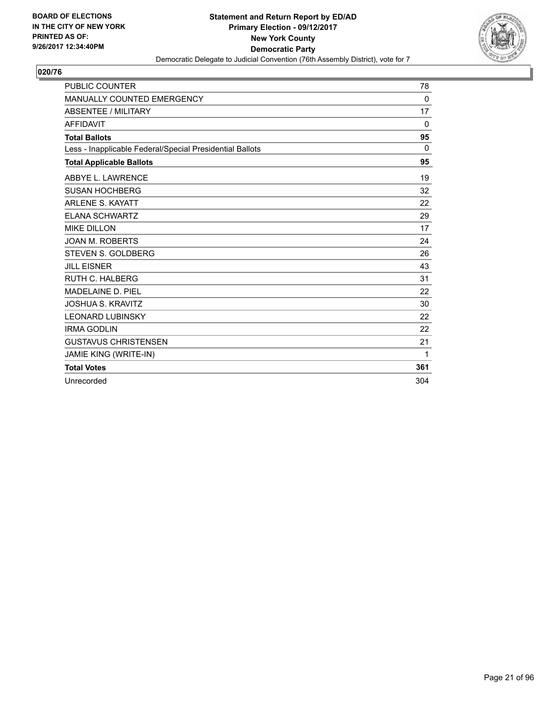

| <b>PUBLIC COUNTER</b>                                    | 78       |
|----------------------------------------------------------|----------|
| MANUALLY COUNTED EMERGENCY                               | 0        |
| <b>ABSENTEE / MILITARY</b>                               | 17       |
| <b>AFFIDAVIT</b>                                         | $\Omega$ |
| <b>Total Ballots</b>                                     | 95       |
| Less - Inapplicable Federal/Special Presidential Ballots | $\Omega$ |
| <b>Total Applicable Ballots</b>                          | 95       |
| ABBYE L. LAWRENCE                                        | 19       |
| <b>SUSAN HOCHBERG</b>                                    | 32       |
| <b>ARLENE S. KAYATT</b>                                  | 22       |
| <b>ELANA SCHWARTZ</b>                                    | 29       |
| <b>MIKE DILLON</b>                                       | 17       |
| <b>JOAN M. ROBERTS</b>                                   | 24       |
| <b>STEVEN S. GOLDBERG</b>                                | 26       |
| <b>JILL EISNER</b>                                       | 43       |
| RUTH C. HALBERG                                          | 31       |
| <b>MADELAINE D. PIEL</b>                                 | 22       |
| <b>JOSHUA S. KRAVITZ</b>                                 | 30       |
| <b>LEONARD LUBINSKY</b>                                  | 22       |
| <b>IRMA GODLIN</b>                                       | 22       |
| <b>GUSTAVUS CHRISTENSEN</b>                              | 21       |
| JAMIE KING (WRITE-IN)                                    | 1        |
| <b>Total Votes</b>                                       | 361      |
| Unrecorded                                               | 304      |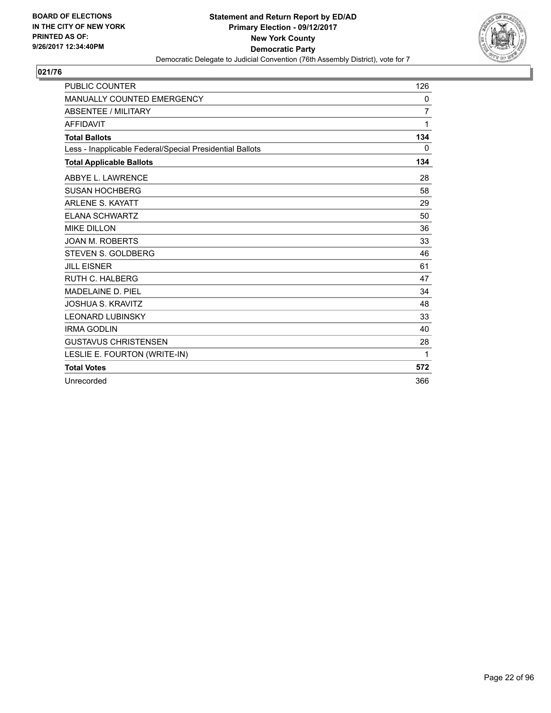

| <b>PUBLIC COUNTER</b>                                    | 126 |
|----------------------------------------------------------|-----|
| MANUALLY COUNTED EMERGENCY                               | 0   |
| <b>ABSENTEE / MILITARY</b>                               | 7   |
| <b>AFFIDAVIT</b>                                         | 1   |
| <b>Total Ballots</b>                                     | 134 |
| Less - Inapplicable Federal/Special Presidential Ballots | 0   |
| <b>Total Applicable Ballots</b>                          | 134 |
| ABBYE L. LAWRENCE                                        | 28  |
| <b>SUSAN HOCHBERG</b>                                    | 58  |
| <b>ARLENE S. KAYATT</b>                                  | 29  |
| <b>ELANA SCHWARTZ</b>                                    | 50  |
| <b>MIKE DILLON</b>                                       | 36  |
| <b>JOAN M. ROBERTS</b>                                   | 33  |
| STEVEN S. GOLDBERG                                       | 46  |
| <b>JILL EISNER</b>                                       | 61  |
| <b>RUTH C. HALBERG</b>                                   | 47  |
| MADELAINE D. PIEL                                        | 34  |
| <b>JOSHUA S. KRAVITZ</b>                                 | 48  |
| <b>LEONARD LUBINSKY</b>                                  | 33  |
| <b>IRMA GODLIN</b>                                       | 40  |
| <b>GUSTAVUS CHRISTENSEN</b>                              | 28  |
| LESLIE E. FOURTON (WRITE-IN)                             | 1   |
| <b>Total Votes</b>                                       | 572 |
| Unrecorded                                               | 366 |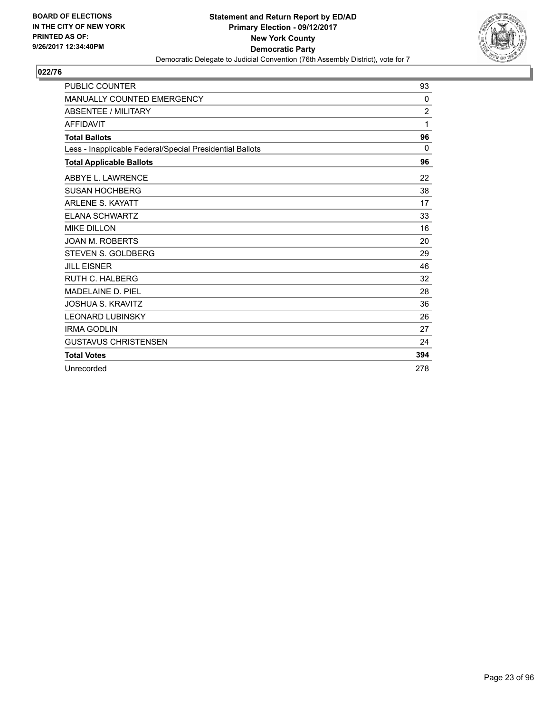

| <b>PUBLIC COUNTER</b>                                    | 93             |
|----------------------------------------------------------|----------------|
| MANUALLY COUNTED EMERGENCY                               | 0              |
| <b>ABSENTEE / MILITARY</b>                               | $\overline{2}$ |
| <b>AFFIDAVIT</b>                                         | 1              |
| <b>Total Ballots</b>                                     | 96             |
| Less - Inapplicable Federal/Special Presidential Ballots | $\Omega$       |
| <b>Total Applicable Ballots</b>                          | 96             |
| ABBYE L. LAWRENCE                                        | 22             |
| <b>SUSAN HOCHBERG</b>                                    | 38             |
| <b>ARLENE S. KAYATT</b>                                  | 17             |
| <b>ELANA SCHWARTZ</b>                                    | 33             |
| <b>MIKE DILLON</b>                                       | 16             |
| <b>JOAN M. ROBERTS</b>                                   | 20             |
| <b>STEVEN S. GOLDBERG</b>                                | 29             |
| <b>JILL EISNER</b>                                       | 46             |
| <b>RUTH C. HALBERG</b>                                   | 32             |
| MADELAINE D. PIEL                                        | 28             |
| <b>JOSHUA S. KRAVITZ</b>                                 | 36             |
| <b>LEONARD LUBINSKY</b>                                  | 26             |
| <b>IRMA GODLIN</b>                                       | 27             |
| <b>GUSTAVUS CHRISTENSEN</b>                              | 24             |
| <b>Total Votes</b>                                       | 394            |
| Unrecorded                                               | 278            |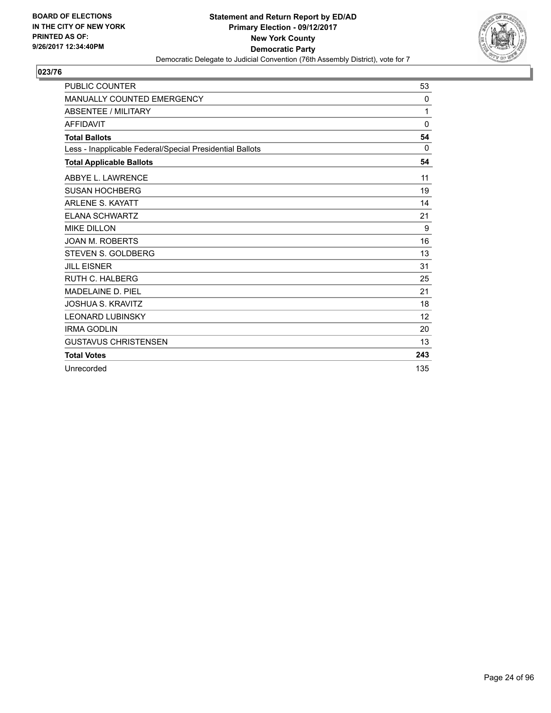

| <b>PUBLIC COUNTER</b>                                    | 53           |
|----------------------------------------------------------|--------------|
| MANUALLY COUNTED EMERGENCY                               | 0            |
| <b>ABSENTEE / MILITARY</b>                               | 1            |
| <b>AFFIDAVIT</b>                                         | $\mathbf{0}$ |
| <b>Total Ballots</b>                                     | 54           |
| Less - Inapplicable Federal/Special Presidential Ballots | $\Omega$     |
| <b>Total Applicable Ballots</b>                          | 54           |
| ABBYE L. LAWRENCE                                        | 11           |
| <b>SUSAN HOCHBERG</b>                                    | 19           |
| <b>ARLENE S. KAYATT</b>                                  | 14           |
| <b>ELANA SCHWARTZ</b>                                    | 21           |
| <b>MIKE DILLON</b>                                       | 9            |
| <b>JOAN M. ROBERTS</b>                                   | 16           |
| <b>STEVEN S. GOLDBERG</b>                                | 13           |
| <b>JILL EISNER</b>                                       | 31           |
| <b>RUTH C. HALBERG</b>                                   | 25           |
| MADELAINE D. PIEL                                        | 21           |
| <b>JOSHUA S. KRAVITZ</b>                                 | 18           |
| <b>LEONARD LUBINSKY</b>                                  | 12           |
| <b>IRMA GODLIN</b>                                       | 20           |
| <b>GUSTAVUS CHRISTENSEN</b>                              | 13           |
| <b>Total Votes</b>                                       | 243          |
| Unrecorded                                               | 135          |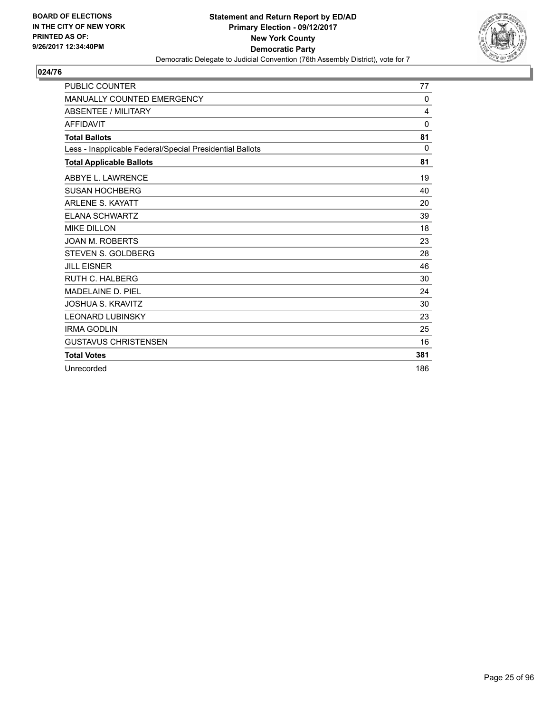

| <b>PUBLIC COUNTER</b>                                    | 77           |
|----------------------------------------------------------|--------------|
| <b>MANUALLY COUNTED EMERGENCY</b>                        | $\mathbf{0}$ |
| <b>ABSENTEE / MILITARY</b>                               | 4            |
| <b>AFFIDAVIT</b>                                         | $\mathbf{0}$ |
| <b>Total Ballots</b>                                     | 81           |
| Less - Inapplicable Federal/Special Presidential Ballots | $\Omega$     |
| <b>Total Applicable Ballots</b>                          | 81           |
| ABBYE L. LAWRENCE                                        | 19           |
| <b>SUSAN HOCHBERG</b>                                    | 40           |
| <b>ARLENE S. KAYATT</b>                                  | 20           |
| <b>ELANA SCHWARTZ</b>                                    | 39           |
| <b>MIKE DILLON</b>                                       | 18           |
| <b>JOAN M. ROBERTS</b>                                   | 23           |
| <b>STEVEN S. GOLDBERG</b>                                | 28           |
| <b>JILL EISNER</b>                                       | 46           |
| <b>RUTH C. HALBERG</b>                                   | 30           |
| <b>MADELAINE D. PIEL</b>                                 | 24           |
| <b>JOSHUA S. KRAVITZ</b>                                 | 30           |
| <b>LEONARD LUBINSKY</b>                                  | 23           |
| <b>IRMA GODLIN</b>                                       | 25           |
| <b>GUSTAVUS CHRISTENSEN</b>                              | 16           |
| <b>Total Votes</b>                                       | 381          |
| Unrecorded                                               | 186          |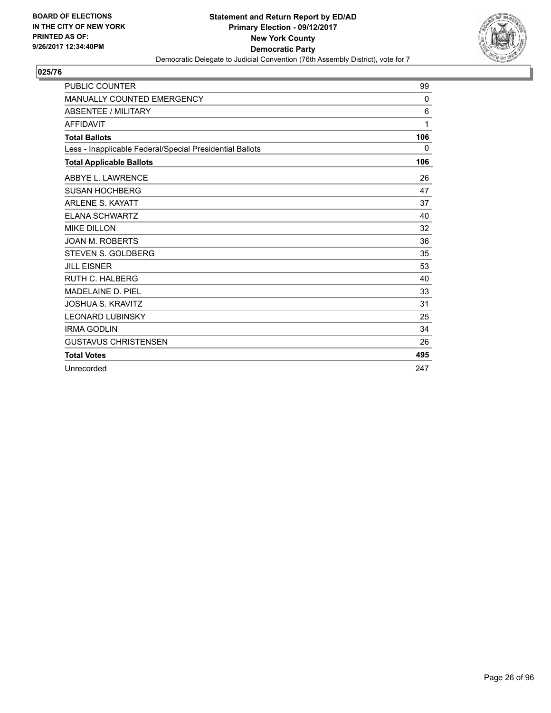

| <b>PUBLIC COUNTER</b>                                    | 99           |
|----------------------------------------------------------|--------------|
| <b>MANUALLY COUNTED EMERGENCY</b>                        | $\mathbf{0}$ |
| <b>ABSENTEE / MILITARY</b>                               | 6            |
| <b>AFFIDAVIT</b>                                         | 1            |
| <b>Total Ballots</b>                                     | 106          |
| Less - Inapplicable Federal/Special Presidential Ballots | 0            |
| <b>Total Applicable Ballots</b>                          | 106          |
| ABBYE L. LAWRENCE                                        | 26           |
| <b>SUSAN HOCHBERG</b>                                    | 47           |
| <b>ARLENE S. KAYATT</b>                                  | 37           |
| <b>ELANA SCHWARTZ</b>                                    | 40           |
| <b>MIKE DILLON</b>                                       | 32           |
| <b>JOAN M. ROBERTS</b>                                   | 36           |
| <b>STEVEN S. GOLDBERG</b>                                | 35           |
| <b>JILL EISNER</b>                                       | 53           |
| <b>RUTH C. HALBERG</b>                                   | 40           |
| MADELAINE D. PIEL                                        | 33           |
| <b>JOSHUA S. KRAVITZ</b>                                 | 31           |
| <b>LEONARD LUBINSKY</b>                                  | 25           |
| <b>IRMA GODLIN</b>                                       | 34           |
| <b>GUSTAVUS CHRISTENSEN</b>                              | 26           |
| <b>Total Votes</b>                                       | 495          |
| Unrecorded                                               | 247          |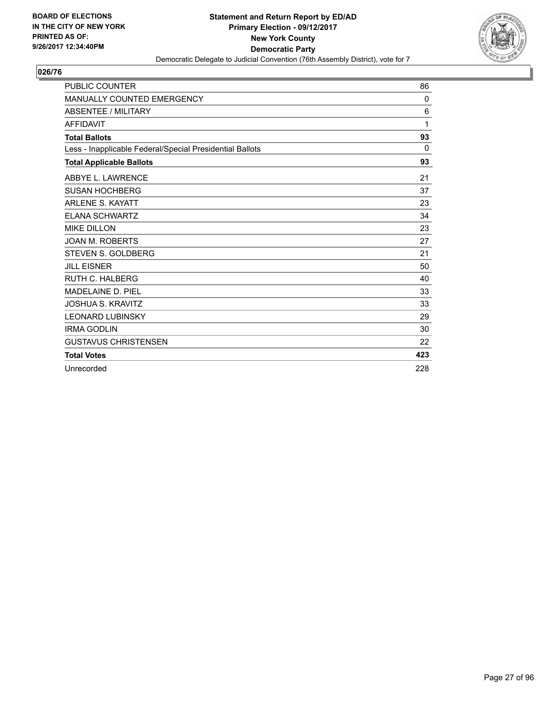

| <b>PUBLIC COUNTER</b>                                    | 86       |
|----------------------------------------------------------|----------|
| <b>MANUALLY COUNTED EMERGENCY</b>                        | 0        |
| <b>ABSENTEE / MILITARY</b>                               | 6        |
| <b>AFFIDAVIT</b>                                         | 1        |
| <b>Total Ballots</b>                                     | 93       |
| Less - Inapplicable Federal/Special Presidential Ballots | $\Omega$ |
| <b>Total Applicable Ballots</b>                          | 93       |
| ABBYE L. LAWRENCE                                        | 21       |
| <b>SUSAN HOCHBERG</b>                                    | 37       |
| <b>ARLENE S. KAYATT</b>                                  | 23       |
| <b>ELANA SCHWARTZ</b>                                    | 34       |
| <b>MIKE DILLON</b>                                       | 23       |
| <b>JOAN M. ROBERTS</b>                                   | 27       |
| STEVEN S. GOLDBERG                                       | 21       |
| <b>JILL EISNER</b>                                       | 50       |
| <b>RUTH C. HALBERG</b>                                   | 40       |
| <b>MADELAINE D. PIEL</b>                                 | 33       |
| <b>JOSHUA S. KRAVITZ</b>                                 | 33       |
| <b>LEONARD LUBINSKY</b>                                  | 29       |
| <b>IRMA GODLIN</b>                                       | 30       |
| <b>GUSTAVUS CHRISTENSEN</b>                              | 22       |
| <b>Total Votes</b>                                       | 423      |
| Unrecorded                                               | 228      |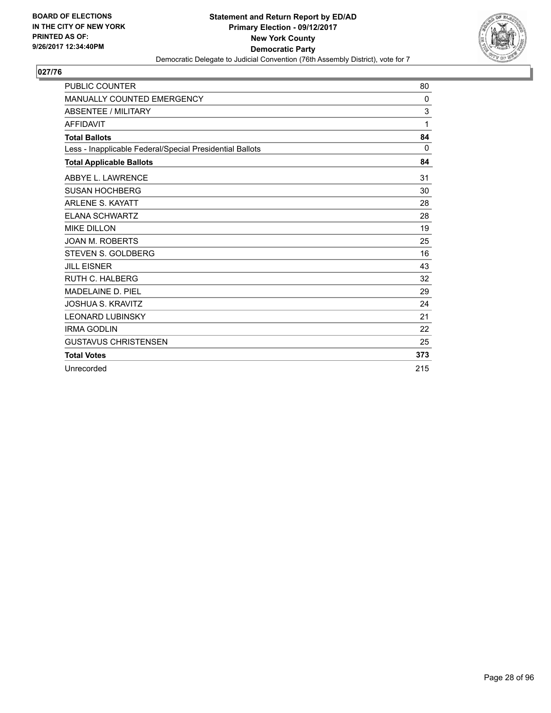

| <b>PUBLIC COUNTER</b>                                    | 80  |
|----------------------------------------------------------|-----|
| <b>MANUALLY COUNTED EMERGENCY</b>                        | 0   |
| <b>ABSENTEE / MILITARY</b>                               | 3   |
| <b>AFFIDAVIT</b>                                         | 1   |
| <b>Total Ballots</b>                                     | 84  |
| Less - Inapplicable Federal/Special Presidential Ballots | 0   |
| <b>Total Applicable Ballots</b>                          | 84  |
| ABBYE L. LAWRENCE                                        | 31  |
| <b>SUSAN HOCHBERG</b>                                    | 30  |
| <b>ARLENE S. KAYATT</b>                                  | 28  |
| <b>ELANA SCHWARTZ</b>                                    | 28  |
| <b>MIKE DILLON</b>                                       | 19  |
| <b>JOAN M. ROBERTS</b>                                   | 25  |
| STEVEN S. GOLDBERG                                       | 16  |
| <b>JILL EISNER</b>                                       | 43  |
| <b>RUTH C. HALBERG</b>                                   | 32  |
| <b>MADELAINE D. PIEL</b>                                 | 29  |
| <b>JOSHUA S. KRAVITZ</b>                                 | 24  |
| <b>LEONARD LUBINSKY</b>                                  | 21  |
| <b>IRMA GODLIN</b>                                       | 22  |
| <b>GUSTAVUS CHRISTENSEN</b>                              | 25  |
| <b>Total Votes</b>                                       | 373 |
| Unrecorded                                               | 215 |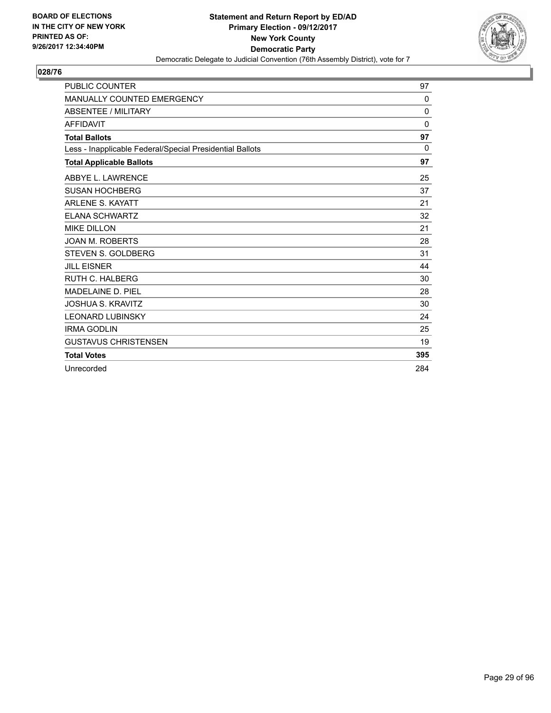

| <b>PUBLIC COUNTER</b>                                    | 97           |
|----------------------------------------------------------|--------------|
| <b>MANUALLY COUNTED EMERGENCY</b>                        | $\mathbf{0}$ |
| <b>ABSENTEE / MILITARY</b>                               | 0            |
| <b>AFFIDAVIT</b>                                         | $\Omega$     |
| <b>Total Ballots</b>                                     | 97           |
| Less - Inapplicable Federal/Special Presidential Ballots | 0            |
| <b>Total Applicable Ballots</b>                          | 97           |
| ABBYE L. LAWRENCE                                        | 25           |
| <b>SUSAN HOCHBERG</b>                                    | 37           |
| <b>ARLENE S. KAYATT</b>                                  | 21           |
| <b>ELANA SCHWARTZ</b>                                    | 32           |
| <b>MIKE DILLON</b>                                       | 21           |
| <b>JOAN M. ROBERTS</b>                                   | 28           |
| STEVEN S. GOLDBERG                                       | 31           |
| <b>JILL EISNER</b>                                       | 44           |
| <b>RUTH C. HALBERG</b>                                   | 30           |
| MADELAINE D. PIEL                                        | 28           |
| <b>JOSHUA S. KRAVITZ</b>                                 | 30           |
| <b>LEONARD LUBINSKY</b>                                  | 24           |
| <b>IRMA GODLIN</b>                                       | 25           |
| <b>GUSTAVUS CHRISTENSEN</b>                              | 19           |
| <b>Total Votes</b>                                       | 395          |
| Unrecorded                                               | 284          |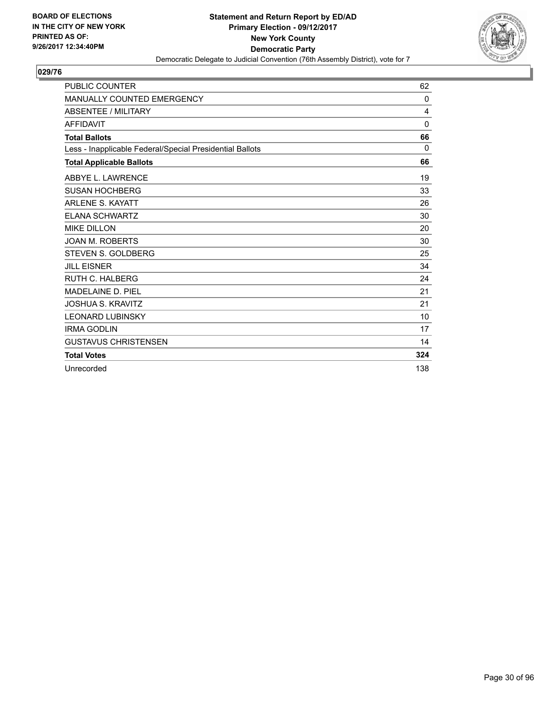

| <b>PUBLIC COUNTER</b>                                    | 62           |
|----------------------------------------------------------|--------------|
| <b>MANUALLY COUNTED EMERGENCY</b>                        | $\mathbf{0}$ |
| <b>ABSENTEE / MILITARY</b>                               | 4            |
| <b>AFFIDAVIT</b>                                         | $\mathbf{0}$ |
| <b>Total Ballots</b>                                     | 66           |
| Less - Inapplicable Federal/Special Presidential Ballots | 0            |
| <b>Total Applicable Ballots</b>                          | 66           |
| ABBYE L. LAWRENCE                                        | 19           |
| <b>SUSAN HOCHBERG</b>                                    | 33           |
| <b>ARLENE S. KAYATT</b>                                  | 26           |
| <b>ELANA SCHWARTZ</b>                                    | 30           |
| <b>MIKE DILLON</b>                                       | 20           |
| <b>JOAN M. ROBERTS</b>                                   | 30           |
| <b>STEVEN S. GOLDBERG</b>                                | 25           |
| <b>JILL EISNER</b>                                       | 34           |
| <b>RUTH C. HALBERG</b>                                   | 24           |
| MADELAINE D. PIEL                                        | 21           |
| <b>JOSHUA S. KRAVITZ</b>                                 | 21           |
| <b>LEONARD LUBINSKY</b>                                  | 10           |
| <b>IRMA GODLIN</b>                                       | 17           |
| <b>GUSTAVUS CHRISTENSEN</b>                              | 14           |
| <b>Total Votes</b>                                       | 324          |
| Unrecorded                                               | 138          |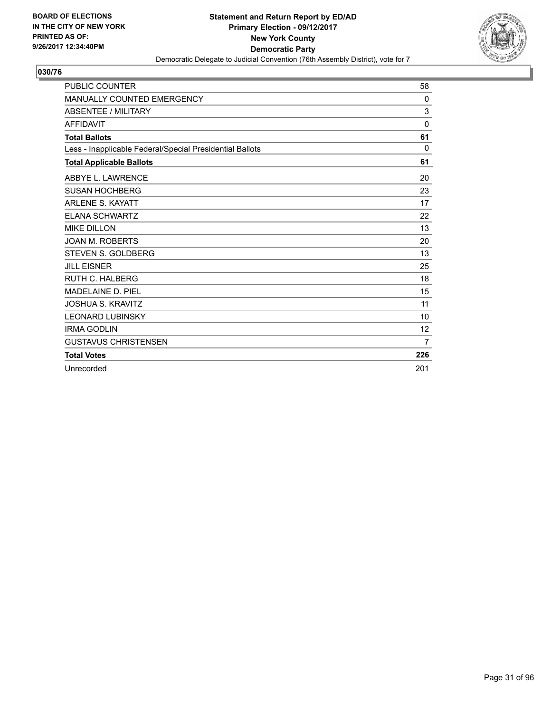

| <b>PUBLIC COUNTER</b>                                    | 58             |
|----------------------------------------------------------|----------------|
| MANUALLY COUNTED EMERGENCY                               | 0              |
| <b>ABSENTEE / MILITARY</b>                               | 3              |
| <b>AFFIDAVIT</b>                                         | $\mathbf{0}$   |
| <b>Total Ballots</b>                                     | 61             |
| Less - Inapplicable Federal/Special Presidential Ballots | 0              |
| <b>Total Applicable Ballots</b>                          | 61             |
| ABBYE L. LAWRENCE                                        | 20             |
| <b>SUSAN HOCHBERG</b>                                    | 23             |
| <b>ARLENE S. KAYATT</b>                                  | 17             |
| <b>ELANA SCHWARTZ</b>                                    | 22             |
| <b>MIKE DILLON</b>                                       | 13             |
| <b>JOAN M. ROBERTS</b>                                   | 20             |
| <b>STEVEN S. GOLDBERG</b>                                | 13             |
| <b>JILL EISNER</b>                                       | 25             |
| <b>RUTH C. HALBERG</b>                                   | 18             |
| MADELAINE D. PIEL                                        | 15             |
| <b>JOSHUA S. KRAVITZ</b>                                 | 11             |
| <b>LEONARD LUBINSKY</b>                                  | 10             |
| <b>IRMA GODLIN</b>                                       | 12             |
| <b>GUSTAVUS CHRISTENSEN</b>                              | $\overline{7}$ |
| <b>Total Votes</b>                                       | 226            |
| Unrecorded                                               | 201            |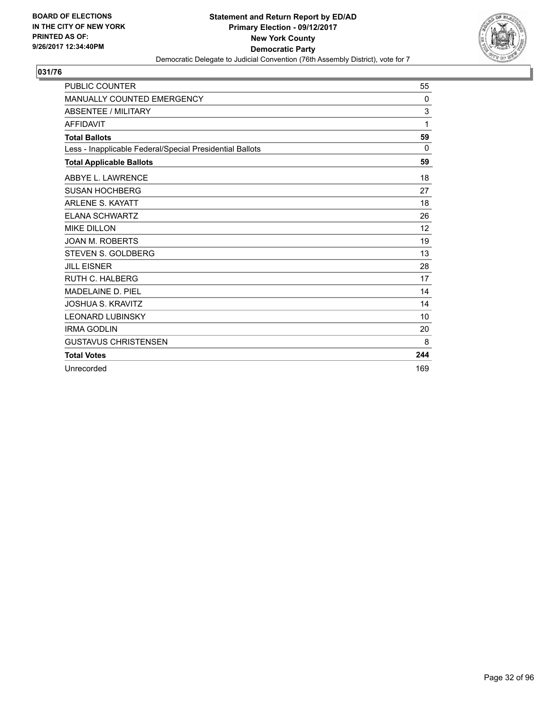

| <b>PUBLIC COUNTER</b>                                    | 55  |
|----------------------------------------------------------|-----|
| <b>MANUALLY COUNTED EMERGENCY</b>                        | 0   |
| <b>ABSENTEE / MILITARY</b>                               | 3   |
| <b>AFFIDAVIT</b>                                         | 1   |
| <b>Total Ballots</b>                                     | 59  |
| Less - Inapplicable Federal/Special Presidential Ballots | 0   |
| <b>Total Applicable Ballots</b>                          | 59  |
| ABBYE L. LAWRENCE                                        | 18  |
| <b>SUSAN HOCHBERG</b>                                    | 27  |
| <b>ARLENE S. KAYATT</b>                                  | 18  |
| <b>ELANA SCHWARTZ</b>                                    | 26  |
| <b>MIKE DILLON</b>                                       | 12  |
| <b>JOAN M. ROBERTS</b>                                   | 19  |
| STEVEN S. GOLDBERG                                       | 13  |
| <b>JILL EISNER</b>                                       | 28  |
| <b>RUTH C. HALBERG</b>                                   | 17  |
| <b>MADELAINE D. PIEL</b>                                 | 14  |
| <b>JOSHUA S. KRAVITZ</b>                                 | 14  |
| <b>LEONARD LUBINSKY</b>                                  | 10  |
| <b>IRMA GODLIN</b>                                       | 20  |
| <b>GUSTAVUS CHRISTENSEN</b>                              | 8   |
| <b>Total Votes</b>                                       | 244 |
| Unrecorded                                               | 169 |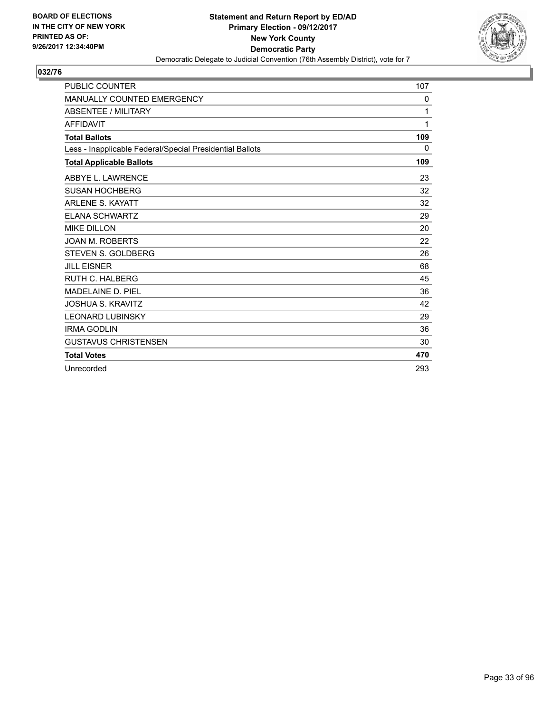

| <b>PUBLIC COUNTER</b>                                    | 107 |
|----------------------------------------------------------|-----|
| <b>MANUALLY COUNTED EMERGENCY</b>                        | 0   |
| <b>ABSENTEE / MILITARY</b>                               | 1   |
| <b>AFFIDAVIT</b>                                         | 1   |
| <b>Total Ballots</b>                                     | 109 |
| Less - Inapplicable Federal/Special Presidential Ballots | 0   |
| <b>Total Applicable Ballots</b>                          | 109 |
| ABBYE L. LAWRENCE                                        | 23  |
| <b>SUSAN HOCHBERG</b>                                    | 32  |
| <b>ARLENE S. KAYATT</b>                                  | 32  |
| <b>ELANA SCHWARTZ</b>                                    | 29  |
| <b>MIKE DILLON</b>                                       | 20  |
| <b>JOAN M. ROBERTS</b>                                   | 22  |
| STEVEN S. GOLDBERG                                       | 26  |
| <b>JILL EISNER</b>                                       | 68  |
| <b>RUTH C. HALBERG</b>                                   | 45  |
| <b>MADELAINE D. PIEL</b>                                 | 36  |
| JOSHUA S. KRAVITZ                                        | 42  |
| <b>LEONARD LUBINSKY</b>                                  | 29  |
| <b>IRMA GODLIN</b>                                       | 36  |
| <b>GUSTAVUS CHRISTENSEN</b>                              | 30  |
| <b>Total Votes</b>                                       | 470 |
| Unrecorded                                               | 293 |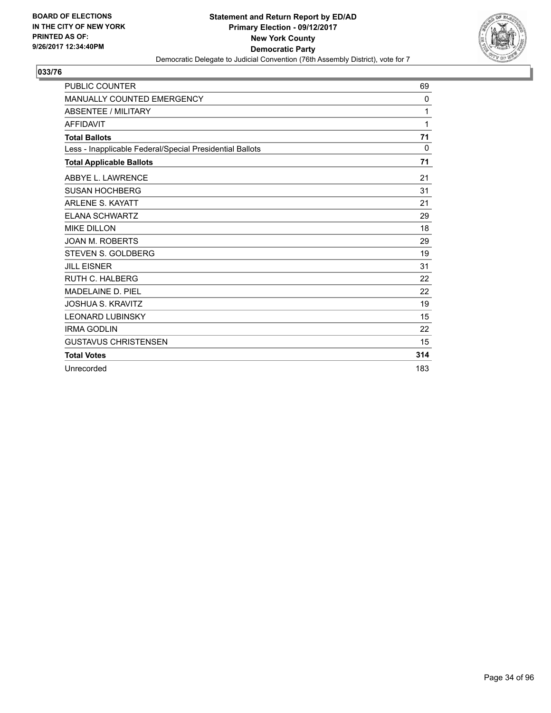

| <b>PUBLIC COUNTER</b>                                    | 69  |
|----------------------------------------------------------|-----|
| <b>MANUALLY COUNTED EMERGENCY</b>                        | 0   |
| <b>ABSENTEE / MILITARY</b>                               | 1   |
| <b>AFFIDAVIT</b>                                         | 1   |
| <b>Total Ballots</b>                                     | 71  |
| Less - Inapplicable Federal/Special Presidential Ballots | 0   |
| <b>Total Applicable Ballots</b>                          | 71  |
| ABBYE L. LAWRENCE                                        | 21  |
| <b>SUSAN HOCHBERG</b>                                    | 31  |
| <b>ARLENE S. KAYATT</b>                                  | 21  |
| <b>ELANA SCHWARTZ</b>                                    | 29  |
| <b>MIKE DILLON</b>                                       | 18  |
| <b>JOAN M. ROBERTS</b>                                   | 29  |
| STEVEN S. GOLDBERG                                       | 19  |
| <b>JILL EISNER</b>                                       | 31  |
| <b>RUTH C. HALBERG</b>                                   | 22  |
| <b>MADELAINE D. PIEL</b>                                 | 22  |
| <b>JOSHUA S. KRAVITZ</b>                                 | 19  |
| <b>LEONARD LUBINSKY</b>                                  | 15  |
| <b>IRMA GODLIN</b>                                       | 22  |
| <b>GUSTAVUS CHRISTENSEN</b>                              | 15  |
| <b>Total Votes</b>                                       | 314 |
| Unrecorded                                               | 183 |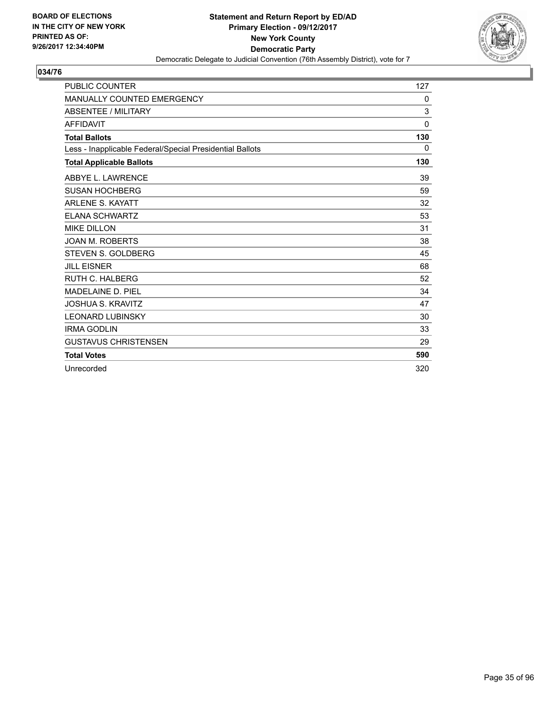

| <b>PUBLIC COUNTER</b>                                    | 127      |
|----------------------------------------------------------|----------|
| <b>MANUALLY COUNTED EMERGENCY</b>                        | 0        |
| <b>ABSENTEE / MILITARY</b>                               | 3        |
| <b>AFFIDAVIT</b>                                         | $\Omega$ |
| <b>Total Ballots</b>                                     | 130      |
| Less - Inapplicable Federal/Special Presidential Ballots | 0        |
| <b>Total Applicable Ballots</b>                          | 130      |
| ABBYE L. LAWRENCE                                        | 39       |
| <b>SUSAN HOCHBERG</b>                                    | 59       |
| <b>ARLENE S. KAYATT</b>                                  | 32       |
| <b>ELANA SCHWARTZ</b>                                    | 53       |
| <b>MIKE DILLON</b>                                       | 31       |
| <b>JOAN M. ROBERTS</b>                                   | 38       |
| STEVEN S. GOLDBERG                                       | 45       |
| <b>JILL EISNER</b>                                       | 68       |
| <b>RUTH C. HALBERG</b>                                   | 52       |
| <b>MADELAINE D. PIEL</b>                                 | 34       |
| JOSHUA S. KRAVITZ                                        | 47       |
| <b>LEONARD LUBINSKY</b>                                  | 30       |
| <b>IRMA GODLIN</b>                                       | 33       |
| <b>GUSTAVUS CHRISTENSEN</b>                              | 29       |
| <b>Total Votes</b>                                       | 590      |
| Unrecorded                                               | 320      |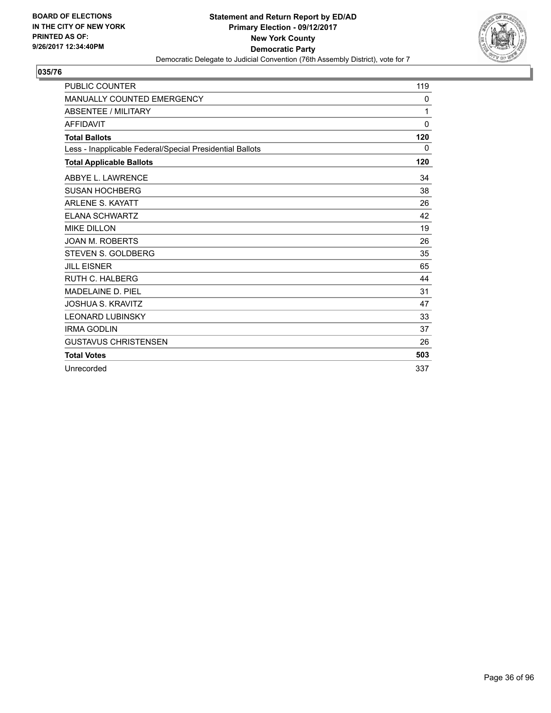

| <b>PUBLIC COUNTER</b>                                    | 119          |
|----------------------------------------------------------|--------------|
| <b>MANUALLY COUNTED EMERGENCY</b>                        | 0            |
| <b>ABSENTEE / MILITARY</b>                               | 1            |
| <b>AFFIDAVIT</b>                                         | $\mathbf{0}$ |
| <b>Total Ballots</b>                                     | 120          |
| Less - Inapplicable Federal/Special Presidential Ballots | 0            |
| <b>Total Applicable Ballots</b>                          | 120          |
| ABBYE L. LAWRENCE                                        | 34           |
| <b>SUSAN HOCHBERG</b>                                    | 38           |
| <b>ARLENE S. KAYATT</b>                                  | 26           |
| <b>ELANA SCHWARTZ</b>                                    | 42           |
| <b>MIKE DILLON</b>                                       | 19           |
| <b>JOAN M. ROBERTS</b>                                   | 26           |
| <b>STEVEN S. GOLDBERG</b>                                | 35           |
| <b>JILL EISNER</b>                                       | 65           |
| <b>RUTH C. HALBERG</b>                                   | 44           |
| <b>MADELAINE D. PIEL</b>                                 | 31           |
| JOSHUA S. KRAVITZ                                        | 47           |
| <b>LEONARD LUBINSKY</b>                                  | 33           |
| <b>IRMA GODLIN</b>                                       | 37           |
| <b>GUSTAVUS CHRISTENSEN</b>                              | 26           |
| <b>Total Votes</b>                                       | 503          |
| Unrecorded                                               | 337          |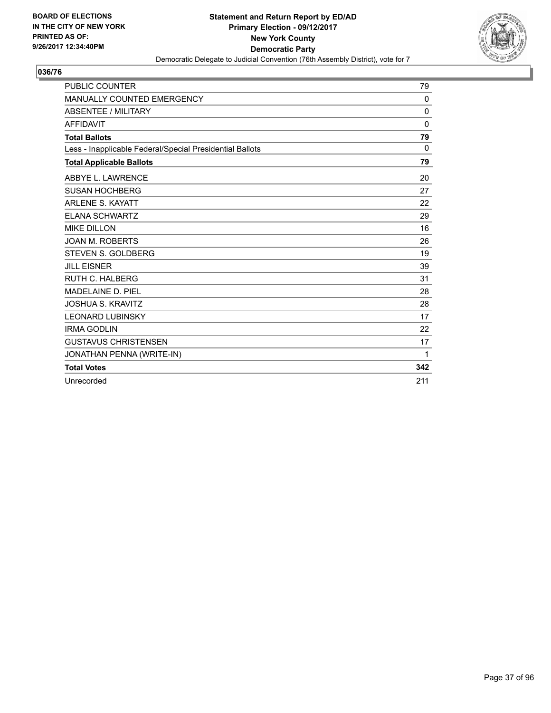

| <b>PUBLIC COUNTER</b>                                    | 79       |
|----------------------------------------------------------|----------|
| MANUALLY COUNTED EMERGENCY                               | 0        |
| <b>ABSENTEE / MILITARY</b>                               | 0        |
| <b>AFFIDAVIT</b>                                         | 0        |
| <b>Total Ballots</b>                                     | 79       |
| Less - Inapplicable Federal/Special Presidential Ballots | $\Omega$ |
| <b>Total Applicable Ballots</b>                          | 79       |
| ABBYE L. LAWRENCE                                        | 20       |
| <b>SUSAN HOCHBERG</b>                                    | 27       |
| <b>ARLENE S. KAYATT</b>                                  | 22       |
| <b>ELANA SCHWARTZ</b>                                    | 29       |
| <b>MIKE DILLON</b>                                       | 16       |
| <b>JOAN M. ROBERTS</b>                                   | 26       |
| STEVEN S. GOLDBERG                                       | 19       |
| <b>JILL EISNER</b>                                       | 39       |
| <b>RUTH C. HALBERG</b>                                   | 31       |
| <b>MADELAINE D. PIEL</b>                                 | 28       |
| <b>JOSHUA S. KRAVITZ</b>                                 | 28       |
| <b>LEONARD LUBINSKY</b>                                  | 17       |
| <b>IRMA GODLIN</b>                                       | 22       |
| <b>GUSTAVUS CHRISTENSEN</b>                              | 17       |
| JONATHAN PENNA (WRITE-IN)                                | 1        |
| <b>Total Votes</b>                                       | 342      |
| Unrecorded                                               | 211      |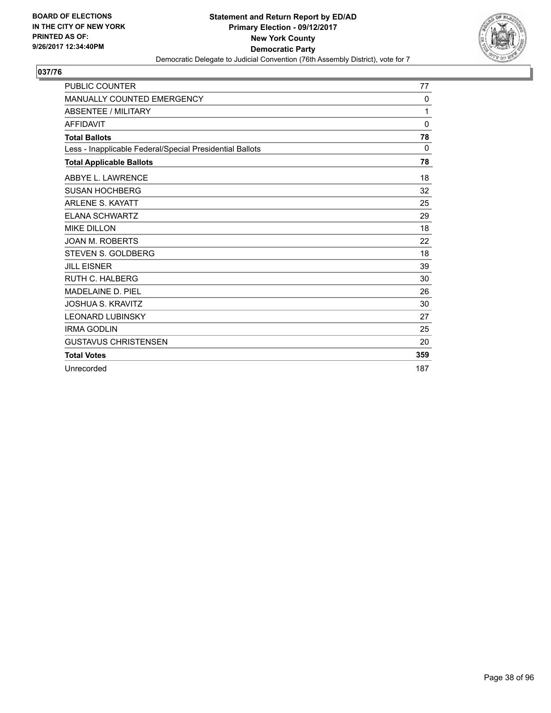

| <b>PUBLIC COUNTER</b>                                    | 77           |
|----------------------------------------------------------|--------------|
| <b>MANUALLY COUNTED EMERGENCY</b>                        | 0            |
| <b>ABSENTEE / MILITARY</b>                               | 1            |
| <b>AFFIDAVIT</b>                                         | $\mathbf{0}$ |
| <b>Total Ballots</b>                                     | 78           |
| Less - Inapplicable Federal/Special Presidential Ballots | 0            |
| <b>Total Applicable Ballots</b>                          | 78           |
| ABBYE L. LAWRENCE                                        | 18           |
| <b>SUSAN HOCHBERG</b>                                    | 32           |
| <b>ARLENE S. KAYATT</b>                                  | 25           |
| <b>ELANA SCHWARTZ</b>                                    | 29           |
| <b>MIKE DILLON</b>                                       | 18           |
| <b>JOAN M. ROBERTS</b>                                   | 22           |
| <b>STEVEN S. GOLDBERG</b>                                | 18           |
| <b>JILL EISNER</b>                                       | 39           |
| <b>RUTH C. HALBERG</b>                                   | 30           |
| <b>MADELAINE D. PIEL</b>                                 | 26           |
| <b>JOSHUA S. KRAVITZ</b>                                 | 30           |
| <b>LEONARD LUBINSKY</b>                                  | 27           |
| <b>IRMA GODLIN</b>                                       | 25           |
| <b>GUSTAVUS CHRISTENSEN</b>                              | 20           |
| <b>Total Votes</b>                                       | 359          |
| Unrecorded                                               | 187          |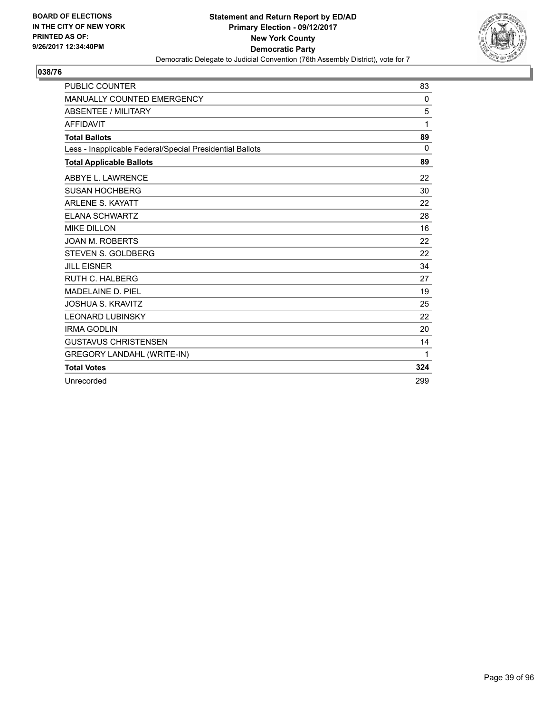

| <b>PUBLIC COUNTER</b>                                    | 83       |
|----------------------------------------------------------|----------|
| MANUALLY COUNTED EMERGENCY                               | 0        |
| <b>ABSENTEE / MILITARY</b>                               | 5        |
| <b>AFFIDAVIT</b>                                         | 1        |
| <b>Total Ballots</b>                                     | 89       |
| Less - Inapplicable Federal/Special Presidential Ballots | $\Omega$ |
| <b>Total Applicable Ballots</b>                          | 89       |
| ABBYE L. LAWRENCE                                        | 22       |
| <b>SUSAN HOCHBERG</b>                                    | 30       |
| <b>ARLENE S. KAYATT</b>                                  | 22       |
| <b>ELANA SCHWARTZ</b>                                    | 28       |
| <b>MIKE DILLON</b>                                       | 16       |
| <b>JOAN M. ROBERTS</b>                                   | 22       |
| <b>STEVEN S. GOLDBERG</b>                                | 22       |
| <b>JILL EISNER</b>                                       | 34       |
| <b>RUTH C. HALBERG</b>                                   | 27       |
| MADELAINE D. PIEL                                        | 19       |
| <b>JOSHUA S. KRAVITZ</b>                                 | 25       |
| <b>LEONARD LUBINSKY</b>                                  | 22       |
| <b>IRMA GODLIN</b>                                       | 20       |
| <b>GUSTAVUS CHRISTENSEN</b>                              | 14       |
| <b>GREGORY LANDAHL (WRITE-IN)</b>                        | 1        |
| <b>Total Votes</b>                                       | 324      |
| Unrecorded                                               | 299      |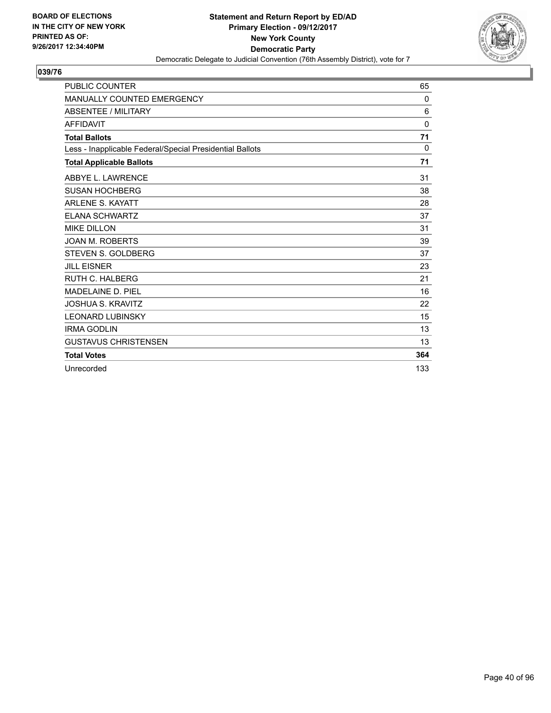

| <b>PUBLIC COUNTER</b>                                    | 65       |
|----------------------------------------------------------|----------|
| <b>MANUALLY COUNTED EMERGENCY</b>                        | $\Omega$ |
| <b>ABSENTEE / MILITARY</b>                               | 6        |
| <b>AFFIDAVIT</b>                                         | $\Omega$ |
| <b>Total Ballots</b>                                     | 71       |
| Less - Inapplicable Federal/Special Presidential Ballots | $\Omega$ |
| <b>Total Applicable Ballots</b>                          | 71       |
| ABBYE L. LAWRENCE                                        | 31       |
| <b>SUSAN HOCHBERG</b>                                    | 38       |
| <b>ARLENE S. KAYATT</b>                                  | 28       |
| <b>ELANA SCHWARTZ</b>                                    | 37       |
| <b>MIKE DILLON</b>                                       | 31       |
| <b>JOAN M. ROBERTS</b>                                   | 39       |
| <b>STEVEN S. GOLDBERG</b>                                | 37       |
| <b>JILL EISNER</b>                                       | 23       |
| <b>RUTH C. HALBERG</b>                                   | 21       |
| MADELAINE D. PIEL                                        | 16       |
| <b>JOSHUA S. KRAVITZ</b>                                 | 22       |
| <b>LEONARD LUBINSKY</b>                                  | 15       |
| <b>IRMA GODLIN</b>                                       | 13       |
| <b>GUSTAVUS CHRISTENSEN</b>                              | 13       |
| <b>Total Votes</b>                                       | 364      |
| Unrecorded                                               | 133      |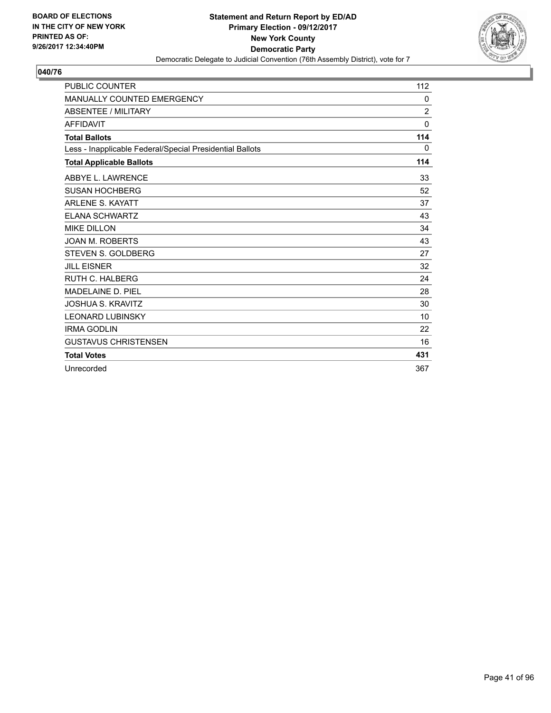

| <b>PUBLIC COUNTER</b>                                    | 112            |
|----------------------------------------------------------|----------------|
| <b>MANUALLY COUNTED EMERGENCY</b>                        | 0              |
| <b>ABSENTEE / MILITARY</b>                               | $\overline{2}$ |
| <b>AFFIDAVIT</b>                                         | $\mathbf{0}$   |
| <b>Total Ballots</b>                                     | 114            |
| Less - Inapplicable Federal/Special Presidential Ballots | $\mathbf{0}$   |
| <b>Total Applicable Ballots</b>                          | 114            |
| ABBYE L. LAWRENCE                                        | 33             |
| <b>SUSAN HOCHBERG</b>                                    | 52             |
| <b>ARLENE S. KAYATT</b>                                  | 37             |
| <b>ELANA SCHWARTZ</b>                                    | 43             |
| <b>MIKE DILLON</b>                                       | 34             |
| <b>JOAN M. ROBERTS</b>                                   | 43             |
| STEVEN S. GOLDBERG                                       | 27             |
| <b>JILL EISNER</b>                                       | 32             |
| RUTH C. HALBERG                                          | 24             |
| MADELAINE D. PIEL                                        | 28             |
| <b>JOSHUA S. KRAVITZ</b>                                 | 30             |
| <b>LEONARD LUBINSKY</b>                                  | 10             |
| <b>IRMA GODLIN</b>                                       | 22             |
| <b>GUSTAVUS CHRISTENSEN</b>                              | 16             |
| <b>Total Votes</b>                                       | 431            |
| Unrecorded                                               | 367            |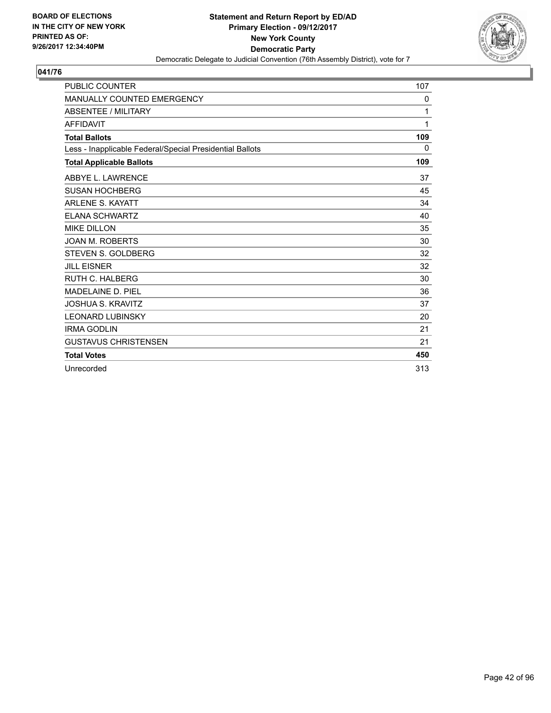

| <b>PUBLIC COUNTER</b>                                    | 107 |
|----------------------------------------------------------|-----|
| <b>MANUALLY COUNTED EMERGENCY</b>                        | 0   |
| <b>ABSENTEE / MILITARY</b>                               | 1   |
| <b>AFFIDAVIT</b>                                         | 1   |
| <b>Total Ballots</b>                                     | 109 |
| Less - Inapplicable Federal/Special Presidential Ballots | 0   |
| <b>Total Applicable Ballots</b>                          | 109 |
| ABBYE L. LAWRENCE                                        | 37  |
| <b>SUSAN HOCHBERG</b>                                    | 45  |
| <b>ARLENE S. KAYATT</b>                                  | 34  |
| <b>ELANA SCHWARTZ</b>                                    | 40  |
| <b>MIKE DILLON</b>                                       | 35  |
| <b>JOAN M. ROBERTS</b>                                   | 30  |
| <b>STEVEN S. GOLDBERG</b>                                | 32  |
| <b>JILL EISNER</b>                                       | 32  |
| <b>RUTH C. HALBERG</b>                                   | 30  |
| <b>MADELAINE D. PIEL</b>                                 | 36  |
| <b>JOSHUA S. KRAVITZ</b>                                 | 37  |
| <b>LEONARD LUBINSKY</b>                                  | 20  |
| <b>IRMA GODLIN</b>                                       | 21  |
| <b>GUSTAVUS CHRISTENSEN</b>                              | 21  |
| <b>Total Votes</b>                                       | 450 |
| Unrecorded                                               | 313 |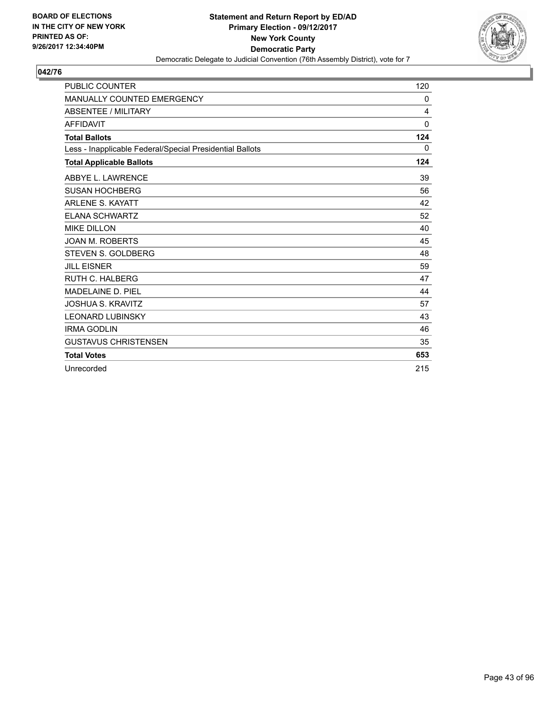

| <b>PUBLIC COUNTER</b>                                    | 120          |
|----------------------------------------------------------|--------------|
| <b>MANUALLY COUNTED EMERGENCY</b>                        | 0            |
| <b>ABSENTEE / MILITARY</b>                               | 4            |
| <b>AFFIDAVIT</b>                                         | $\mathbf{0}$ |
| <b>Total Ballots</b>                                     | 124          |
| Less - Inapplicable Federal/Special Presidential Ballots | 0            |
| <b>Total Applicable Ballots</b>                          | 124          |
| ABBYE L. LAWRENCE                                        | 39           |
| <b>SUSAN HOCHBERG</b>                                    | 56           |
| <b>ARLENE S. KAYATT</b>                                  | 42           |
| <b>ELANA SCHWARTZ</b>                                    | 52           |
| <b>MIKE DILLON</b>                                       | 40           |
| <b>JOAN M. ROBERTS</b>                                   | 45           |
| <b>STEVEN S. GOLDBERG</b>                                | 48           |
| <b>JILL EISNER</b>                                       | 59           |
| <b>RUTH C. HALBERG</b>                                   | 47           |
| <b>MADELAINE D. PIEL</b>                                 | 44           |
| <b>JOSHUA S. KRAVITZ</b>                                 | 57           |
| <b>LEONARD LUBINSKY</b>                                  | 43           |
| <b>IRMA GODLIN</b>                                       | 46           |
| <b>GUSTAVUS CHRISTENSEN</b>                              | 35           |
| <b>Total Votes</b>                                       | 653          |
| Unrecorded                                               | 215          |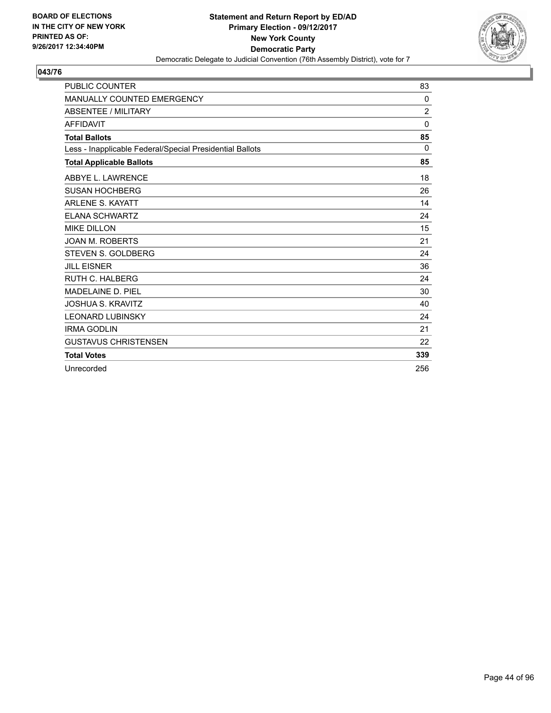

| <b>PUBLIC COUNTER</b>                                    | 83             |
|----------------------------------------------------------|----------------|
| <b>MANUALLY COUNTED EMERGENCY</b>                        | $\Omega$       |
| <b>ABSENTEE / MILITARY</b>                               | $\overline{2}$ |
| <b>AFFIDAVIT</b>                                         | $\mathbf{0}$   |
| <b>Total Ballots</b>                                     | 85             |
| Less - Inapplicable Federal/Special Presidential Ballots | $\Omega$       |
| <b>Total Applicable Ballots</b>                          | 85             |
| ABBYE L. LAWRENCE                                        | 18             |
| <b>SUSAN HOCHBERG</b>                                    | 26             |
| <b>ARLENE S. KAYATT</b>                                  | 14             |
| <b>ELANA SCHWARTZ</b>                                    | 24             |
| <b>MIKE DILLON</b>                                       | 15             |
| <b>JOAN M. ROBERTS</b>                                   | 21             |
| <b>STEVEN S. GOLDBERG</b>                                | 24             |
| <b>JILL EISNER</b>                                       | 36             |
| <b>RUTH C. HALBERG</b>                                   | 24             |
| <b>MADELAINE D. PIEL</b>                                 | 30             |
| <b>JOSHUA S. KRAVITZ</b>                                 | 40             |
| <b>LEONARD LUBINSKY</b>                                  | 24             |
| <b>IRMA GODLIN</b>                                       | 21             |
| <b>GUSTAVUS CHRISTENSEN</b>                              | 22             |
| <b>Total Votes</b>                                       | 339            |
| Unrecorded                                               | 256            |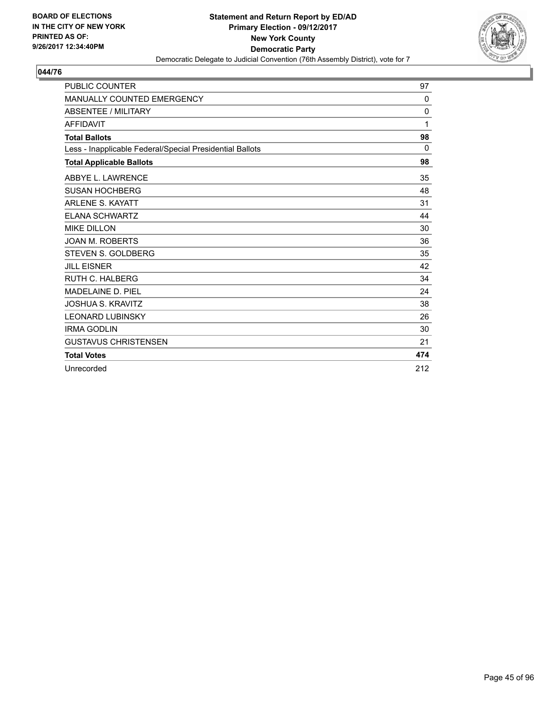

| <b>PUBLIC COUNTER</b>                                    | 97           |
|----------------------------------------------------------|--------------|
| <b>MANUALLY COUNTED EMERGENCY</b>                        | $\mathbf{0}$ |
| <b>ABSENTEE / MILITARY</b>                               | 0            |
| <b>AFFIDAVIT</b>                                         | 1            |
| <b>Total Ballots</b>                                     | 98           |
| Less - Inapplicable Federal/Special Presidential Ballots | $\Omega$     |
| <b>Total Applicable Ballots</b>                          | 98           |
| ABBYE L. LAWRENCE                                        | 35           |
| <b>SUSAN HOCHBERG</b>                                    | 48           |
| <b>ARLENE S. KAYATT</b>                                  | 31           |
| <b>ELANA SCHWARTZ</b>                                    | 44           |
| <b>MIKE DILLON</b>                                       | 30           |
| <b>JOAN M. ROBERTS</b>                                   | 36           |
| <b>STEVEN S. GOLDBERG</b>                                | 35           |
| <b>JILL EISNER</b>                                       | 42           |
| <b>RUTH C. HALBERG</b>                                   | 34           |
| <b>MADELAINE D. PIEL</b>                                 | 24           |
| <b>JOSHUA S. KRAVITZ</b>                                 | 38           |
| <b>LEONARD LUBINSKY</b>                                  | 26           |
| <b>IRMA GODLIN</b>                                       | 30           |
| <b>GUSTAVUS CHRISTENSEN</b>                              | 21           |
| <b>Total Votes</b>                                       | 474          |
| Unrecorded                                               | 212          |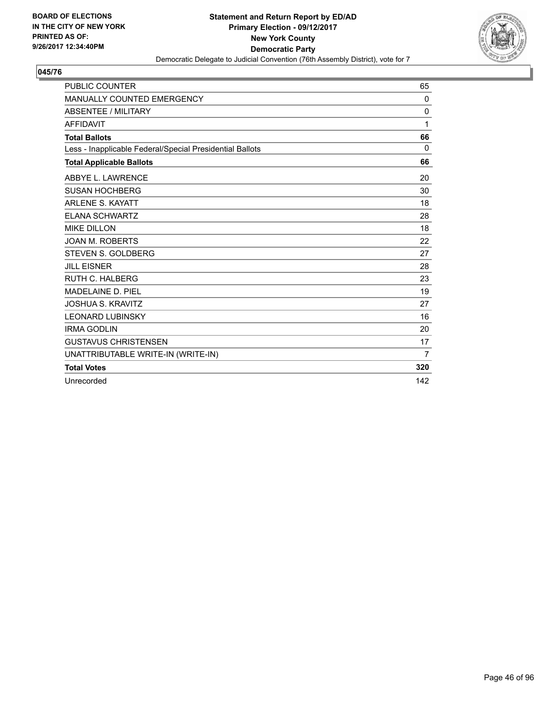

| <b>PUBLIC COUNTER</b>                                    | 65       |
|----------------------------------------------------------|----------|
| <b>MANUALLY COUNTED EMERGENCY</b>                        | 0        |
| <b>ABSENTEE / MILITARY</b>                               | $\Omega$ |
| <b>AFFIDAVIT</b>                                         | 1        |
| <b>Total Ballots</b>                                     | 66       |
| Less - Inapplicable Federal/Special Presidential Ballots | 0        |
| <b>Total Applicable Ballots</b>                          | 66       |
| ABBYE L. LAWRENCE                                        | 20       |
| <b>SUSAN HOCHBERG</b>                                    | 30       |
| <b>ARLENE S. KAYATT</b>                                  | 18       |
| <b>ELANA SCHWARTZ</b>                                    | 28       |
| <b>MIKE DILLON</b>                                       | 18       |
| <b>JOAN M. ROBERTS</b>                                   | 22       |
| <b>STEVEN S. GOLDBERG</b>                                | 27       |
| <b>JILL EISNER</b>                                       | 28       |
| <b>RUTH C. HALBERG</b>                                   | 23       |
| <b>MADELAINE D. PIEL</b>                                 | 19       |
| <b>JOSHUA S. KRAVITZ</b>                                 | 27       |
| <b>LEONARD LUBINSKY</b>                                  | 16       |
| <b>IRMA GODLIN</b>                                       | 20       |
| <b>GUSTAVUS CHRISTENSEN</b>                              | 17       |
| UNATTRIBUTABLE WRITE-IN (WRITE-IN)                       | 7        |
| <b>Total Votes</b>                                       | 320      |
| Unrecorded                                               | 142      |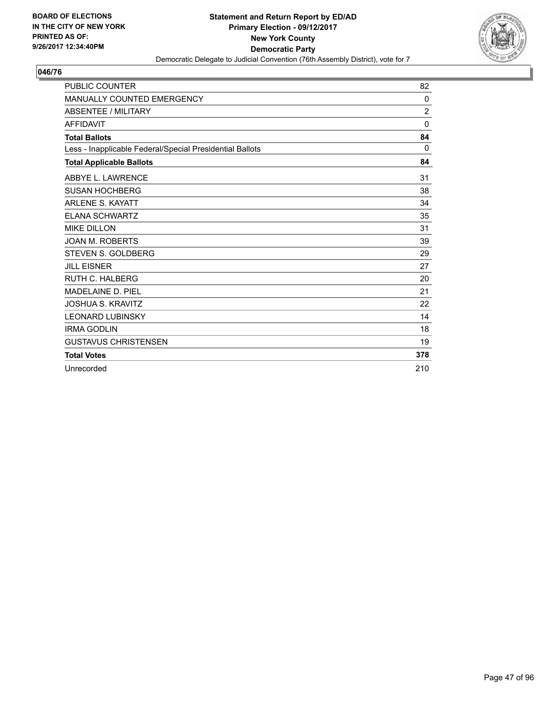

| <b>PUBLIC COUNTER</b>                                    | 82             |
|----------------------------------------------------------|----------------|
| <b>MANUALLY COUNTED EMERGENCY</b>                        | $\mathbf{0}$   |
| ABSENTEE / MILITARY                                      | $\overline{2}$ |
| <b>AFFIDAVIT</b>                                         | $\mathbf{0}$   |
| <b>Total Ballots</b>                                     | 84             |
| Less - Inapplicable Federal/Special Presidential Ballots | $\Omega$       |
| <b>Total Applicable Ballots</b>                          | 84             |
| ABBYE L. LAWRENCE                                        | 31             |
| <b>SUSAN HOCHBERG</b>                                    | 38             |
| <b>ARLENE S. KAYATT</b>                                  | 34             |
| <b>ELANA SCHWARTZ</b>                                    | 35             |
| <b>MIKE DILLON</b>                                       | 31             |
| <b>JOAN M. ROBERTS</b>                                   | 39             |
| <b>STEVEN S. GOLDBERG</b>                                | 29             |
| <b>JILL EISNER</b>                                       | 27             |
| <b>RUTH C. HALBERG</b>                                   | 20             |
| <b>MADELAINE D. PIEL</b>                                 | 21             |
| <b>JOSHUA S. KRAVITZ</b>                                 | 22             |
| <b>LEONARD LUBINSKY</b>                                  | 14             |
| <b>IRMA GODLIN</b>                                       | 18             |
| <b>GUSTAVUS CHRISTENSEN</b>                              | 19             |
| <b>Total Votes</b>                                       | 378            |
| Unrecorded                                               | 210            |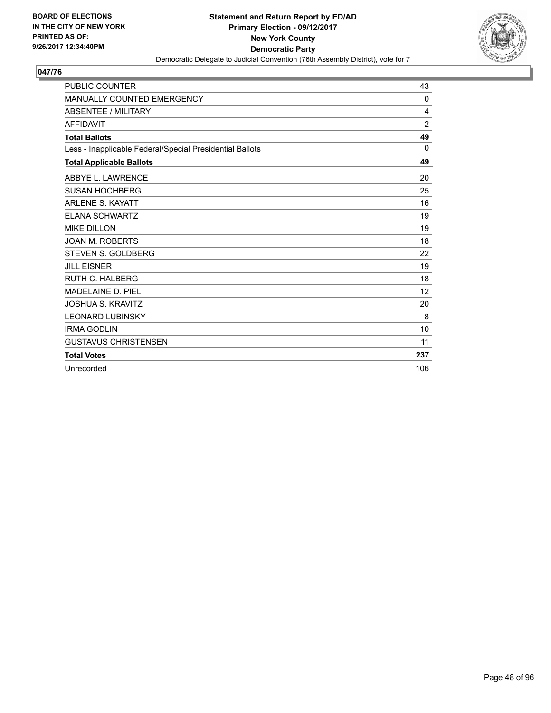

| <b>PUBLIC COUNTER</b>                                    | 43             |
|----------------------------------------------------------|----------------|
| <b>MANUALLY COUNTED EMERGENCY</b>                        | $\Omega$       |
| <b>ABSENTEE / MILITARY</b>                               | 4              |
| <b>AFFIDAVIT</b>                                         | $\overline{2}$ |
| <b>Total Ballots</b>                                     | 49             |
| Less - Inapplicable Federal/Special Presidential Ballots | $\Omega$       |
| <b>Total Applicable Ballots</b>                          | 49             |
| ABBYE L. LAWRENCE                                        | 20             |
| <b>SUSAN HOCHBERG</b>                                    | 25             |
| <b>ARLENE S. KAYATT</b>                                  | 16             |
| <b>ELANA SCHWARTZ</b>                                    | 19             |
| <b>MIKE DILLON</b>                                       | 19             |
| <b>JOAN M. ROBERTS</b>                                   | 18             |
| <b>STEVEN S. GOLDBERG</b>                                | 22             |
| <b>JILL EISNER</b>                                       | 19             |
| <b>RUTH C. HALBERG</b>                                   | 18             |
| <b>MADELAINE D. PIEL</b>                                 | 12             |
| <b>JOSHUA S. KRAVITZ</b>                                 | 20             |
| <b>LEONARD LUBINSKY</b>                                  | 8              |
| <b>IRMA GODLIN</b>                                       | 10             |
| <b>GUSTAVUS CHRISTENSEN</b>                              | 11             |
| <b>Total Votes</b>                                       | 237            |
| Unrecorded                                               | 106            |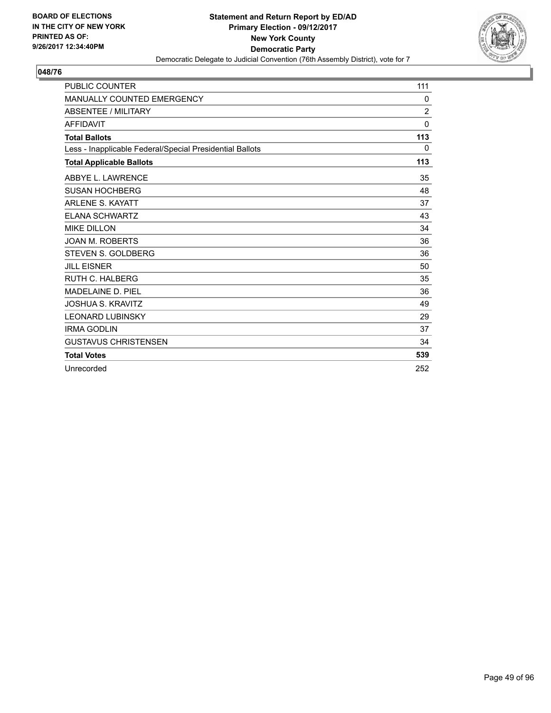

| <b>PUBLIC COUNTER</b>                                    | 111            |
|----------------------------------------------------------|----------------|
| <b>MANUALLY COUNTED EMERGENCY</b>                        | 0              |
| <b>ABSENTEE / MILITARY</b>                               | $\overline{2}$ |
| <b>AFFIDAVIT</b>                                         | $\mathbf{0}$   |
| <b>Total Ballots</b>                                     | 113            |
| Less - Inapplicable Federal/Special Presidential Ballots | 0              |
| <b>Total Applicable Ballots</b>                          | 113            |
| ABBYE L. LAWRENCE                                        | 35             |
| <b>SUSAN HOCHBERG</b>                                    | 48             |
| <b>ARLENE S. KAYATT</b>                                  | 37             |
| <b>ELANA SCHWARTZ</b>                                    | 43             |
| <b>MIKE DILLON</b>                                       | 34             |
| <b>JOAN M. ROBERTS</b>                                   | 36             |
| STEVEN S. GOLDBERG                                       | 36             |
| <b>JILL EISNER</b>                                       | 50             |
| RUTH C. HALBERG                                          | 35             |
| <b>MADELAINE D. PIEL</b>                                 | 36             |
| <b>JOSHUA S. KRAVITZ</b>                                 | 49             |
| <b>LEONARD LUBINSKY</b>                                  | 29             |
| <b>IRMA GODLIN</b>                                       | 37             |
| <b>GUSTAVUS CHRISTENSEN</b>                              | 34             |
| <b>Total Votes</b>                                       | 539            |
| Unrecorded                                               | 252            |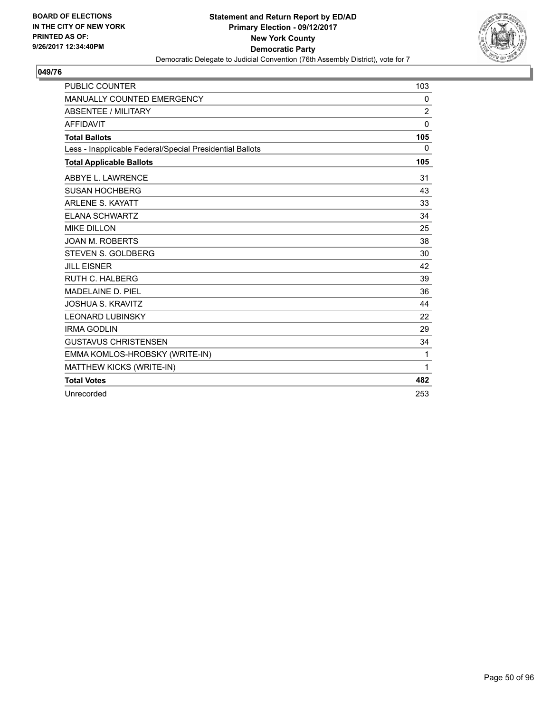

| <b>PUBLIC COUNTER</b>                                    | 103            |
|----------------------------------------------------------|----------------|
| MANUALLY COUNTED EMERGENCY                               | 0              |
| <b>ABSENTEE / MILITARY</b>                               | $\overline{2}$ |
| <b>AFFIDAVIT</b>                                         | $\Omega$       |
| <b>Total Ballots</b>                                     | 105            |
| Less - Inapplicable Federal/Special Presidential Ballots | 0              |
| <b>Total Applicable Ballots</b>                          | 105            |
| ABBYE L. LAWRENCE                                        | 31             |
| <b>SUSAN HOCHBERG</b>                                    | 43             |
| <b>ARLENE S. KAYATT</b>                                  | 33             |
| <b>ELANA SCHWARTZ</b>                                    | 34             |
| <b>MIKE DILLON</b>                                       | 25             |
| <b>JOAN M. ROBERTS</b>                                   | 38             |
| STEVEN S. GOLDBERG                                       | 30             |
| <b>JILL EISNER</b>                                       | 42             |
| <b>RUTH C. HALBERG</b>                                   | 39             |
| <b>MADELAINE D. PIEL</b>                                 | 36             |
| <b>JOSHUA S. KRAVITZ</b>                                 | 44             |
| <b>LEONARD LUBINSKY</b>                                  | 22             |
| <b>IRMA GODLIN</b>                                       | 29             |
| <b>GUSTAVUS CHRISTENSEN</b>                              | 34             |
| EMMA KOMLOS-HROBSKY (WRITE-IN)                           | 1              |
| MATTHEW KICKS (WRITE-IN)                                 | 1              |
| <b>Total Votes</b>                                       | 482            |
| Unrecorded                                               | 253            |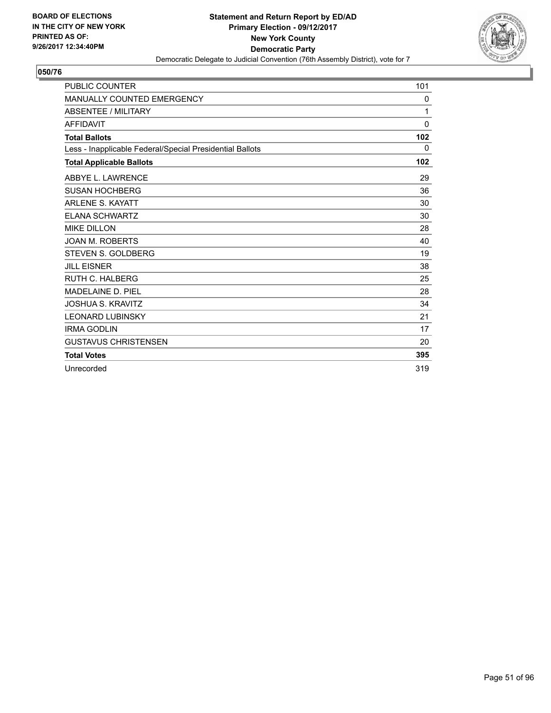

| <b>PUBLIC COUNTER</b>                                    | 101          |
|----------------------------------------------------------|--------------|
| <b>MANUALLY COUNTED EMERGENCY</b>                        | 0            |
| ABSENTEE / MILITARY                                      | 1            |
| <b>AFFIDAVIT</b>                                         | $\mathbf{0}$ |
| <b>Total Ballots</b>                                     | 102          |
| Less - Inapplicable Federal/Special Presidential Ballots | 0            |
| <b>Total Applicable Ballots</b>                          | 102          |
| ABBYE L. LAWRENCE                                        | 29           |
| <b>SUSAN HOCHBERG</b>                                    | 36           |
| <b>ARLENE S. KAYATT</b>                                  | 30           |
| <b>ELANA SCHWARTZ</b>                                    | 30           |
| <b>MIKE DILLON</b>                                       | 28           |
| <b>JOAN M. ROBERTS</b>                                   | 40           |
| <b>STEVEN S. GOLDBERG</b>                                | 19           |
| <b>JILL EISNER</b>                                       | 38           |
| <b>RUTH C. HALBERG</b>                                   | 25           |
| <b>MADELAINE D. PIEL</b>                                 | 28           |
| <b>JOSHUA S. KRAVITZ</b>                                 | 34           |
| <b>LEONARD LUBINSKY</b>                                  | 21           |
| <b>IRMA GODLIN</b>                                       | 17           |
| <b>GUSTAVUS CHRISTENSEN</b>                              | 20           |
| <b>Total Votes</b>                                       | 395          |
| Unrecorded                                               | 319          |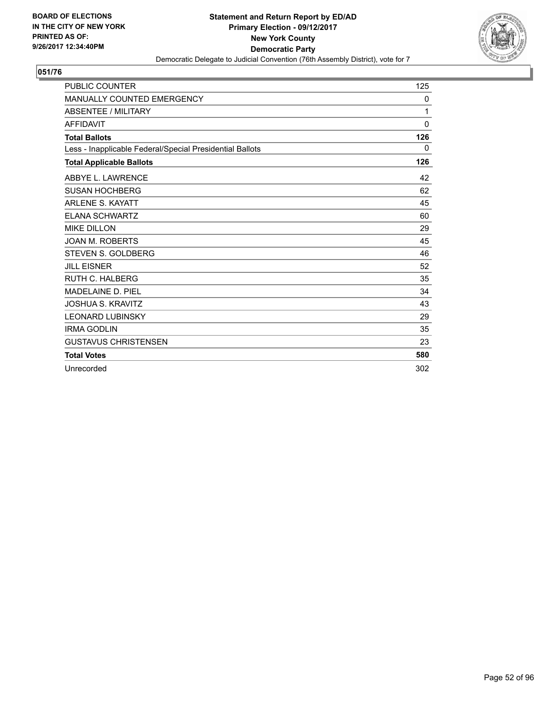

| <b>PUBLIC COUNTER</b>                                    | 125          |
|----------------------------------------------------------|--------------|
| <b>MANUALLY COUNTED EMERGENCY</b>                        | 0            |
| <b>ABSENTEE / MILITARY</b>                               | 1            |
| <b>AFFIDAVIT</b>                                         | $\mathbf{0}$ |
| <b>Total Ballots</b>                                     | 126          |
| Less - Inapplicable Federal/Special Presidential Ballots | 0            |
| <b>Total Applicable Ballots</b>                          | 126          |
| ABBYE L. LAWRENCE                                        | 42           |
| <b>SUSAN HOCHBERG</b>                                    | 62           |
| <b>ARLENE S. KAYATT</b>                                  | 45           |
| <b>ELANA SCHWARTZ</b>                                    | 60           |
| <b>MIKE DILLON</b>                                       | 29           |
| <b>JOAN M. ROBERTS</b>                                   | 45           |
| <b>STEVEN S. GOLDBERG</b>                                | 46           |
| <b>JILL EISNER</b>                                       | 52           |
| <b>RUTH C. HALBERG</b>                                   | 35           |
| <b>MADELAINE D. PIEL</b>                                 | 34           |
| <b>JOSHUA S. KRAVITZ</b>                                 | 43           |
| <b>LEONARD LUBINSKY</b>                                  | 29           |
| <b>IRMA GODLIN</b>                                       | 35           |
| <b>GUSTAVUS CHRISTENSEN</b>                              | 23           |
| <b>Total Votes</b>                                       | 580          |
| Unrecorded                                               | 302          |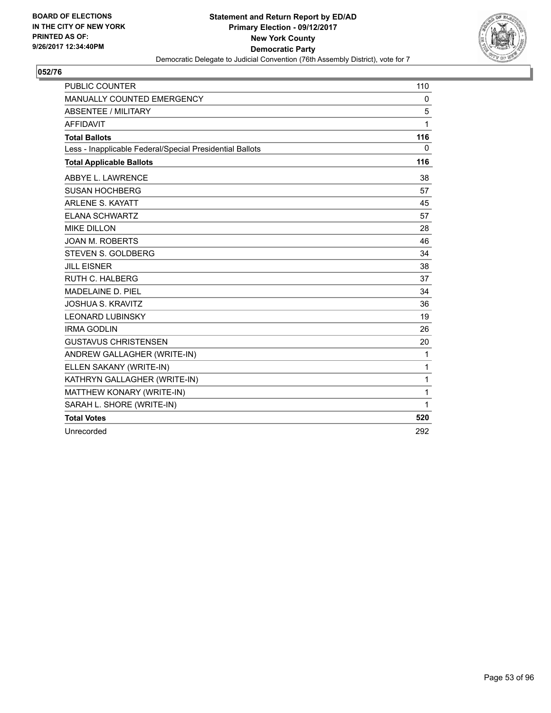

| <b>PUBLIC COUNTER</b>                                    | 110          |
|----------------------------------------------------------|--------------|
| MANUALLY COUNTED EMERGENCY                               | 0            |
| <b>ABSENTEE / MILITARY</b>                               | 5            |
| <b>AFFIDAVIT</b>                                         | 1            |
| <b>Total Ballots</b>                                     | 116          |
| Less - Inapplicable Federal/Special Presidential Ballots | $\mathbf{0}$ |
| <b>Total Applicable Ballots</b>                          | 116          |
| ABBYE L. LAWRENCE                                        | 38           |
| <b>SUSAN HOCHBERG</b>                                    | 57           |
| <b>ARLENE S. KAYATT</b>                                  | 45           |
| <b>ELANA SCHWARTZ</b>                                    | 57           |
| <b>MIKE DILLON</b>                                       | 28           |
| <b>JOAN M. ROBERTS</b>                                   | 46           |
| <b>STEVEN S. GOLDBERG</b>                                | 34           |
| <b>JILL EISNER</b>                                       | 38           |
| RUTH C. HALBERG                                          | 37           |
| MADELAINE D. PIEL                                        | 34           |
| <b>JOSHUA S. KRAVITZ</b>                                 | 36           |
| <b>LEONARD LUBINSKY</b>                                  | 19           |
| <b>IRMA GODLIN</b>                                       | 26           |
| <b>GUSTAVUS CHRISTENSEN</b>                              | 20           |
| ANDREW GALLAGHER (WRITE-IN)                              | 1            |
| ELLEN SAKANY (WRITE-IN)                                  | 1            |
| KATHRYN GALLAGHER (WRITE-IN)                             | 1            |
| MATTHEW KONARY (WRITE-IN)                                | 1            |
| SARAH L. SHORE (WRITE-IN)                                | 1            |
| <b>Total Votes</b>                                       | 520          |
| Unrecorded                                               | 292          |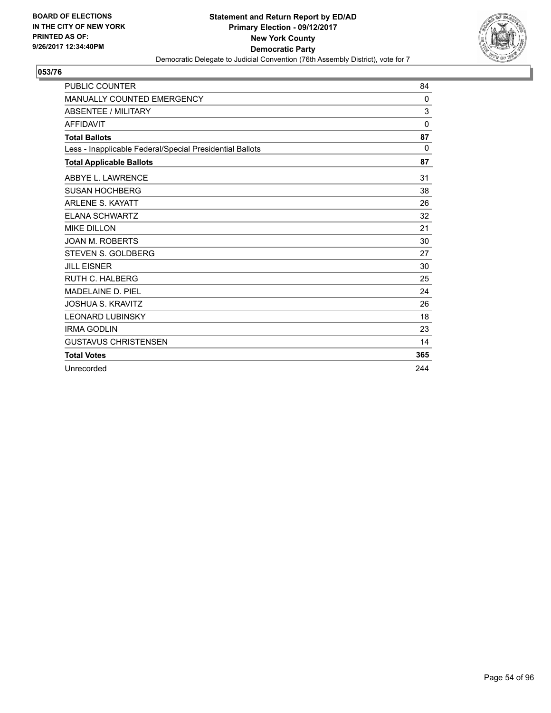

| <b>PUBLIC COUNTER</b>                                    | 84       |
|----------------------------------------------------------|----------|
| <b>MANUALLY COUNTED EMERGENCY</b>                        | $\Omega$ |
| ABSENTEE / MILITARY                                      | 3        |
| <b>AFFIDAVIT</b>                                         | $\Omega$ |
| <b>Total Ballots</b>                                     | 87       |
| Less - Inapplicable Federal/Special Presidential Ballots | 0        |
| <b>Total Applicable Ballots</b>                          | 87       |
| ABBYE L. LAWRENCE                                        | 31       |
| <b>SUSAN HOCHBERG</b>                                    | 38       |
| <b>ARLENE S. KAYATT</b>                                  | 26       |
| <b>ELANA SCHWARTZ</b>                                    | 32       |
| <b>MIKE DILLON</b>                                       | 21       |
| <b>JOAN M. ROBERTS</b>                                   | 30       |
| <b>STEVEN S. GOLDBERG</b>                                | 27       |
| <b>JILL EISNER</b>                                       | 30       |
| <b>RUTH C. HALBERG</b>                                   | 25       |
| <b>MADELAINE D. PIEL</b>                                 | 24       |
| <b>JOSHUA S. KRAVITZ</b>                                 | 26       |
| <b>LEONARD LUBINSKY</b>                                  | 18       |
| <b>IRMA GODLIN</b>                                       | 23       |
| <b>GUSTAVUS CHRISTENSEN</b>                              | 14       |
| <b>Total Votes</b>                                       | 365      |
| Unrecorded                                               | 244      |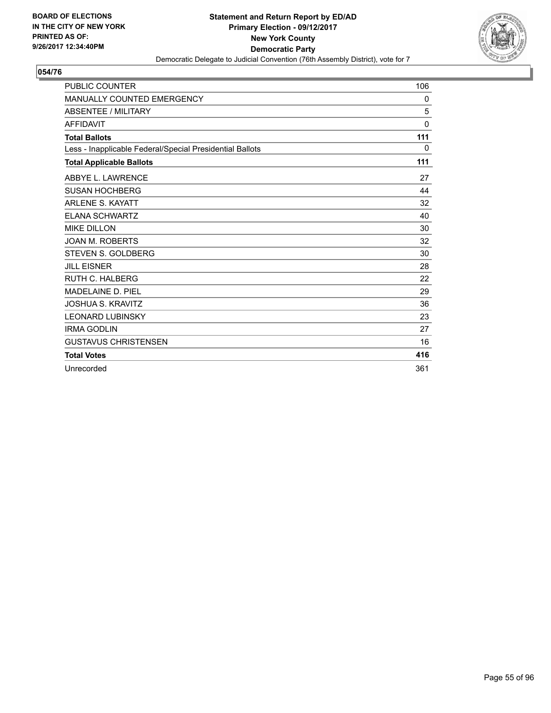

| <b>PUBLIC COUNTER</b>                                    | 106          |
|----------------------------------------------------------|--------------|
| <b>MANUALLY COUNTED EMERGENCY</b>                        | 0            |
| <b>ABSENTEE / MILITARY</b>                               | 5            |
| <b>AFFIDAVIT</b>                                         | $\mathbf{0}$ |
| <b>Total Ballots</b>                                     | 111          |
| Less - Inapplicable Federal/Special Presidential Ballots | 0            |
| <b>Total Applicable Ballots</b>                          | 111          |
| ABBYE L. LAWRENCE                                        | 27           |
| <b>SUSAN HOCHBERG</b>                                    | 44           |
| <b>ARLENE S. KAYATT</b>                                  | 32           |
| <b>ELANA SCHWARTZ</b>                                    | 40           |
| <b>MIKE DILLON</b>                                       | 30           |
| <b>JOAN M. ROBERTS</b>                                   | 32           |
| STEVEN S. GOLDBERG                                       | 30           |
| <b>JILL EISNER</b>                                       | 28           |
| <b>RUTH C. HALBERG</b>                                   | 22           |
| MADELAINE D. PIEL                                        | 29           |
| <b>JOSHUA S. KRAVITZ</b>                                 | 36           |
| <b>LEONARD LUBINSKY</b>                                  | 23           |
| <b>IRMA GODLIN</b>                                       | 27           |
| <b>GUSTAVUS CHRISTENSEN</b>                              | 16           |
| <b>Total Votes</b>                                       | 416          |
| Unrecorded                                               | 361          |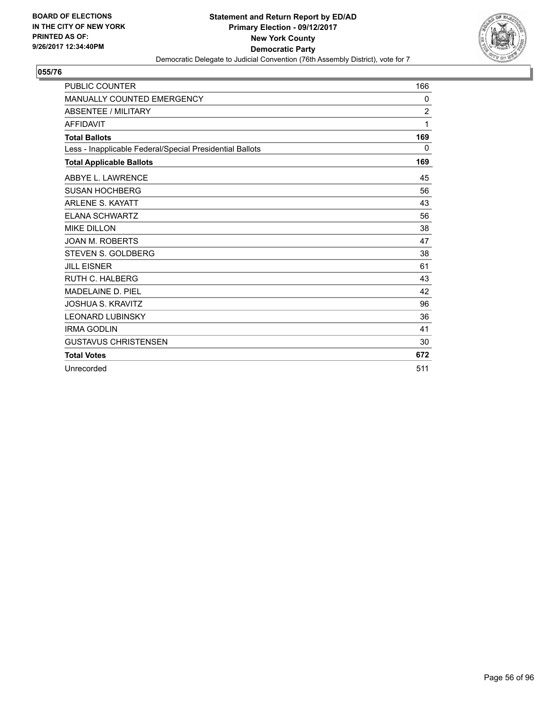

| <b>PUBLIC COUNTER</b>                                    | 166            |
|----------------------------------------------------------|----------------|
| <b>MANUALLY COUNTED EMERGENCY</b>                        | 0              |
| <b>ABSENTEE / MILITARY</b>                               | $\overline{2}$ |
| <b>AFFIDAVIT</b>                                         | 1              |
| <b>Total Ballots</b>                                     | 169            |
| Less - Inapplicable Federal/Special Presidential Ballots | 0              |
| <b>Total Applicable Ballots</b>                          | 169            |
| ABBYE L. LAWRENCE                                        | 45             |
| <b>SUSAN HOCHBERG</b>                                    | 56             |
| <b>ARLENE S. KAYATT</b>                                  | 43             |
| <b>ELANA SCHWARTZ</b>                                    | 56             |
| <b>MIKE DILLON</b>                                       | 38             |
| <b>JOAN M. ROBERTS</b>                                   | 47             |
| <b>STEVEN S. GOLDBERG</b>                                | 38             |
| <b>JILL EISNER</b>                                       | 61             |
| <b>RUTH C. HALBERG</b>                                   | 43             |
| <b>MADELAINE D. PIEL</b>                                 | 42             |
| <b>JOSHUA S. KRAVITZ</b>                                 | 96             |
| <b>LEONARD LUBINSKY</b>                                  | 36             |
| <b>IRMA GODLIN</b>                                       | 41             |
| <b>GUSTAVUS CHRISTENSEN</b>                              | 30             |
| <b>Total Votes</b>                                       | 672            |
| Unrecorded                                               | 511            |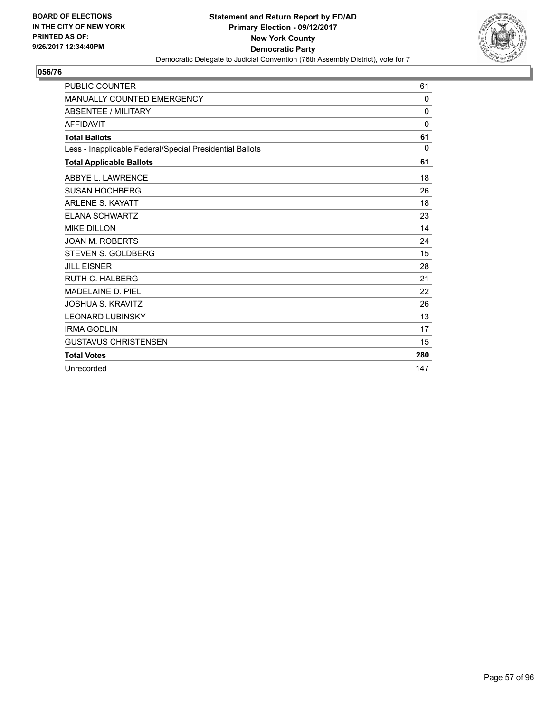

| <b>PUBLIC COUNTER</b>                                    | 61           |
|----------------------------------------------------------|--------------|
| <b>MANUALLY COUNTED EMERGENCY</b>                        | $\mathbf{0}$ |
| <b>ABSENTEE / MILITARY</b>                               | 0            |
| <b>AFFIDAVIT</b>                                         | $\Omega$     |
| <b>Total Ballots</b>                                     | 61           |
| Less - Inapplicable Federal/Special Presidential Ballots | $\Omega$     |
| <b>Total Applicable Ballots</b>                          | 61           |
| ABBYE L. LAWRENCE                                        | 18           |
| <b>SUSAN HOCHBERG</b>                                    | 26           |
| <b>ARLENE S. KAYATT</b>                                  | 18           |
| <b>ELANA SCHWARTZ</b>                                    | 23           |
| <b>MIKE DILLON</b>                                       | 14           |
| <b>JOAN M. ROBERTS</b>                                   | 24           |
| STEVEN S. GOLDBERG                                       | 15           |
| <b>JILL EISNER</b>                                       | 28           |
| RUTH C. HALBERG                                          | 21           |
| MADELAINE D. PIEL                                        | 22           |
| <b>JOSHUA S. KRAVITZ</b>                                 | 26           |
| <b>LEONARD LUBINSKY</b>                                  | 13           |
| <b>IRMA GODLIN</b>                                       | 17           |
| <b>GUSTAVUS CHRISTENSEN</b>                              | 15           |
| <b>Total Votes</b>                                       | 280          |
| Unrecorded                                               | 147          |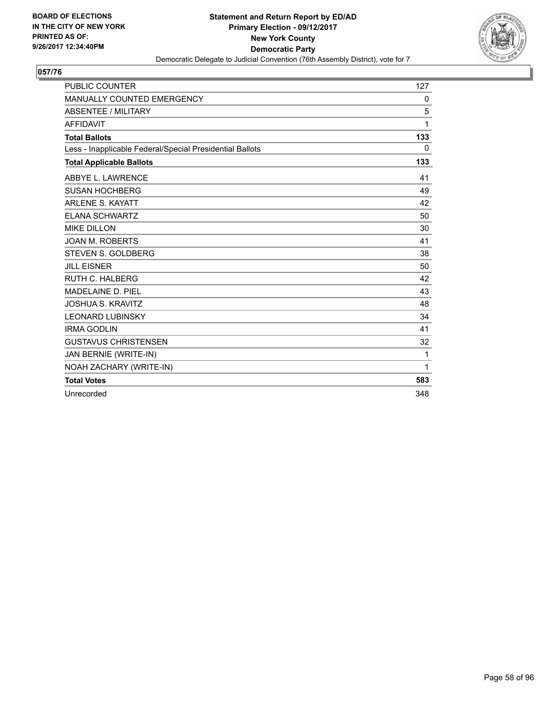

| <b>PUBLIC COUNTER</b>                                    | 127          |
|----------------------------------------------------------|--------------|
| MANUALLY COUNTED EMERGENCY                               | 0            |
| <b>ABSENTEE / MILITARY</b>                               | 5            |
| <b>AFFIDAVIT</b>                                         | 1            |
| <b>Total Ballots</b>                                     | 133          |
| Less - Inapplicable Federal/Special Presidential Ballots | $\mathbf{0}$ |
| <b>Total Applicable Ballots</b>                          | 133          |
| ABBYE L. LAWRENCE                                        | 41           |
| <b>SUSAN HOCHBERG</b>                                    | 49           |
| <b>ARLENE S. KAYATT</b>                                  | 42           |
| <b>ELANA SCHWARTZ</b>                                    | 50           |
| <b>MIKE DILLON</b>                                       | 30           |
| <b>JOAN M. ROBERTS</b>                                   | 41           |
| STEVEN S. GOLDBERG                                       | 38           |
| <b>JILL EISNER</b>                                       | 50           |
| <b>RUTH C. HALBERG</b>                                   | 42           |
| <b>MADELAINE D. PIEL</b>                                 | 43           |
| <b>JOSHUA S. KRAVITZ</b>                                 | 48           |
| <b>LEONARD LUBINSKY</b>                                  | 34           |
| <b>IRMA GODLIN</b>                                       | 41           |
| <b>GUSTAVUS CHRISTENSEN</b>                              | 32           |
| JAN BERNIE (WRITE-IN)                                    | 1            |
| NOAH ZACHARY (WRITE-IN)                                  | 1            |
| <b>Total Votes</b>                                       | 583          |
| Unrecorded                                               | 348          |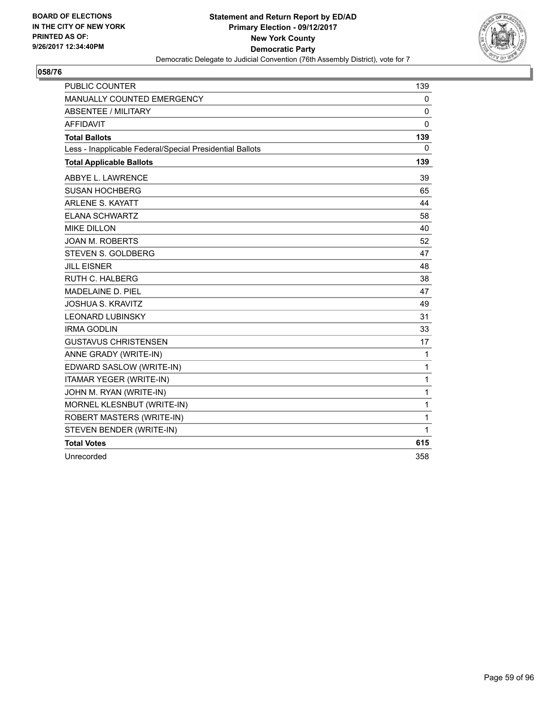

| <b>PUBLIC COUNTER</b>                                    | 139          |
|----------------------------------------------------------|--------------|
| MANUALLY COUNTED EMERGENCY                               | 0            |
| <b>ABSENTEE / MILITARY</b>                               | $\Omega$     |
| <b>AFFIDAVIT</b>                                         | $\Omega$     |
| <b>Total Ballots</b>                                     | 139          |
| Less - Inapplicable Federal/Special Presidential Ballots | $\Omega$     |
| <b>Total Applicable Ballots</b>                          | 139          |
| ABBYE L. LAWRENCE                                        | 39           |
| <b>SUSAN HOCHBERG</b>                                    | 65           |
| <b>ARLENE S. KAYATT</b>                                  | 44           |
| <b>ELANA SCHWARTZ</b>                                    | 58           |
| <b>MIKE DILLON</b>                                       | 40           |
| <b>JOAN M. ROBERTS</b>                                   | 52           |
| <b>STEVEN S. GOLDBERG</b>                                | 47           |
| <b>JILL EISNER</b>                                       | 48           |
| <b>RUTH C. HALBERG</b>                                   | 38           |
| MADELAINE D. PIEL                                        | 47           |
| <b>JOSHUA S. KRAVITZ</b>                                 | 49           |
| <b>LEONARD LUBINSKY</b>                                  | 31           |
| <b>IRMA GODI IN</b>                                      | 33           |
| <b>GUSTAVUS CHRISTENSEN</b>                              | 17           |
| ANNE GRADY (WRITE-IN)                                    | $\mathbf{1}$ |
| EDWARD SASLOW (WRITE-IN)                                 | 1            |
| ITAMAR YEGER (WRITE-IN)                                  | 1            |
| JOHN M. RYAN (WRITE-IN)                                  | 1            |
| MORNEL KLESNBUT (WRITE-IN)                               | 1            |
| ROBERT MASTERS (WRITE-IN)                                | 1            |
| STEVEN BENDER (WRITE-IN)                                 | 1            |
| <b>Total Votes</b>                                       | 615          |
| Unrecorded                                               | 358          |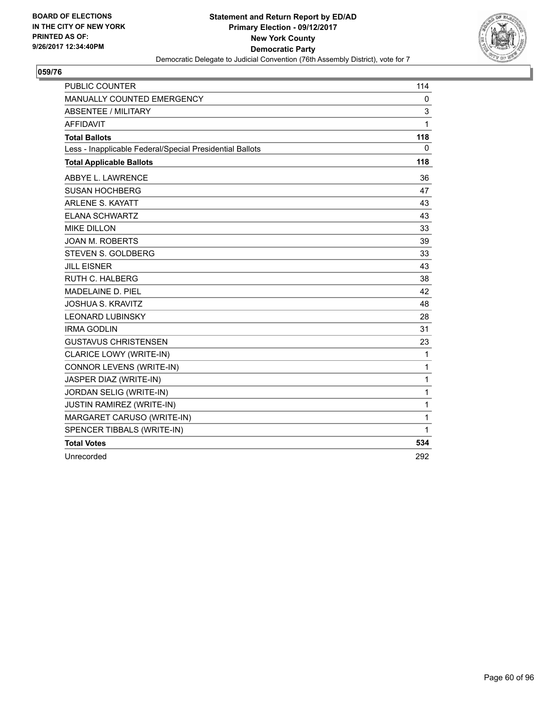

| <b>PUBLIC COUNTER</b>                                    | 114          |
|----------------------------------------------------------|--------------|
| MANUALLY COUNTED EMERGENCY                               | $\mathbf{0}$ |
| <b>ABSENTEE / MILITARY</b>                               | 3            |
| <b>AFFIDAVIT</b>                                         | 1            |
| <b>Total Ballots</b>                                     | 118          |
| Less - Inapplicable Federal/Special Presidential Ballots | 0            |
| <b>Total Applicable Ballots</b>                          | 118          |
| ABBYE L. LAWRENCE                                        | 36           |
| <b>SUSAN HOCHBERG</b>                                    | 47           |
| <b>ARLENE S. KAYATT</b>                                  | 43           |
| <b>ELANA SCHWARTZ</b>                                    | 43           |
| <b>MIKE DILLON</b>                                       | 33           |
| <b>JOAN M. ROBERTS</b>                                   | 39           |
| STEVEN S. GOLDBERG                                       | 33           |
| <b>JILL EISNER</b>                                       | 43           |
| <b>RUTH C. HALBERG</b>                                   | 38           |
| <b>MADELAINE D. PIEL</b>                                 | 42           |
| <b>JOSHUA S. KRAVITZ</b>                                 | 48           |
| <b>LEONARD LUBINSKY</b>                                  | 28           |
| <b>IRMA GODLIN</b>                                       | 31           |
| <b>GUSTAVUS CHRISTENSEN</b>                              | 23           |
| <b>CLARICE LOWY (WRITE-IN)</b>                           | $\mathbf{1}$ |
| CONNOR LEVENS (WRITE-IN)                                 | 1            |
| JASPER DIAZ (WRITE-IN)                                   | 1            |
| JORDAN SELIG (WRITE-IN)                                  | 1            |
| <b>JUSTIN RAMIREZ (WRITE-IN)</b>                         | 1            |
| MARGARET CARUSO (WRITE-IN)                               | 1            |
| SPENCER TIBBALS (WRITE-IN)                               | 1            |
| <b>Total Votes</b>                                       | 534          |
| Unrecorded                                               | 292          |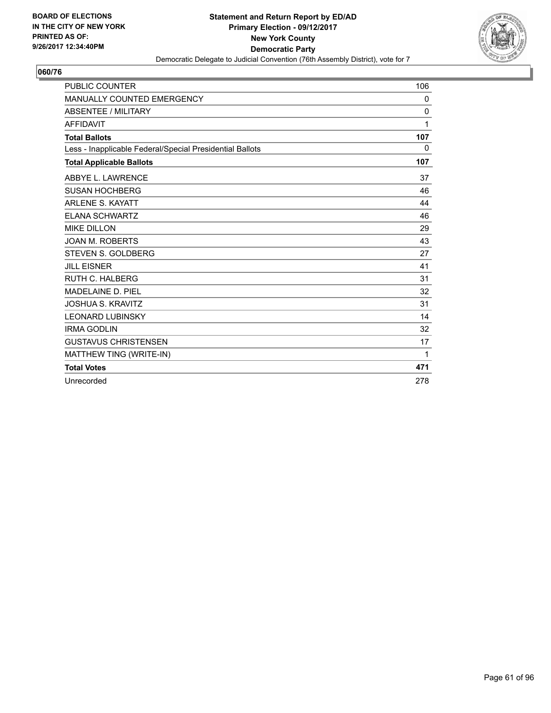

| <b>PUBLIC COUNTER</b>                                    | 106          |
|----------------------------------------------------------|--------------|
| <b>MANUALLY COUNTED EMERGENCY</b>                        | 0            |
| <b>ABSENTEE / MILITARY</b>                               | $\mathbf{0}$ |
| <b>AFFIDAVIT</b>                                         | 1            |
| <b>Total Ballots</b>                                     | 107          |
| Less - Inapplicable Federal/Special Presidential Ballots | 0            |
| <b>Total Applicable Ballots</b>                          | 107          |
| ABBYE L. LAWRENCE                                        | 37           |
| <b>SUSAN HOCHBERG</b>                                    | 46           |
| <b>ARLENE S. KAYATT</b>                                  | 44           |
| <b>ELANA SCHWARTZ</b>                                    | 46           |
| <b>MIKE DILLON</b>                                       | 29           |
| <b>JOAN M. ROBERTS</b>                                   | 43           |
| <b>STEVEN S. GOLDBERG</b>                                | 27           |
| <b>JILL EISNER</b>                                       | 41           |
| <b>RUTH C. HALBERG</b>                                   | 31           |
| MADELAINE D. PIEL                                        | 32           |
| <b>JOSHUA S. KRAVITZ</b>                                 | 31           |
| <b>LEONARD LUBINSKY</b>                                  | 14           |
| <b>IRMA GODLIN</b>                                       | 32           |
| <b>GUSTAVUS CHRISTENSEN</b>                              | 17           |
| MATTHEW TING (WRITE-IN)                                  | $\mathbf 1$  |
| <b>Total Votes</b>                                       | 471          |
| Unrecorded                                               | 278          |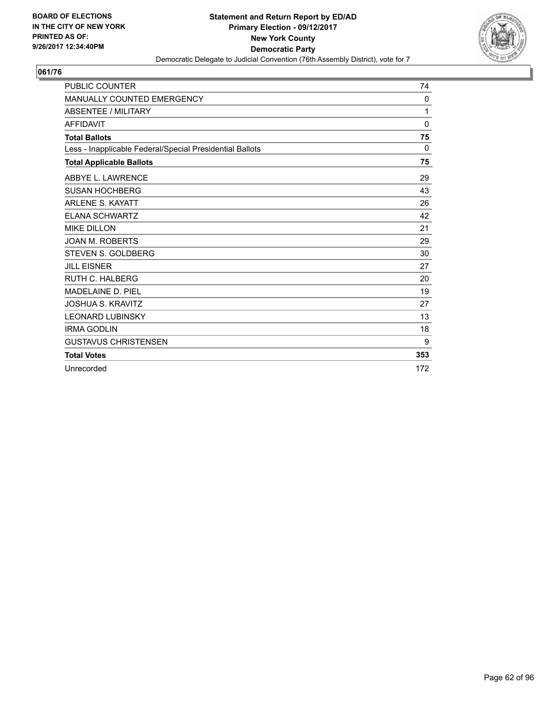

| <b>PUBLIC COUNTER</b>                                    | 74           |
|----------------------------------------------------------|--------------|
| <b>MANUALLY COUNTED EMERGENCY</b>                        | 0            |
| <b>ABSENTEE / MILITARY</b>                               | 1            |
| <b>AFFIDAVIT</b>                                         | $\mathbf{0}$ |
| <b>Total Ballots</b>                                     | 75           |
| Less - Inapplicable Federal/Special Presidential Ballots | $\Omega$     |
| <b>Total Applicable Ballots</b>                          | 75           |
| ABBYE L. LAWRENCE                                        | 29           |
| <b>SUSAN HOCHBERG</b>                                    | 43           |
| <b>ARLENE S. KAYATT</b>                                  | 26           |
| <b>ELANA SCHWARTZ</b>                                    | 42           |
| <b>MIKE DILLON</b>                                       | 21           |
| <b>JOAN M. ROBERTS</b>                                   | 29           |
| <b>STEVEN S. GOLDBERG</b>                                | 30           |
| <b>JILL EISNER</b>                                       | 27           |
| <b>RUTH C. HALBERG</b>                                   | 20           |
| <b>MADELAINE D. PIEL</b>                                 | 19           |
| <b>JOSHUA S. KRAVITZ</b>                                 | 27           |
| <b>LEONARD LUBINSKY</b>                                  | 13           |
| <b>IRMA GODLIN</b>                                       | 18           |
| <b>GUSTAVUS CHRISTENSEN</b>                              | 9            |
| <b>Total Votes</b>                                       | 353          |
| Unrecorded                                               | 172          |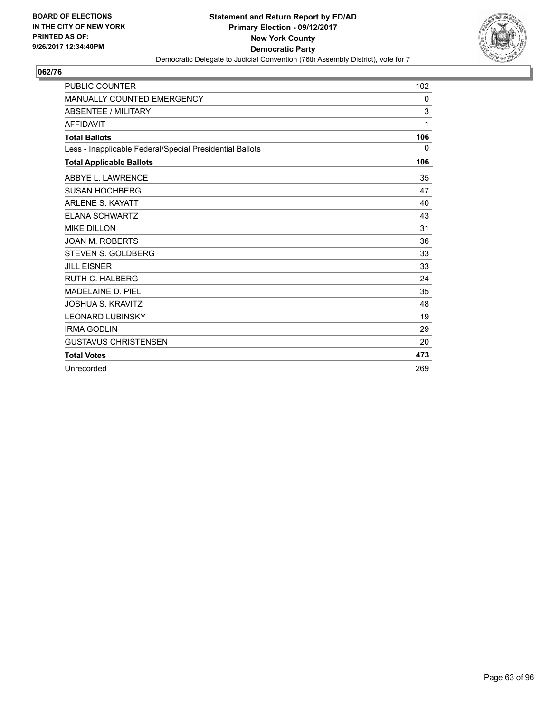

| <b>PUBLIC COUNTER</b>                                    | 102 |
|----------------------------------------------------------|-----|
| <b>MANUALLY COUNTED EMERGENCY</b>                        | 0   |
| <b>ABSENTEE / MILITARY</b>                               | 3   |
| <b>AFFIDAVIT</b>                                         | 1   |
| <b>Total Ballots</b>                                     | 106 |
| Less - Inapplicable Federal/Special Presidential Ballots | 0   |
| <b>Total Applicable Ballots</b>                          | 106 |
| ABBYE L. LAWRENCE                                        | 35  |
| <b>SUSAN HOCHBERG</b>                                    | 47  |
| <b>ARLENE S. KAYATT</b>                                  | 40  |
| <b>ELANA SCHWARTZ</b>                                    | 43  |
| <b>MIKE DILLON</b>                                       | 31  |
| <b>JOAN M. ROBERTS</b>                                   | 36  |
| <b>STEVEN S. GOLDBERG</b>                                | 33  |
| <b>JILL EISNER</b>                                       | 33  |
| <b>RUTH C. HALBERG</b>                                   | 24  |
| <b>MADELAINE D. PIEL</b>                                 | 35  |
| <b>JOSHUA S. KRAVITZ</b>                                 | 48  |
| <b>LEONARD LUBINSKY</b>                                  | 19  |
| <b>IRMA GODLIN</b>                                       | 29  |
| <b>GUSTAVUS CHRISTENSEN</b>                              | 20  |
| <b>Total Votes</b>                                       | 473 |
| Unrecorded                                               | 269 |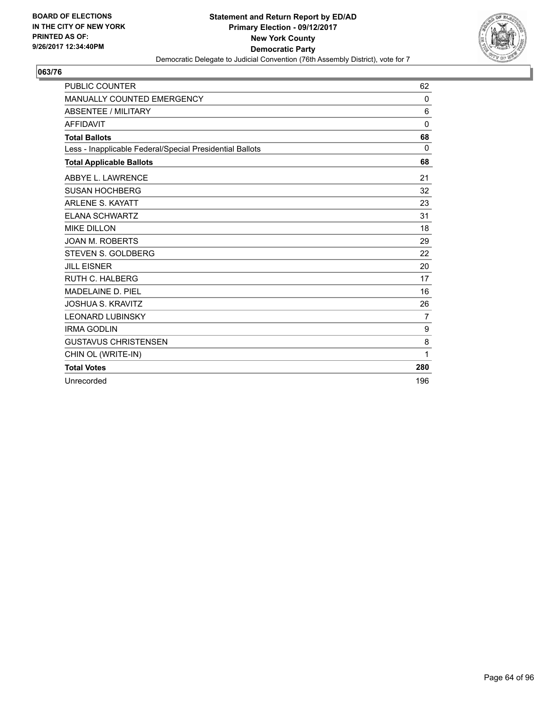

| PUBLIC COUNTER                                           | 62             |
|----------------------------------------------------------|----------------|
| <b>MANUALLY COUNTED EMERGENCY</b>                        | $\mathbf{0}$   |
| <b>ABSENTEE / MILITARY</b>                               | 6              |
| <b>AFFIDAVIT</b>                                         | $\mathbf{0}$   |
| <b>Total Ballots</b>                                     | 68             |
| Less - Inapplicable Federal/Special Presidential Ballots | $\Omega$       |
| <b>Total Applicable Ballots</b>                          | 68             |
| ABBYE L. LAWRENCE                                        | 21             |
| <b>SUSAN HOCHBERG</b>                                    | 32             |
| <b>ARLENE S. KAYATT</b>                                  | 23             |
| <b>ELANA SCHWARTZ</b>                                    | 31             |
| <b>MIKE DILLON</b>                                       | 18             |
| <b>JOAN M. ROBERTS</b>                                   | 29             |
| <b>STEVEN S. GOLDBERG</b>                                | 22             |
| <b>JILL EISNER</b>                                       | 20             |
| <b>RUTH C. HALBERG</b>                                   | 17             |
| <b>MADELAINE D. PIEL</b>                                 | 16             |
| <b>JOSHUA S. KRAVITZ</b>                                 | 26             |
| <b>LEONARD LUBINSKY</b>                                  | $\overline{7}$ |
| <b>IRMA GODLIN</b>                                       | 9              |
| <b>GUSTAVUS CHRISTENSEN</b>                              | 8              |
| CHIN OL (WRITE-IN)                                       | 1              |
| <b>Total Votes</b>                                       | 280            |
| Unrecorded                                               | 196            |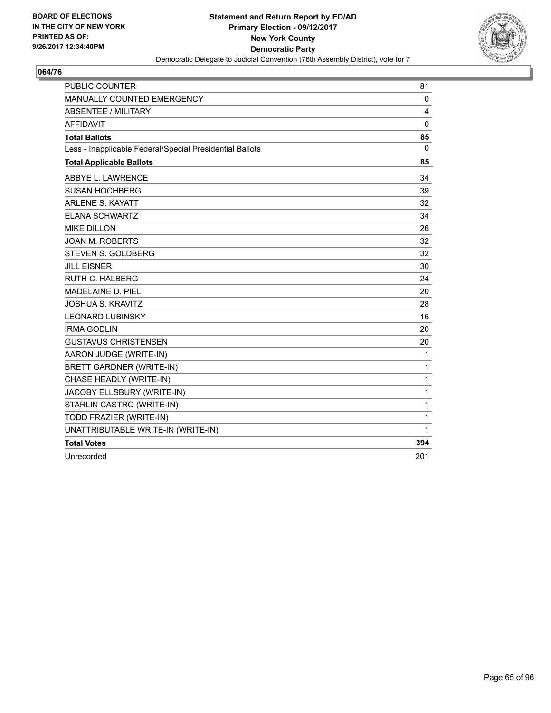

| <b>PUBLIC COUNTER</b>                                    | 81           |
|----------------------------------------------------------|--------------|
| MANUALLY COUNTED EMERGENCY                               | 0            |
| <b>ABSENTEE / MILITARY</b>                               | 4            |
| <b>AFFIDAVIT</b>                                         | $\Omega$     |
| <b>Total Ballots</b>                                     | 85           |
| Less - Inapplicable Federal/Special Presidential Ballots | $\mathbf{0}$ |
| <b>Total Applicable Ballots</b>                          | 85           |
| ABBYE L. LAWRENCE                                        | 34           |
| <b>SUSAN HOCHBERG</b>                                    | 39           |
| <b>ARLENE S. KAYATT</b>                                  | 32           |
| <b>ELANA SCHWARTZ</b>                                    | 34           |
| <b>MIKE DILLON</b>                                       | 26           |
| <b>JOAN M. ROBERTS</b>                                   | 32           |
| <b>STEVEN S. GOLDBERG</b>                                | 32           |
| <b>JILL EISNER</b>                                       | 30           |
| <b>RUTH C. HALBERG</b>                                   | 24           |
| MADELAINE D. PIEL                                        | 20           |
| <b>JOSHUA S. KRAVITZ</b>                                 | 28           |
| <b>LEONARD LUBINSKY</b>                                  | 16           |
| <b>IRMA GODLIN</b>                                       | 20           |
| <b>GUSTAVUS CHRISTENSEN</b>                              | 20           |
| AARON JUDGE (WRITE-IN)                                   | $\mathbf{1}$ |
| <b>BRETT GARDNER (WRITE-IN)</b>                          | 1            |
| CHASE HEADLY (WRITE-IN)                                  | 1            |
| JACOBY ELLSBURY (WRITE-IN)                               | 1            |
| STARLIN CASTRO (WRITE-IN)                                | 1            |
| TODD FRAZIER (WRITE-IN)                                  | 1            |
| UNATTRIBUTABLE WRITE-IN (WRITE-IN)                       | 1            |
| <b>Total Votes</b>                                       | 394          |
| Unrecorded                                               | 201          |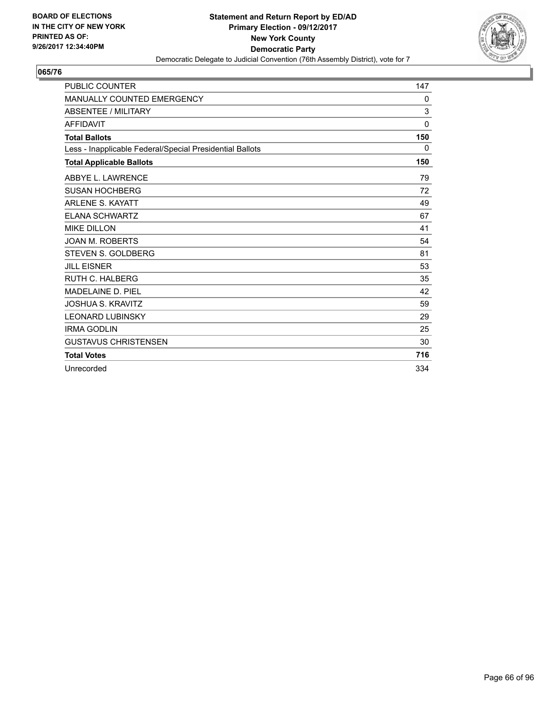

| <b>PUBLIC COUNTER</b>                                    | 147          |
|----------------------------------------------------------|--------------|
| <b>MANUALLY COUNTED EMERGENCY</b>                        | 0            |
| ABSENTEE / MILITARY                                      | 3            |
| <b>AFFIDAVIT</b>                                         | $\mathbf{0}$ |
| <b>Total Ballots</b>                                     | 150          |
| Less - Inapplicable Federal/Special Presidential Ballots | 0            |
| <b>Total Applicable Ballots</b>                          | 150          |
| ABBYE L. LAWRENCE                                        | 79           |
| <b>SUSAN HOCHBERG</b>                                    | 72           |
| <b>ARLENE S. KAYATT</b>                                  | 49           |
| <b>ELANA SCHWARTZ</b>                                    | 67           |
| <b>MIKE DILLON</b>                                       | 41           |
| <b>JOAN M. ROBERTS</b>                                   | 54           |
| <b>STEVEN S. GOLDBERG</b>                                | 81           |
| <b>JILL EISNER</b>                                       | 53           |
| <b>RUTH C. HALBERG</b>                                   | 35           |
| MADELAINE D. PIEL                                        | 42           |
| <b>JOSHUA S. KRAVITZ</b>                                 | 59           |
| <b>LEONARD LUBINSKY</b>                                  | 29           |
| <b>IRMA GODLIN</b>                                       | 25           |
| <b>GUSTAVUS CHRISTENSEN</b>                              | 30           |
| <b>Total Votes</b>                                       | 716          |
| Unrecorded                                               | 334          |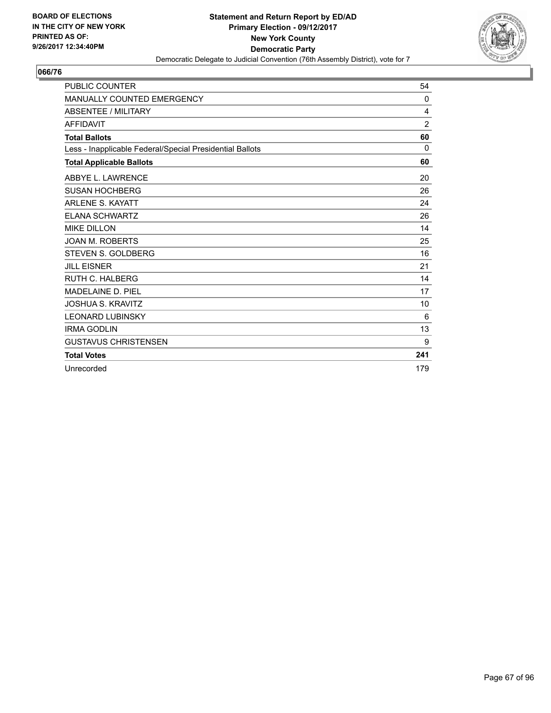

| <b>PUBLIC COUNTER</b>                                    | 54             |
|----------------------------------------------------------|----------------|
| MANUALLY COUNTED EMERGENCY                               | 0              |
| <b>ABSENTEE / MILITARY</b>                               | 4              |
| <b>AFFIDAVIT</b>                                         | $\overline{2}$ |
| <b>Total Ballots</b>                                     | 60             |
| Less - Inapplicable Federal/Special Presidential Ballots | $\Omega$       |
| <b>Total Applicable Ballots</b>                          | 60             |
| ABBYE L. LAWRENCE                                        | 20             |
| <b>SUSAN HOCHBERG</b>                                    | 26             |
| <b>ARLENE S. KAYATT</b>                                  | 24             |
| <b>ELANA SCHWARTZ</b>                                    | 26             |
| <b>MIKE DILLON</b>                                       | 14             |
| <b>JOAN M. ROBERTS</b>                                   | 25             |
| <b>STEVEN S. GOLDBERG</b>                                | 16             |
| <b>JILL EISNER</b>                                       | 21             |
| <b>RUTH C. HALBERG</b>                                   | 14             |
| MADELAINE D. PIEL                                        | 17             |
| <b>JOSHUA S. KRAVITZ</b>                                 | 10             |
| <b>LEONARD LUBINSKY</b>                                  | 6              |
| <b>IRMA GODLIN</b>                                       | 13             |
| <b>GUSTAVUS CHRISTENSEN</b>                              | 9              |
| <b>Total Votes</b>                                       | 241            |
| Unrecorded                                               | 179            |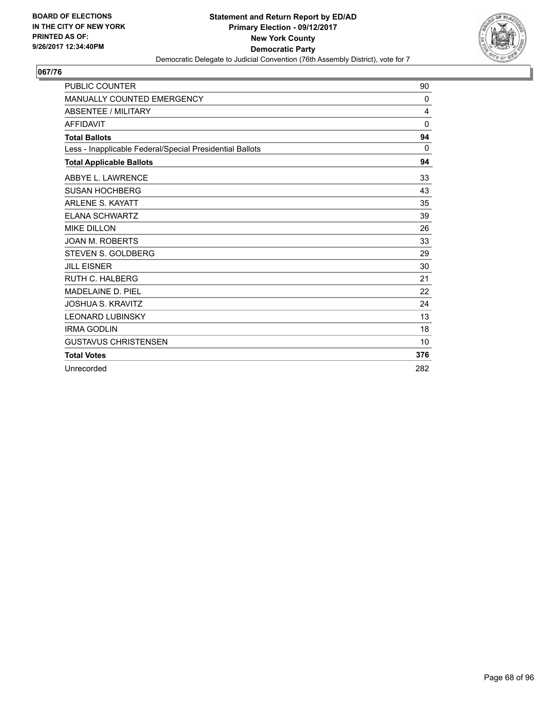

| <b>PUBLIC COUNTER</b>                                    | 90           |
|----------------------------------------------------------|--------------|
| <b>MANUALLY COUNTED EMERGENCY</b>                        | $\mathbf{0}$ |
| ABSENTEE / MILITARY                                      | 4            |
| <b>AFFIDAVIT</b>                                         | $\mathbf{0}$ |
| <b>Total Ballots</b>                                     | 94           |
| Less - Inapplicable Federal/Special Presidential Ballots | 0            |
| <b>Total Applicable Ballots</b>                          | 94           |
| ABBYE L. LAWRENCE                                        | 33           |
| <b>SUSAN HOCHBERG</b>                                    | 43           |
| <b>ARLENE S. KAYATT</b>                                  | 35           |
| <b>ELANA SCHWARTZ</b>                                    | 39           |
| <b>MIKE DILLON</b>                                       | 26           |
| <b>JOAN M. ROBERTS</b>                                   | 33           |
| <b>STEVEN S. GOLDBERG</b>                                | 29           |
| <b>JILL EISNER</b>                                       | 30           |
| <b>RUTH C. HALBERG</b>                                   | 21           |
| MADELAINE D. PIEL                                        | 22           |
| <b>JOSHUA S. KRAVITZ</b>                                 | 24           |
| <b>LEONARD LUBINSKY</b>                                  | 13           |
| <b>IRMA GODLIN</b>                                       | 18           |
| <b>GUSTAVUS CHRISTENSEN</b>                              | 10           |
| <b>Total Votes</b>                                       | 376          |
| Unrecorded                                               | 282          |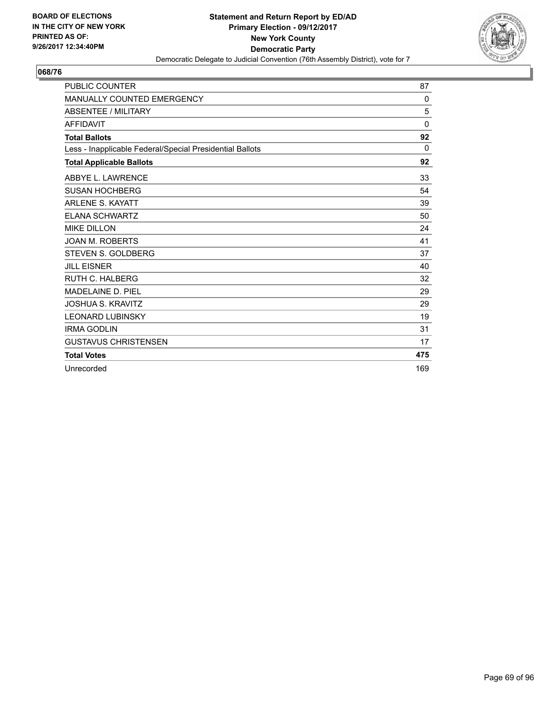

| <b>PUBLIC COUNTER</b>                                    | 87           |
|----------------------------------------------------------|--------------|
| <b>MANUALLY COUNTED EMERGENCY</b>                        | $\mathbf{0}$ |
| ABSENTEE / MILITARY                                      | 5            |
| <b>AFFIDAVIT</b>                                         | $\mathbf{0}$ |
| <b>Total Ballots</b>                                     | 92           |
| Less - Inapplicable Federal/Special Presidential Ballots | 0            |
| <b>Total Applicable Ballots</b>                          | 92           |
| ABBYE L. LAWRENCE                                        | 33           |
| <b>SUSAN HOCHBERG</b>                                    | 54           |
| <b>ARLENE S. KAYATT</b>                                  | 39           |
| <b>ELANA SCHWARTZ</b>                                    | 50           |
| <b>MIKE DILLON</b>                                       | 24           |
| <b>JOAN M. ROBERTS</b>                                   | 41           |
| <b>STEVEN S. GOLDBERG</b>                                | 37           |
| <b>JILL EISNER</b>                                       | 40           |
| <b>RUTH C. HALBERG</b>                                   | 32           |
| MADELAINE D. PIEL                                        | 29           |
| <b>JOSHUA S. KRAVITZ</b>                                 | 29           |
| <b>LEONARD LUBINSKY</b>                                  | 19           |
| <b>IRMA GODLIN</b>                                       | 31           |
| <b>GUSTAVUS CHRISTENSEN</b>                              | 17           |
| <b>Total Votes</b>                                       | 475          |
| Unrecorded                                               | 169          |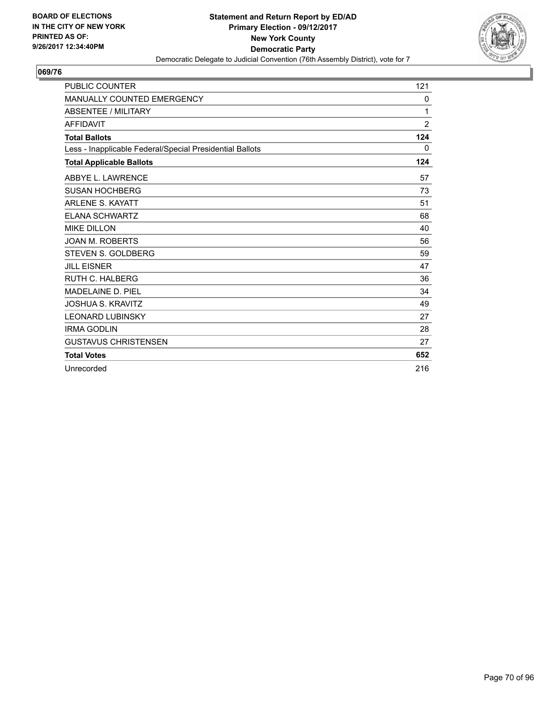

| <b>PUBLIC COUNTER</b>                                    | 121            |
|----------------------------------------------------------|----------------|
| MANUALLY COUNTED EMERGENCY                               | 0              |
| <b>ABSENTEE / MILITARY</b>                               | 1              |
| <b>AFFIDAVIT</b>                                         | $\overline{2}$ |
| <b>Total Ballots</b>                                     | 124            |
| Less - Inapplicable Federal/Special Presidential Ballots | 0              |
| <b>Total Applicable Ballots</b>                          | 124            |
| ABBYE L. LAWRENCE                                        | 57             |
| <b>SUSAN HOCHBERG</b>                                    | 73             |
| <b>ARLENE S. KAYATT</b>                                  | 51             |
| <b>ELANA SCHWARTZ</b>                                    | 68             |
| <b>MIKE DILLON</b>                                       | 40             |
| <b>JOAN M. ROBERTS</b>                                   | 56             |
| <b>STEVEN S. GOLDBERG</b>                                | 59             |
| <b>JILL EISNER</b>                                       | 47             |
| RUTH C. HALBERG                                          | 36             |
| MADELAINE D. PIEL                                        | 34             |
| <b>JOSHUA S. KRAVITZ</b>                                 | 49             |
| <b>LEONARD LUBINSKY</b>                                  | 27             |
| <b>IRMA GODLIN</b>                                       | 28             |
| <b>GUSTAVUS CHRISTENSEN</b>                              | 27             |
| <b>Total Votes</b>                                       | 652            |
| Unrecorded                                               | 216            |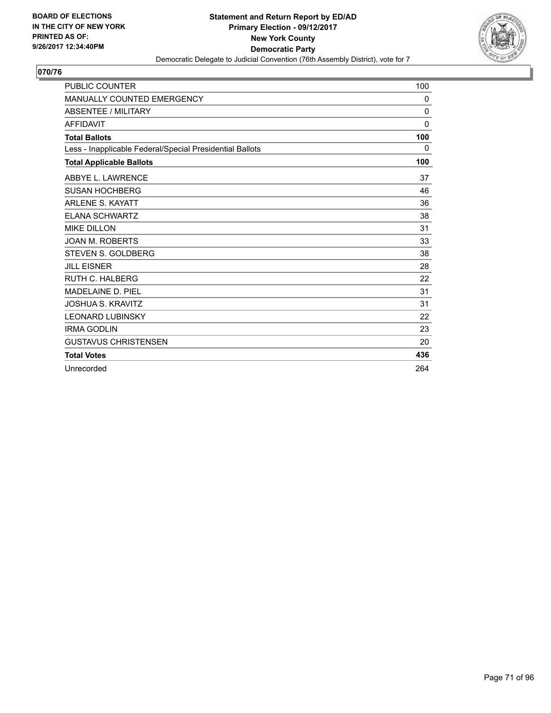

| <b>PUBLIC COUNTER</b>                                    | 100          |
|----------------------------------------------------------|--------------|
| <b>MANUALLY COUNTED EMERGENCY</b>                        | $\mathbf{0}$ |
| ABSENTEE / MILITARY                                      | 0            |
| <b>AFFIDAVIT</b>                                         | $\mathbf{0}$ |
| <b>Total Ballots</b>                                     | 100          |
| Less - Inapplicable Federal/Special Presidential Ballots | 0            |
| <b>Total Applicable Ballots</b>                          | 100          |
| ABBYE L. LAWRENCE                                        | 37           |
| <b>SUSAN HOCHBERG</b>                                    | 46           |
| <b>ARLENE S. KAYATT</b>                                  | 36           |
| <b>ELANA SCHWARTZ</b>                                    | 38           |
| <b>MIKE DILLON</b>                                       | 31           |
| <b>JOAN M. ROBERTS</b>                                   | 33           |
| <b>STEVEN S. GOLDBERG</b>                                | 38           |
| <b>JILL EISNER</b>                                       | 28           |
| <b>RUTH C. HALBERG</b>                                   | 22           |
| MADELAINE D. PIEL                                        | 31           |
| <b>JOSHUA S. KRAVITZ</b>                                 | 31           |
| <b>LEONARD LUBINSKY</b>                                  | 22           |
| <b>IRMA GODLIN</b>                                       | 23           |
| <b>GUSTAVUS CHRISTENSEN</b>                              | 20           |
| <b>Total Votes</b>                                       | 436          |
| Unrecorded                                               | 264          |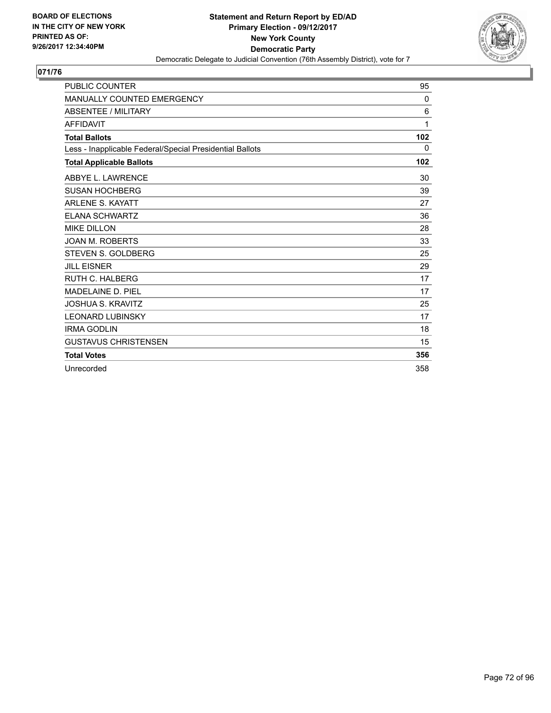

| <b>PUBLIC COUNTER</b>                                    | 95           |
|----------------------------------------------------------|--------------|
| <b>MANUALLY COUNTED EMERGENCY</b>                        | $\mathbf{0}$ |
| <b>ABSENTEE / MILITARY</b>                               | 6            |
| <b>AFFIDAVIT</b>                                         | 1            |
| <b>Total Ballots</b>                                     | 102          |
| Less - Inapplicable Federal/Special Presidential Ballots | $\Omega$     |
| <b>Total Applicable Ballots</b>                          | 102          |
| ABBYE L. LAWRENCE                                        | 30           |
| <b>SUSAN HOCHBERG</b>                                    | 39           |
| <b>ARLENE S. KAYATT</b>                                  | 27           |
| <b>ELANA SCHWARTZ</b>                                    | 36           |
| <b>MIKE DILLON</b>                                       | 28           |
| <b>JOAN M. ROBERTS</b>                                   | 33           |
| STEVEN S. GOLDBERG                                       | 25           |
| <b>JILL EISNER</b>                                       | 29           |
| RUTH C. HALBERG                                          | 17           |
| MADELAINE D. PIEL                                        | 17           |
| <b>JOSHUA S. KRAVITZ</b>                                 | 25           |
| <b>LEONARD LUBINSKY</b>                                  | 17           |
| <b>IRMA GODLIN</b>                                       | 18           |
| <b>GUSTAVUS CHRISTENSEN</b>                              | 15           |
| <b>Total Votes</b>                                       | 356          |
| Unrecorded                                               | 358          |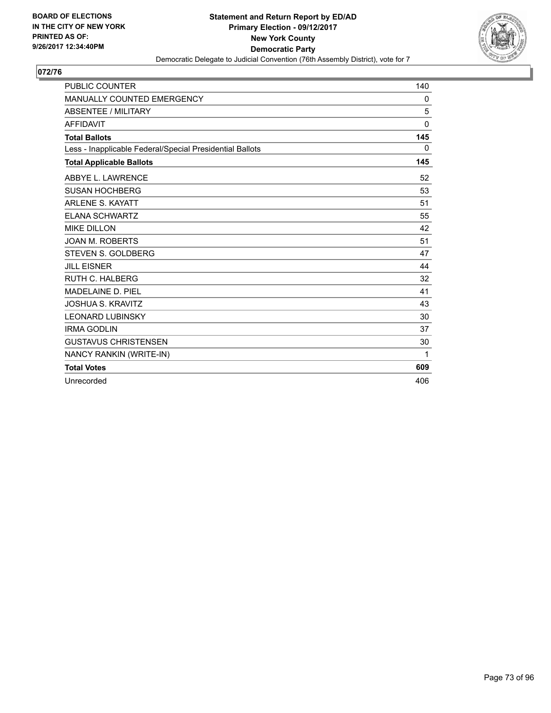

| <b>PUBLIC COUNTER</b>                                    | 140          |
|----------------------------------------------------------|--------------|
| MANUALLY COUNTED EMERGENCY                               | 0            |
| <b>ABSENTEE / MILITARY</b>                               | 5            |
| <b>AFFIDAVIT</b>                                         | $\mathbf{0}$ |
| <b>Total Ballots</b>                                     | 145          |
| Less - Inapplicable Federal/Special Presidential Ballots | 0            |
| <b>Total Applicable Ballots</b>                          | 145          |
| ABBYE L. LAWRENCE                                        | 52           |
| <b>SUSAN HOCHBERG</b>                                    | 53           |
| <b>ARLENE S. KAYATT</b>                                  | 51           |
| <b>ELANA SCHWARTZ</b>                                    | 55           |
| <b>MIKE DILLON</b>                                       | 42           |
| <b>JOAN M. ROBERTS</b>                                   | 51           |
| STEVEN S. GOLDBERG                                       | 47           |
| <b>JILL EISNER</b>                                       | 44           |
| <b>RUTH C. HALBERG</b>                                   | 32           |
| MADELAINE D. PIEL                                        | 41           |
| <b>JOSHUA S. KRAVITZ</b>                                 | 43           |
| <b>LEONARD LUBINSKY</b>                                  | 30           |
| <b>IRMA GODLIN</b>                                       | 37           |
| <b>GUSTAVUS CHRISTENSEN</b>                              | 30           |
| NANCY RANKIN (WRITE-IN)                                  | 1            |
| <b>Total Votes</b>                                       | 609          |
| Unrecorded                                               | 406          |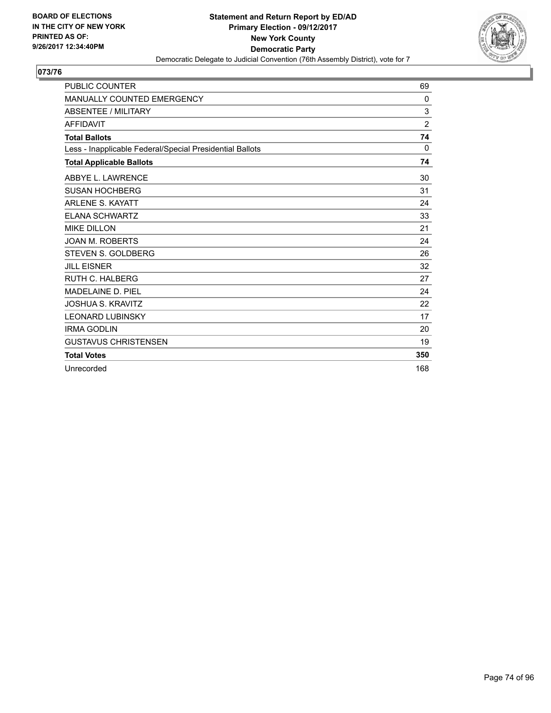

| <b>PUBLIC COUNTER</b>                                    | 69             |
|----------------------------------------------------------|----------------|
| MANUALLY COUNTED EMERGENCY                               | 0              |
| <b>ABSENTEE / MILITARY</b>                               | 3              |
| <b>AFFIDAVIT</b>                                         | $\overline{2}$ |
| <b>Total Ballots</b>                                     | 74             |
| Less - Inapplicable Federal/Special Presidential Ballots | $\Omega$       |
| <b>Total Applicable Ballots</b>                          | 74             |
| ABBYE L. LAWRENCE                                        | 30             |
| <b>SUSAN HOCHBERG</b>                                    | 31             |
| <b>ARLENE S. KAYATT</b>                                  | 24             |
| <b>ELANA SCHWARTZ</b>                                    | 33             |
| <b>MIKE DILLON</b>                                       | 21             |
| <b>JOAN M. ROBERTS</b>                                   | 24             |
| STEVEN S. GOLDBERG                                       | 26             |
| <b>JILL EISNER</b>                                       | 32             |
| <b>RUTH C. HALBERG</b>                                   | 27             |
| MADELAINE D. PIEL                                        | 24             |
| <b>JOSHUA S. KRAVITZ</b>                                 | 22             |
| <b>LEONARD LUBINSKY</b>                                  | 17             |
| <b>IRMA GODLIN</b>                                       | 20             |
| <b>GUSTAVUS CHRISTENSEN</b>                              | 19             |
| <b>Total Votes</b>                                       | 350            |
| Unrecorded                                               | 168            |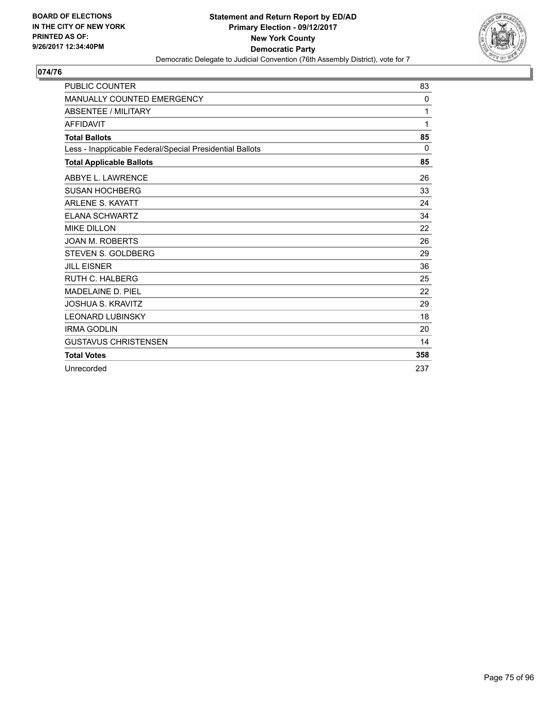

| <b>PUBLIC COUNTER</b>                                    | 83       |
|----------------------------------------------------------|----------|
| <b>MANUALLY COUNTED EMERGENCY</b>                        | 0        |
| <b>ABSENTEE / MILITARY</b>                               | 1        |
| <b>AFFIDAVIT</b>                                         | 1        |
| <b>Total Ballots</b>                                     | 85       |
| Less - Inapplicable Federal/Special Presidential Ballots | $\Omega$ |
| <b>Total Applicable Ballots</b>                          | 85       |
| ABBYE L. LAWRENCE                                        | 26       |
| <b>SUSAN HOCHBERG</b>                                    | 33       |
| <b>ARLENE S. KAYATT</b>                                  | 24       |
| <b>ELANA SCHWARTZ</b>                                    | 34       |
| <b>MIKE DILLON</b>                                       | 22       |
| <b>JOAN M. ROBERTS</b>                                   | 26       |
| STEVEN S. GOLDBERG                                       | 29       |
| <b>JILL EISNER</b>                                       | 36       |
| <b>RUTH C. HALBERG</b>                                   | 25       |
| MADELAINE D. PIEL                                        | 22       |
| <b>JOSHUA S. KRAVITZ</b>                                 | 29       |
| <b>LEONARD LUBINSKY</b>                                  | 18       |
| <b>IRMA GODLIN</b>                                       | 20       |
| <b>GUSTAVUS CHRISTENSEN</b>                              | 14       |
| <b>Total Votes</b>                                       | 358      |
| Unrecorded                                               | 237      |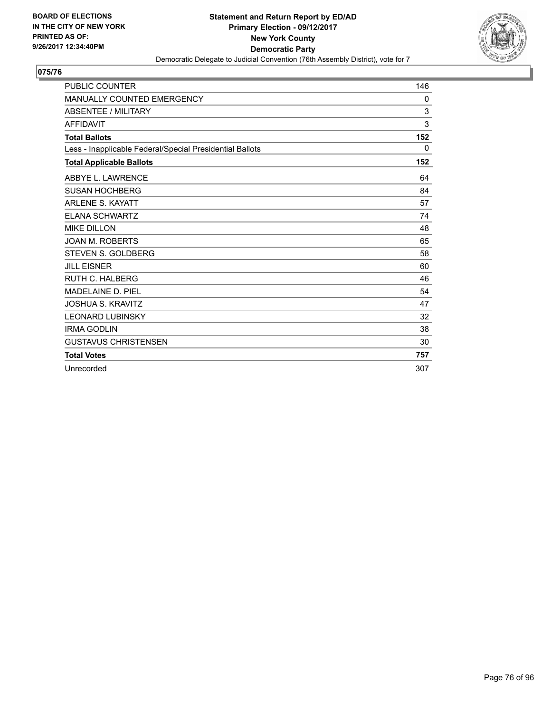

| <b>PUBLIC COUNTER</b>                                    | 146 |
|----------------------------------------------------------|-----|
| <b>MANUALLY COUNTED EMERGENCY</b>                        | 0   |
| <b>ABSENTEE / MILITARY</b>                               | 3   |
| <b>AFFIDAVIT</b>                                         | 3   |
| <b>Total Ballots</b>                                     | 152 |
| Less - Inapplicable Federal/Special Presidential Ballots | 0   |
| <b>Total Applicable Ballots</b>                          | 152 |
| ABBYE L. LAWRENCE                                        | 64  |
| <b>SUSAN HOCHBERG</b>                                    | 84  |
| <b>ARLENE S. KAYATT</b>                                  | 57  |
| <b>ELANA SCHWARTZ</b>                                    | 74  |
| <b>MIKE DILLON</b>                                       | 48  |
| <b>JOAN M. ROBERTS</b>                                   | 65  |
| STEVEN S. GOLDBERG                                       | 58  |
| <b>JILL EISNER</b>                                       | 60  |
| <b>RUTH C. HALBERG</b>                                   | 46  |
| MADELAINE D. PIEL                                        | 54  |
| <b>JOSHUA S. KRAVITZ</b>                                 | 47  |
| <b>LEONARD LUBINSKY</b>                                  | 32  |
| <b>IRMA GODLIN</b>                                       | 38  |
| <b>GUSTAVUS CHRISTENSEN</b>                              | 30  |
| <b>Total Votes</b>                                       | 757 |
| Unrecorded                                               | 307 |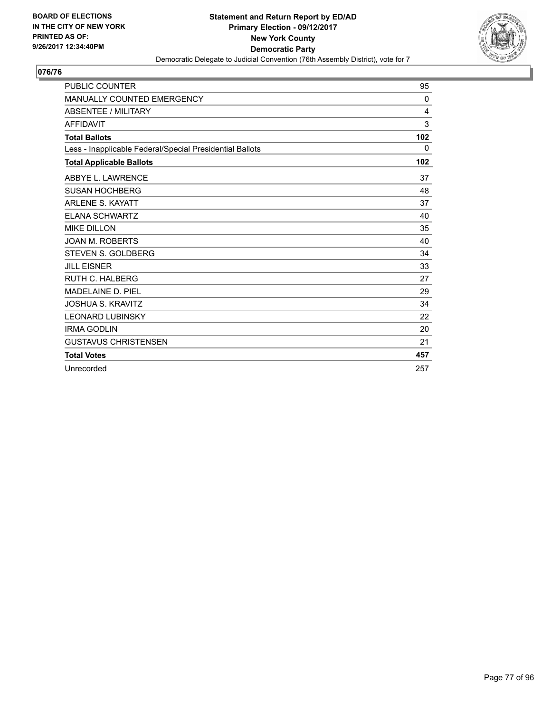

| <b>PUBLIC COUNTER</b>                                    | 95       |
|----------------------------------------------------------|----------|
| <b>MANUALLY COUNTED EMERGENCY</b>                        | $\Omega$ |
| <b>ABSENTEE / MILITARY</b>                               | 4        |
| <b>AFFIDAVIT</b>                                         | 3        |
| <b>Total Ballots</b>                                     | 102      |
| Less - Inapplicable Federal/Special Presidential Ballots | 0        |
| <b>Total Applicable Ballots</b>                          | 102      |
| ABBYE L. LAWRENCE                                        | 37       |
| <b>SUSAN HOCHBERG</b>                                    | 48       |
| <b>ARLENE S. KAYATT</b>                                  | 37       |
| <b>ELANA SCHWARTZ</b>                                    | 40       |
| <b>MIKE DILLON</b>                                       | 35       |
| <b>JOAN M. ROBERTS</b>                                   | 40       |
| <b>STEVEN S. GOLDBERG</b>                                | 34       |
| <b>JILL EISNER</b>                                       | 33       |
| <b>RUTH C. HALBERG</b>                                   | 27       |
| MADELAINE D. PIEL                                        | 29       |
| <b>JOSHUA S. KRAVITZ</b>                                 | 34       |
| <b>LEONARD LUBINSKY</b>                                  | 22       |
| <b>IRMA GODLIN</b>                                       | 20       |
| <b>GUSTAVUS CHRISTENSEN</b>                              | 21       |
| <b>Total Votes</b>                                       | 457      |
| Unrecorded                                               | 257      |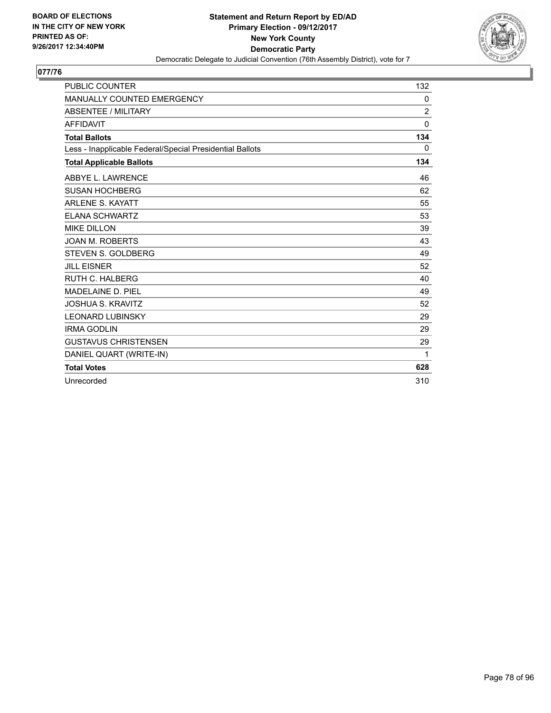

| <b>PUBLIC COUNTER</b>                                    | 132            |
|----------------------------------------------------------|----------------|
| MANUALLY COUNTED EMERGENCY                               | 0              |
| <b>ABSENTEE / MILITARY</b>                               | $\overline{2}$ |
| <b>AFFIDAVIT</b>                                         | $\mathbf{0}$   |
| <b>Total Ballots</b>                                     | 134            |
| Less - Inapplicable Federal/Special Presidential Ballots | 0              |
| <b>Total Applicable Ballots</b>                          | 134            |
| ABBYE L. LAWRENCE                                        | 46             |
| <b>SUSAN HOCHBERG</b>                                    | 62             |
| <b>ARLENE S. KAYATT</b>                                  | 55             |
| <b>ELANA SCHWARTZ</b>                                    | 53             |
| <b>MIKE DILLON</b>                                       | 39             |
| <b>JOAN M. ROBERTS</b>                                   | 43             |
| <b>STEVEN S. GOLDBERG</b>                                | 49             |
| <b>JILL EISNER</b>                                       | 52             |
| <b>RUTH C. HALBERG</b>                                   | 40             |
| <b>MADELAINE D. PIEL</b>                                 | 49             |
| <b>JOSHUA S. KRAVITZ</b>                                 | 52             |
| <b>LEONARD LUBINSKY</b>                                  | 29             |
| <b>IRMA GODLIN</b>                                       | 29             |
| <b>GUSTAVUS CHRISTENSEN</b>                              | 29             |
| DANIEL QUART (WRITE-IN)                                  | 1              |
| <b>Total Votes</b>                                       | 628            |
| Unrecorded                                               | 310            |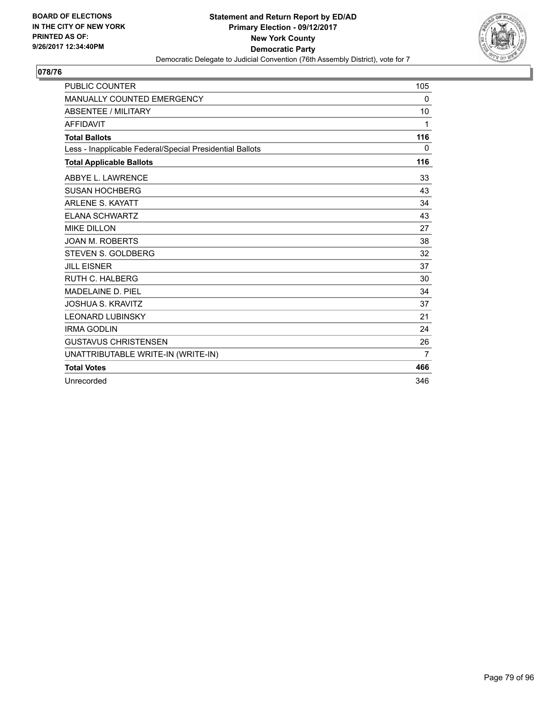

| <b>PUBLIC COUNTER</b>                                    | 105 |
|----------------------------------------------------------|-----|
| MANUALLY COUNTED EMERGENCY                               | 0   |
| <b>ABSENTEE / MILITARY</b>                               | 10  |
| <b>AFFIDAVIT</b>                                         | 1   |
| <b>Total Ballots</b>                                     | 116 |
| Less - Inapplicable Federal/Special Presidential Ballots | 0   |
| <b>Total Applicable Ballots</b>                          | 116 |
| ABBYE L. LAWRENCE                                        | 33  |
| <b>SUSAN HOCHBERG</b>                                    | 43  |
| <b>ARLENE S. KAYATT</b>                                  | 34  |
| <b>ELANA SCHWARTZ</b>                                    | 43  |
| <b>MIKE DILLON</b>                                       | 27  |
| <b>JOAN M. ROBERTS</b>                                   | 38  |
| <b>STEVEN S. GOLDBERG</b>                                | 32  |
| <b>JILL EISNER</b>                                       | 37  |
| RUTH C. HALBERG                                          | 30  |
| <b>MADELAINE D. PIEL</b>                                 | 34  |
| <b>JOSHUA S. KRAVITZ</b>                                 | 37  |
| <b>LEONARD LUBINSKY</b>                                  | 21  |
| <b>IRMA GODLIN</b>                                       | 24  |
| <b>GUSTAVUS CHRISTENSEN</b>                              | 26  |
| UNATTRIBUTABLE WRITE-IN (WRITE-IN)                       | 7   |
| <b>Total Votes</b>                                       | 466 |
| Unrecorded                                               | 346 |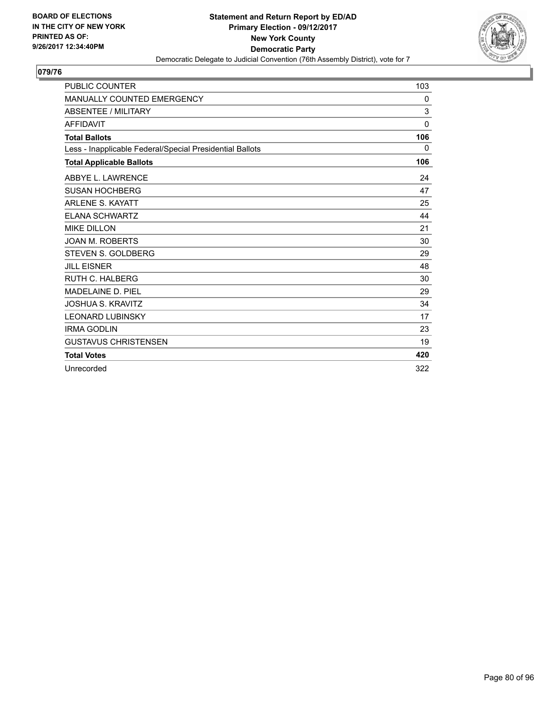

| <b>PUBLIC COUNTER</b>                                    | 103          |
|----------------------------------------------------------|--------------|
| <b>MANUALLY COUNTED EMERGENCY</b>                        | 0            |
| <b>ABSENTEE / MILITARY</b>                               | 3            |
| <b>AFFIDAVIT</b>                                         | $\mathbf{0}$ |
| <b>Total Ballots</b>                                     | 106          |
| Less - Inapplicable Federal/Special Presidential Ballots | 0            |
| <b>Total Applicable Ballots</b>                          | 106          |
| ABBYE L. LAWRENCE                                        | 24           |
| <b>SUSAN HOCHBERG</b>                                    | 47           |
| <b>ARLENE S. KAYATT</b>                                  | 25           |
| <b>ELANA SCHWARTZ</b>                                    | 44           |
| <b>MIKE DILLON</b>                                       | 21           |
| <b>JOAN M. ROBERTS</b>                                   | 30           |
| STEVEN S. GOLDBERG                                       | 29           |
| <b>JILL EISNER</b>                                       | 48           |
| RUTH C. HALBERG                                          | 30           |
| MADELAINE D. PIEL                                        | 29           |
| <b>JOSHUA S. KRAVITZ</b>                                 | 34           |
| <b>LEONARD LUBINSKY</b>                                  | 17           |
| <b>IRMA GODLIN</b>                                       | 23           |
| <b>GUSTAVUS CHRISTENSEN</b>                              | 19           |
| <b>Total Votes</b>                                       | 420          |
| Unrecorded                                               | 322          |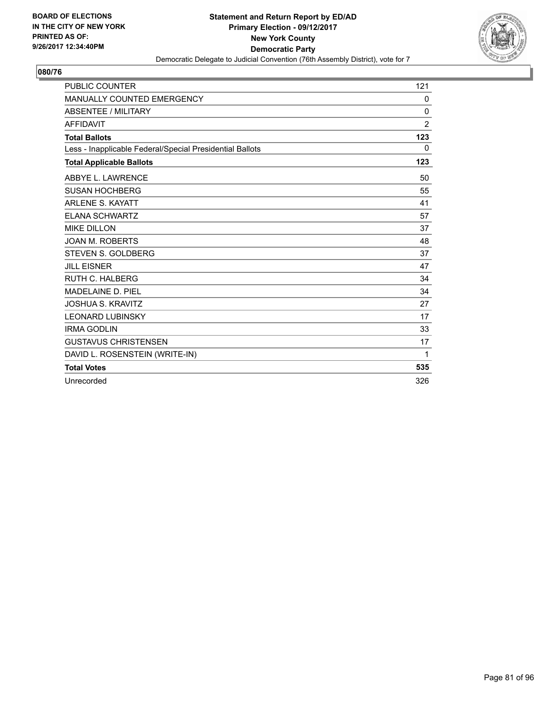

| <b>PUBLIC COUNTER</b>                                    | 121            |
|----------------------------------------------------------|----------------|
| MANUALLY COUNTED EMERGENCY                               | 0              |
| <b>ABSENTEE / MILITARY</b>                               | 0              |
| <b>AFFIDAVIT</b>                                         | $\overline{2}$ |
| <b>Total Ballots</b>                                     | 123            |
| Less - Inapplicable Federal/Special Presidential Ballots | 0              |
| <b>Total Applicable Ballots</b>                          | 123            |
| <b>ABBYE L. LAWRENCE</b>                                 | 50             |
| <b>SUSAN HOCHBERG</b>                                    | 55             |
| <b>ARLENE S. KAYATT</b>                                  | 41             |
| <b>ELANA SCHWARTZ</b>                                    | 57             |
| <b>MIKE DILLON</b>                                       | 37             |
| <b>JOAN M. ROBERTS</b>                                   | 48             |
| <b>STEVEN S. GOLDBERG</b>                                | 37             |
| <b>JILL EISNER</b>                                       | 47             |
| <b>RUTH C. HALBERG</b>                                   | 34             |
| MADELAINE D. PIEL                                        | 34             |
| <b>JOSHUA S. KRAVITZ</b>                                 | 27             |
| <b>LEONARD LUBINSKY</b>                                  | 17             |
| <b>IRMA GODLIN</b>                                       | 33             |
| <b>GUSTAVUS CHRISTENSEN</b>                              | 17             |
| DAVID L. ROSENSTEIN (WRITE-IN)                           | $\mathbf 1$    |
| <b>Total Votes</b>                                       | 535            |
| Unrecorded                                               | 326            |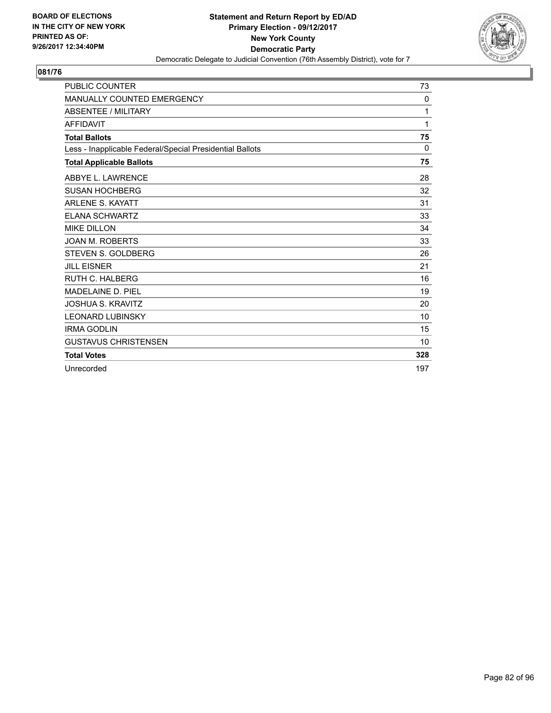

| <b>PUBLIC COUNTER</b>                                    | 73  |
|----------------------------------------------------------|-----|
| <b>MANUALLY COUNTED EMERGENCY</b>                        | 0   |
| <b>ABSENTEE / MILITARY</b>                               | 1   |
| <b>AFFIDAVIT</b>                                         | 1   |
| <b>Total Ballots</b>                                     | 75  |
| Less - Inapplicable Federal/Special Presidential Ballots | 0   |
| <b>Total Applicable Ballots</b>                          | 75  |
| ABBYE L. LAWRENCE                                        | 28  |
| <b>SUSAN HOCHBERG</b>                                    | 32  |
| <b>ARLENE S. KAYATT</b>                                  | 31  |
| <b>ELANA SCHWARTZ</b>                                    | 33  |
| <b>MIKE DILLON</b>                                       | 34  |
| <b>JOAN M. ROBERTS</b>                                   | 33  |
| <b>STEVEN S. GOLDBERG</b>                                | 26  |
| <b>JILL EISNER</b>                                       | 21  |
| <b>RUTH C. HALBERG</b>                                   | 16  |
| <b>MADELAINE D. PIEL</b>                                 | 19  |
| JOSHUA S. KRAVITZ                                        | 20  |
| <b>LEONARD LUBINSKY</b>                                  | 10  |
| <b>IRMA GODLIN</b>                                       | 15  |
| <b>GUSTAVUS CHRISTENSEN</b>                              | 10  |
| <b>Total Votes</b>                                       | 328 |
| Unrecorded                                               | 197 |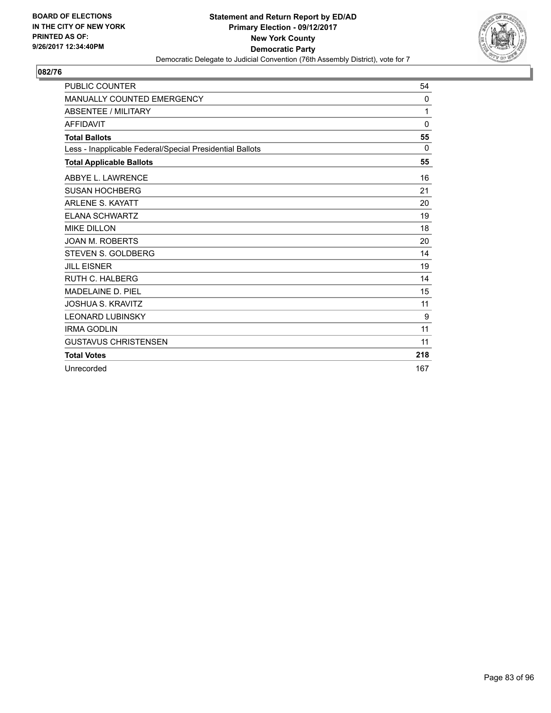

| <b>PUBLIC COUNTER</b>                                    | 54           |
|----------------------------------------------------------|--------------|
| <b>MANUALLY COUNTED EMERGENCY</b>                        | 0            |
| <b>ABSENTEE / MILITARY</b>                               | 1            |
| <b>AFFIDAVIT</b>                                         | $\mathbf{0}$ |
| <b>Total Ballots</b>                                     | 55           |
| Less - Inapplicable Federal/Special Presidential Ballots | 0            |
| <b>Total Applicable Ballots</b>                          | 55           |
| ABBYE L. LAWRENCE                                        | 16           |
| <b>SUSAN HOCHBERG</b>                                    | 21           |
| <b>ARLENE S. KAYATT</b>                                  | 20           |
| <b>ELANA SCHWARTZ</b>                                    | 19           |
| <b>MIKE DILLON</b>                                       | 18           |
| <b>JOAN M. ROBERTS</b>                                   | 20           |
| <b>STEVEN S. GOLDBERG</b>                                | 14           |
| <b>JILL EISNER</b>                                       | 19           |
| <b>RUTH C. HALBERG</b>                                   | 14           |
| MADELAINE D. PIEL                                        | 15           |
| <b>JOSHUA S. KRAVITZ</b>                                 | 11           |
| <b>LEONARD LUBINSKY</b>                                  | 9            |
| <b>IRMA GODLIN</b>                                       | 11           |
| <b>GUSTAVUS CHRISTENSEN</b>                              | 11           |
| <b>Total Votes</b>                                       | 218          |
| Unrecorded                                               | 167          |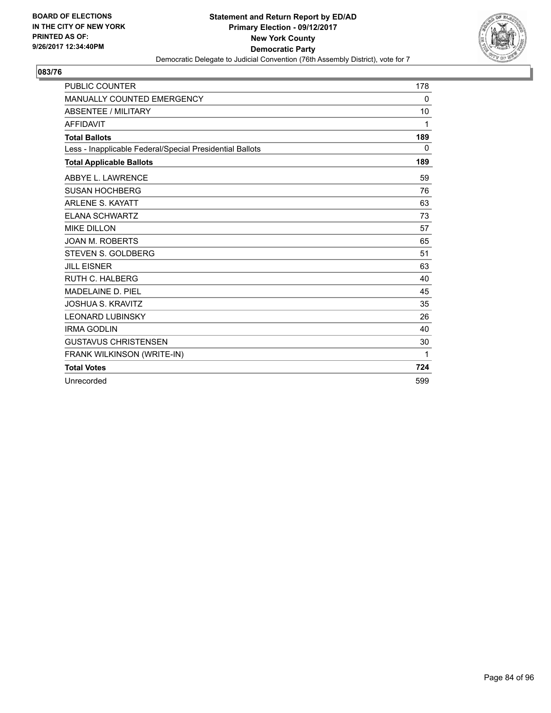

| <b>PUBLIC COUNTER</b>                                    | 178 |
|----------------------------------------------------------|-----|
| MANUALLY COUNTED EMERGENCY                               | 0   |
| ABSENTEE / MILITARY                                      | 10  |
| <b>AFFIDAVIT</b>                                         | 1   |
| <b>Total Ballots</b>                                     | 189 |
| Less - Inapplicable Federal/Special Presidential Ballots | 0   |
| <b>Total Applicable Ballots</b>                          | 189 |
| ABBYE L. LAWRENCE                                        | 59  |
| <b>SUSAN HOCHBERG</b>                                    | 76  |
| <b>ARLENE S. KAYATT</b>                                  | 63  |
| <b>ELANA SCHWARTZ</b>                                    | 73  |
| <b>MIKE DILLON</b>                                       | 57  |
| <b>JOAN M. ROBERTS</b>                                   | 65  |
| STEVEN S. GOLDBERG                                       | 51  |
| <b>JILL EISNER</b>                                       | 63  |
| <b>RUTH C. HALBERG</b>                                   | 40  |
| MADELAINE D. PIEL                                        | 45  |
| <b>JOSHUA S. KRAVITZ</b>                                 | 35  |
| <b>LEONARD LUBINSKY</b>                                  | 26  |
| <b>IRMA GODLIN</b>                                       | 40  |
| <b>GUSTAVUS CHRISTENSEN</b>                              | 30  |
| FRANK WILKINSON (WRITE-IN)                               | 1   |
| <b>Total Votes</b>                                       | 724 |
| Unrecorded                                               | 599 |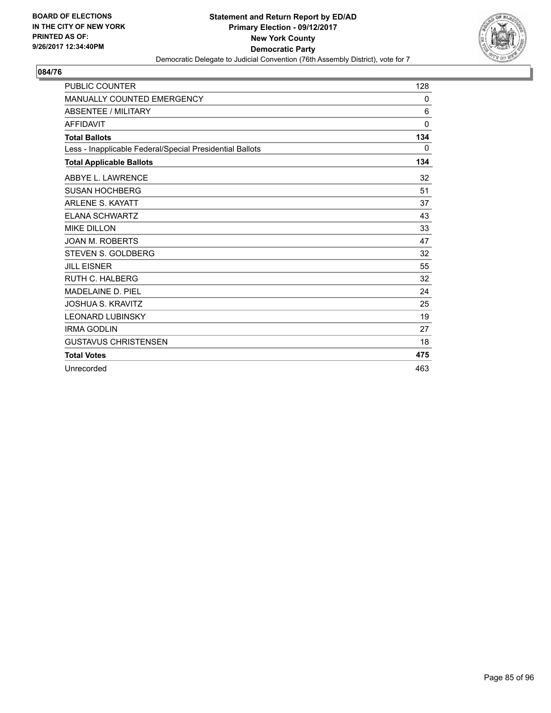

| <b>PUBLIC COUNTER</b>                                    | 128          |
|----------------------------------------------------------|--------------|
| <b>MANUALLY COUNTED EMERGENCY</b>                        | 0            |
| <b>ABSENTEE / MILITARY</b>                               | 6            |
| <b>AFFIDAVIT</b>                                         | $\mathbf{0}$ |
| <b>Total Ballots</b>                                     | 134          |
| Less - Inapplicable Federal/Special Presidential Ballots | 0            |
| <b>Total Applicable Ballots</b>                          | 134          |
| ABBYE L. LAWRENCE                                        | 32           |
| <b>SUSAN HOCHBERG</b>                                    | 51           |
| <b>ARLENE S. KAYATT</b>                                  | 37           |
| <b>ELANA SCHWARTZ</b>                                    | 43           |
| <b>MIKE DILLON</b>                                       | 33           |
| <b>JOAN M. ROBERTS</b>                                   | 47           |
| <b>STEVEN S. GOLDBERG</b>                                | 32           |
| <b>JILL EISNER</b>                                       | 55           |
| <b>RUTH C. HALBERG</b>                                   | 32           |
| MADELAINE D. PIEL                                        | 24           |
| <b>JOSHUA S. KRAVITZ</b>                                 | 25           |
| <b>LEONARD LUBINSKY</b>                                  | 19           |
| <b>IRMA GODLIN</b>                                       | 27           |
| <b>GUSTAVUS CHRISTENSEN</b>                              | 18           |
| <b>Total Votes</b>                                       | 475          |
| Unrecorded                                               | 463          |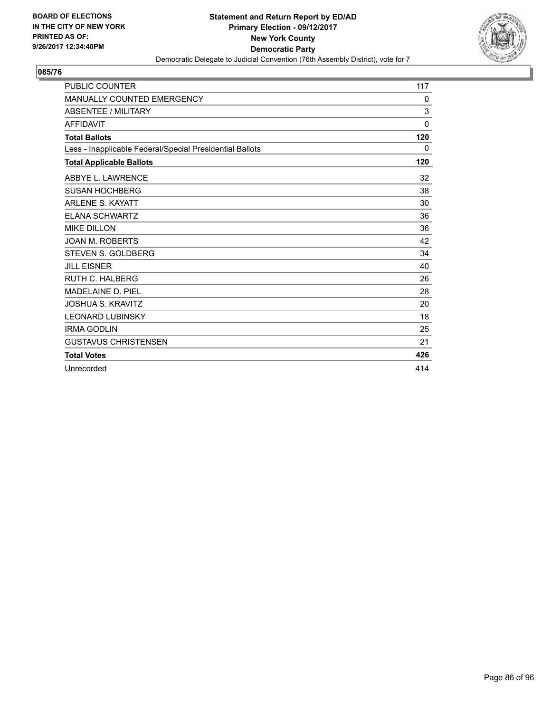

| <b>PUBLIC COUNTER</b>                                    | 117          |
|----------------------------------------------------------|--------------|
| <b>MANUALLY COUNTED EMERGENCY</b>                        | 0            |
| <b>ABSENTEE / MILITARY</b>                               | 3            |
| <b>AFFIDAVIT</b>                                         | $\mathbf{0}$ |
| <b>Total Ballots</b>                                     | 120          |
| Less - Inapplicable Federal/Special Presidential Ballots | 0            |
| <b>Total Applicable Ballots</b>                          | 120          |
| ABBYE L. LAWRENCE                                        | 32           |
| <b>SUSAN HOCHBERG</b>                                    | 38           |
| <b>ARLENE S. KAYATT</b>                                  | 30           |
| <b>ELANA SCHWARTZ</b>                                    | 36           |
| <b>MIKE DILLON</b>                                       | 36           |
| <b>JOAN M. ROBERTS</b>                                   | 42           |
| <b>STEVEN S. GOLDBERG</b>                                | 34           |
| <b>JILL EISNER</b>                                       | 40           |
| <b>RUTH C. HALBERG</b>                                   | 26           |
| MADELAINE D. PIEL                                        | 28           |
| <b>JOSHUA S. KRAVITZ</b>                                 | 20           |
| <b>LEONARD LUBINSKY</b>                                  | 18           |
| <b>IRMA GODLIN</b>                                       | 25           |
| <b>GUSTAVUS CHRISTENSEN</b>                              | 21           |
| <b>Total Votes</b>                                       | 426          |
| Unrecorded                                               | 414          |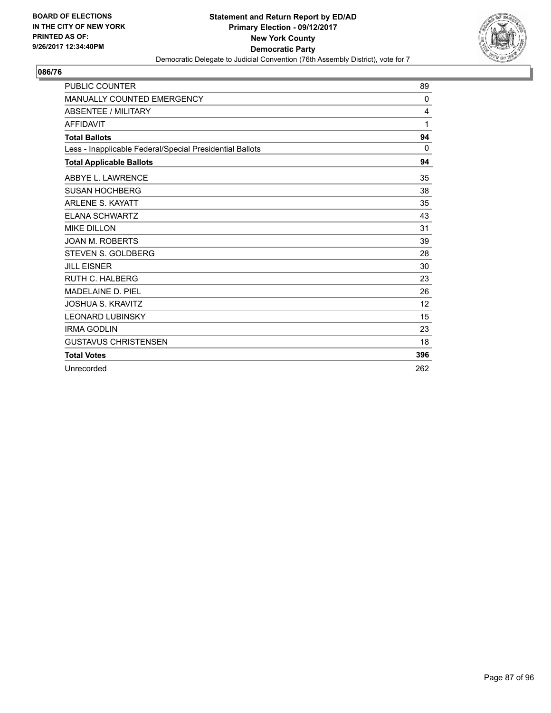

| <b>PUBLIC COUNTER</b>                                    | 89  |
|----------------------------------------------------------|-----|
| <b>MANUALLY COUNTED EMERGENCY</b>                        | 0   |
| <b>ABSENTEE / MILITARY</b>                               | 4   |
| <b>AFFIDAVIT</b>                                         | 1   |
| <b>Total Ballots</b>                                     | 94  |
| Less - Inapplicable Federal/Special Presidential Ballots | 0   |
| <b>Total Applicable Ballots</b>                          | 94  |
| ABBYE L. LAWRENCE                                        | 35  |
| <b>SUSAN HOCHBERG</b>                                    | 38  |
| <b>ARLENE S. KAYATT</b>                                  | 35  |
| <b>ELANA SCHWARTZ</b>                                    | 43  |
| <b>MIKE DILLON</b>                                       | 31  |
| <b>JOAN M. ROBERTS</b>                                   | 39  |
| <b>STEVEN S. GOLDBERG</b>                                | 28  |
| <b>JILL EISNER</b>                                       | 30  |
| <b>RUTH C. HALBERG</b>                                   | 23  |
| <b>MADELAINE D. PIEL</b>                                 | 26  |
| <b>JOSHUA S. KRAVITZ</b>                                 | 12  |
| <b>LEONARD LUBINSKY</b>                                  | 15  |
| <b>IRMA GODLIN</b>                                       | 23  |
| <b>GUSTAVUS CHRISTENSEN</b>                              | 18  |
| <b>Total Votes</b>                                       | 396 |
| Unrecorded                                               | 262 |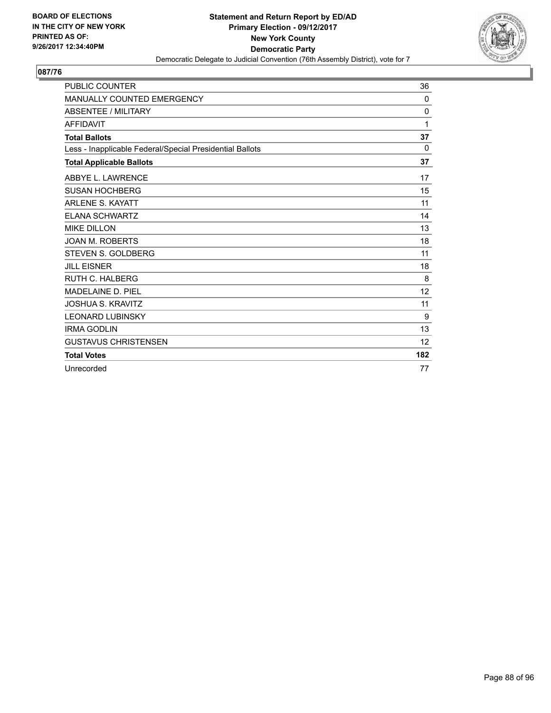

| <b>PUBLIC COUNTER</b>                                    | 36       |
|----------------------------------------------------------|----------|
| MANUALLY COUNTED EMERGENCY                               | 0        |
| <b>ABSENTEE / MILITARY</b>                               | 0        |
| <b>AFFIDAVIT</b>                                         | 1        |
| <b>Total Ballots</b>                                     | 37       |
| Less - Inapplicable Federal/Special Presidential Ballots | $\Omega$ |
| <b>Total Applicable Ballots</b>                          | 37       |
| ABBYE L. LAWRENCE                                        | 17       |
| <b>SUSAN HOCHBERG</b>                                    | 15       |
| <b>ARLENE S. KAYATT</b>                                  | 11       |
| <b>ELANA SCHWARTZ</b>                                    | 14       |
| <b>MIKE DILLON</b>                                       | 13       |
| <b>JOAN M. ROBERTS</b>                                   | 18       |
| <b>STEVEN S. GOLDBERG</b>                                | 11       |
| <b>JILL EISNER</b>                                       | 18       |
| <b>RUTH C. HALBERG</b>                                   | 8        |
| MADELAINE D. PIEL                                        | 12       |
| <b>JOSHUA S. KRAVITZ</b>                                 | 11       |
| <b>LEONARD LUBINSKY</b>                                  | 9        |
| <b>IRMA GODLIN</b>                                       | 13       |
| <b>GUSTAVUS CHRISTENSEN</b>                              | 12       |
| <b>Total Votes</b>                                       | 182      |
| Unrecorded                                               | 77       |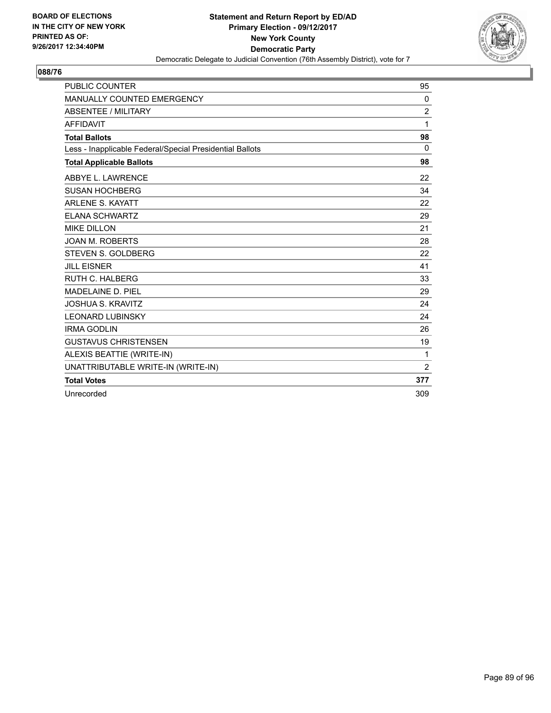

| <b>PUBLIC COUNTER</b>                                    | 95             |
|----------------------------------------------------------|----------------|
| MANUALLY COUNTED EMERGENCY                               | 0              |
| <b>ABSENTEE / MILITARY</b>                               | 2              |
| <b>AFFIDAVIT</b>                                         | 1              |
| <b>Total Ballots</b>                                     | 98             |
| Less - Inapplicable Federal/Special Presidential Ballots | $\mathbf{0}$   |
| <b>Total Applicable Ballots</b>                          | 98             |
| ABBYE L. LAWRENCE                                        | 22             |
| <b>SUSAN HOCHBERG</b>                                    | 34             |
| <b>ARLENE S. KAYATT</b>                                  | 22             |
| <b>ELANA SCHWARTZ</b>                                    | 29             |
| <b>MIKE DILLON</b>                                       | 21             |
| <b>JOAN M. ROBERTS</b>                                   | 28             |
| <b>STEVEN S. GOLDBERG</b>                                | 22             |
| <b>JILL EISNER</b>                                       | 41             |
| <b>RUTH C. HALBERG</b>                                   | 33             |
| MADELAINE D. PIEL                                        | 29             |
| <b>JOSHUA S. KRAVITZ</b>                                 | 24             |
| <b>LEONARD LUBINSKY</b>                                  | 24             |
| <b>IRMA GODLIN</b>                                       | 26             |
| <b>GUSTAVUS CHRISTENSEN</b>                              | 19             |
| ALEXIS BEATTIE (WRITE-IN)                                | 1              |
| UNATTRIBUTABLE WRITE-IN (WRITE-IN)                       | $\overline{2}$ |
| <b>Total Votes</b>                                       | 377            |
| Unrecorded                                               | 309            |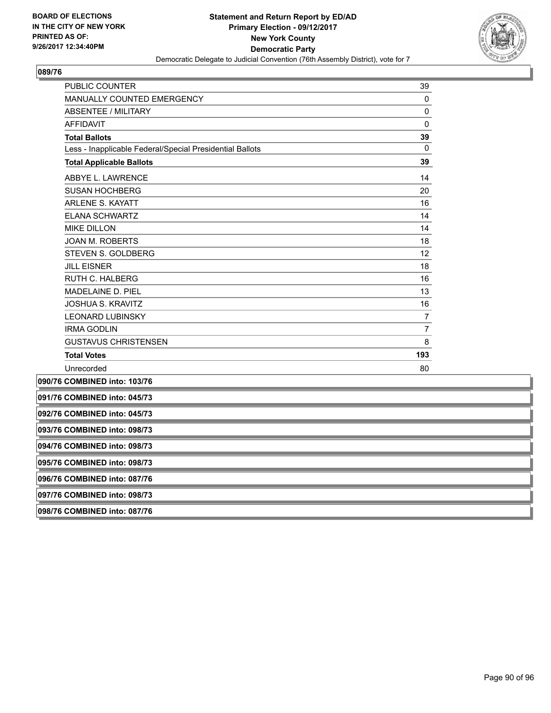

| PUBLIC COUNTER                                           | 39             |
|----------------------------------------------------------|----------------|
| MANUALLY COUNTED EMERGENCY                               | 0              |
| <b>ABSENTEE / MILITARY</b>                               | 0              |
| <b>AFFIDAVIT</b>                                         | 0              |
| <b>Total Ballots</b>                                     | 39             |
| Less - Inapplicable Federal/Special Presidential Ballots | $\Omega$       |
| <b>Total Applicable Ballots</b>                          | 39             |
| ABBYE L. LAWRENCE                                        | 14             |
| <b>SUSAN HOCHBERG</b>                                    | 20             |
| <b>ARLENE S. KAYATT</b>                                  | 16             |
| <b>ELANA SCHWARTZ</b>                                    | 14             |
| <b>MIKE DILLON</b>                                       | 14             |
| <b>JOAN M. ROBERTS</b>                                   | 18             |
| STEVEN S. GOLDBERG                                       | 12             |
| <b>JILL EISNER</b>                                       | 18             |
| <b>RUTH C. HALBERG</b>                                   | 16             |
| MADELAINE D. PIEL                                        | 13             |
| <b>JOSHUA S. KRAVITZ</b>                                 | 16             |
| <b>LEONARD LUBINSKY</b>                                  | $\overline{7}$ |
| <b>IRMA GODLIN</b>                                       | 7              |
| <b>GUSTAVUS CHRISTENSEN</b>                              | 8              |
| <b>Total Votes</b>                                       | 193            |
| Unrecorded                                               | 80             |
| 090/76 COMBINED into: 103/76                             |                |
| 091/76 COMBINED into: 045/73                             |                |
| 092/76 COMBINED into: 045/73                             |                |
| 093/76 COMBINED into: 098/73                             |                |
| 094/76 COMBINED into: 098/73                             |                |
| 095/76 COMBINED into: 098/73                             |                |
| 096/76 COMBINED into: 087/76                             |                |
| 097/76 COMBINED into: 098/73                             |                |

**098/76 COMBINED into: 087/76**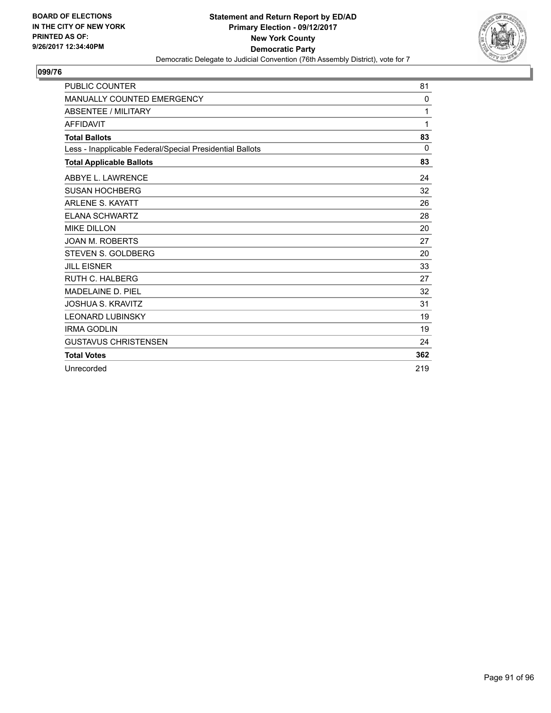

| <b>PUBLIC COUNTER</b>                                    | 81       |
|----------------------------------------------------------|----------|
| <b>MANUALLY COUNTED EMERGENCY</b>                        | 0        |
| <b>ABSENTEE / MILITARY</b>                               | 1        |
| <b>AFFIDAVIT</b>                                         | 1        |
| <b>Total Ballots</b>                                     | 83       |
| Less - Inapplicable Federal/Special Presidential Ballots | $\Omega$ |
| <b>Total Applicable Ballots</b>                          | 83       |
| ABBYE L. LAWRENCE                                        | 24       |
| <b>SUSAN HOCHBERG</b>                                    | 32       |
| <b>ARLENE S. KAYATT</b>                                  | 26       |
| <b>ELANA SCHWARTZ</b>                                    | 28       |
| <b>MIKE DILLON</b>                                       | 20       |
| <b>JOAN M. ROBERTS</b>                                   | 27       |
| <b>STEVEN S. GOLDBERG</b>                                | 20       |
| <b>JILL EISNER</b>                                       | 33       |
| <b>RUTH C. HALBERG</b>                                   | 27       |
| MADELAINE D. PIEL                                        | 32       |
| <b>JOSHUA S. KRAVITZ</b>                                 | 31       |
| <b>LEONARD LUBINSKY</b>                                  | 19       |
| <b>IRMA GODLIN</b>                                       | 19       |
| <b>GUSTAVUS CHRISTENSEN</b>                              | 24       |
| <b>Total Votes</b>                                       | 362      |
| Unrecorded                                               | 219      |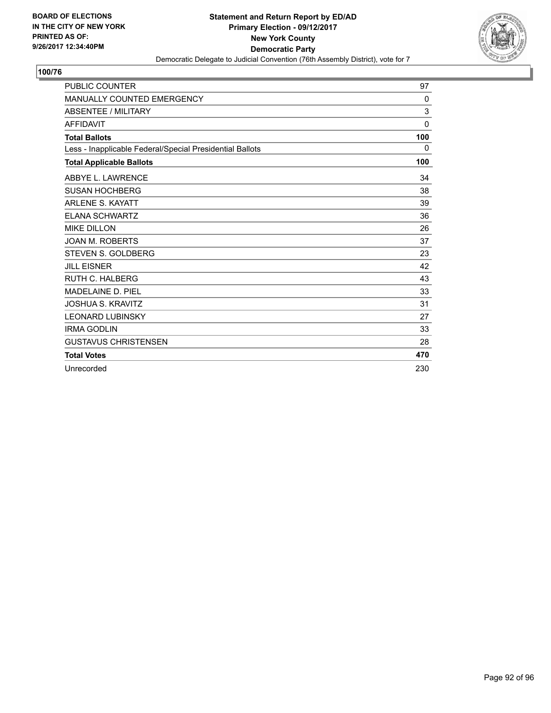

| <b>PUBLIC COUNTER</b>                                    | 97           |
|----------------------------------------------------------|--------------|
| <b>MANUALLY COUNTED EMERGENCY</b>                        | $\mathbf{0}$ |
| <b>ABSENTEE / MILITARY</b>                               | 3            |
| <b>AFFIDAVIT</b>                                         | $\Omega$     |
| <b>Total Ballots</b>                                     | 100          |
| Less - Inapplicable Federal/Special Presidential Ballots | 0            |
| <b>Total Applicable Ballots</b>                          | 100          |
| ABBYE L. LAWRENCE                                        | 34           |
| <b>SUSAN HOCHBERG</b>                                    | 38           |
| <b>ARLENE S. KAYATT</b>                                  | 39           |
| <b>ELANA SCHWARTZ</b>                                    | 36           |
| <b>MIKE DILLON</b>                                       | 26           |
| <b>JOAN M. ROBERTS</b>                                   | 37           |
| <b>STEVEN S. GOLDBERG</b>                                | 23           |
| <b>JILL EISNER</b>                                       | 42           |
| <b>RUTH C. HALBERG</b>                                   | 43           |
| MADELAINE D. PIEL                                        | 33           |
| <b>JOSHUA S. KRAVITZ</b>                                 | 31           |
| <b>LEONARD LUBINSKY</b>                                  | 27           |
| <b>IRMA GODLIN</b>                                       | 33           |
| <b>GUSTAVUS CHRISTENSEN</b>                              | 28           |
| <b>Total Votes</b>                                       | 470          |
| Unrecorded                                               | 230          |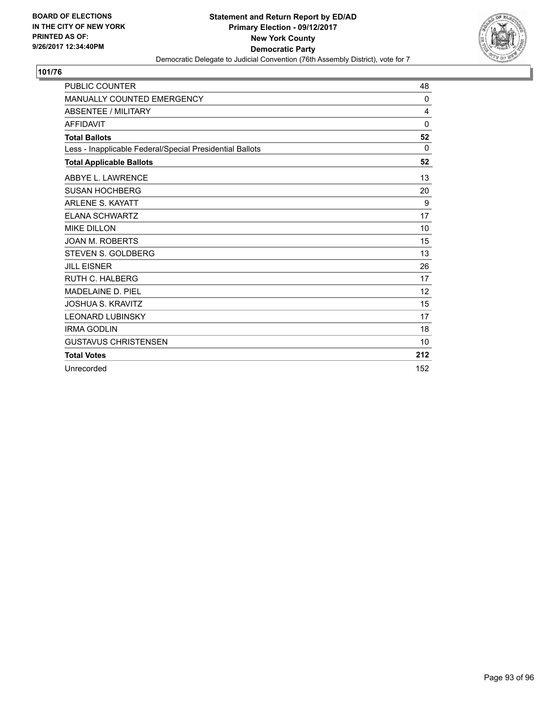

| <b>PUBLIC COUNTER</b>                                    | 48       |
|----------------------------------------------------------|----------|
| <b>MANUALLY COUNTED EMERGENCY</b>                        | $\Omega$ |
| <b>ABSENTEE / MILITARY</b>                               | 4        |
| <b>AFFIDAVIT</b>                                         | $\Omega$ |
| <b>Total Ballots</b>                                     | 52       |
| Less - Inapplicable Federal/Special Presidential Ballots | 0        |
| <b>Total Applicable Ballots</b>                          | 52       |
| ABBYE L. LAWRENCE                                        | 13       |
| <b>SUSAN HOCHBERG</b>                                    | 20       |
| <b>ARLENE S. KAYATT</b>                                  | 9        |
| <b>ELANA SCHWARTZ</b>                                    | 17       |
| <b>MIKE DILLON</b>                                       | 10       |
| <b>JOAN M. ROBERTS</b>                                   | 15       |
| <b>STEVEN S. GOLDBERG</b>                                | 13       |
| <b>JILL EISNER</b>                                       | 26       |
| <b>RUTH C. HALBERG</b>                                   | 17       |
| <b>MADELAINE D. PIEL</b>                                 | 12       |
| <b>JOSHUA S. KRAVITZ</b>                                 | 15       |
| <b>LEONARD LUBINSKY</b>                                  | 17       |
| <b>IRMA GODLIN</b>                                       | 18       |
| <b>GUSTAVUS CHRISTENSEN</b>                              | 10       |
| <b>Total Votes</b>                                       | 212      |
| Unrecorded                                               | 152      |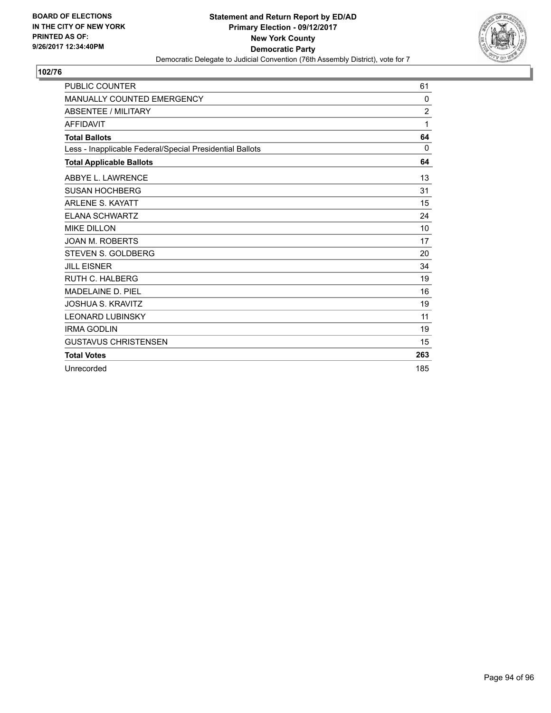

| <b>PUBLIC COUNTER</b>                                    | 61             |
|----------------------------------------------------------|----------------|
| <b>MANUALLY COUNTED EMERGENCY</b>                        | $\mathbf{0}$   |
| <b>ABSENTEE / MILITARY</b>                               | $\overline{2}$ |
| <b>AFFIDAVIT</b>                                         | 1              |
| <b>Total Ballots</b>                                     | 64             |
| Less - Inapplicable Federal/Special Presidential Ballots | $\mathbf{0}$   |
| <b>Total Applicable Ballots</b>                          | 64             |
| ABBYE L. LAWRENCE                                        | 13             |
| <b>SUSAN HOCHBERG</b>                                    | 31             |
| <b>ARLENE S. KAYATT</b>                                  | 15             |
| <b>ELANA SCHWARTZ</b>                                    | 24             |
| <b>MIKE DILLON</b>                                       | 10             |
| <b>JOAN M. ROBERTS</b>                                   | 17             |
| <b>STEVEN S. GOLDBERG</b>                                | 20             |
| <b>JILL EISNER</b>                                       | 34             |
| <b>RUTH C. HALBERG</b>                                   | 19             |
| MADELAINE D. PIEL                                        | 16             |
| <b>JOSHUA S. KRAVITZ</b>                                 | 19             |
| <b>LEONARD LUBINSKY</b>                                  | 11             |
| <b>IRMA GODLIN</b>                                       | 19             |
| <b>GUSTAVUS CHRISTENSEN</b>                              | 15             |
| <b>Total Votes</b>                                       | 263            |
| Unrecorded                                               | 185            |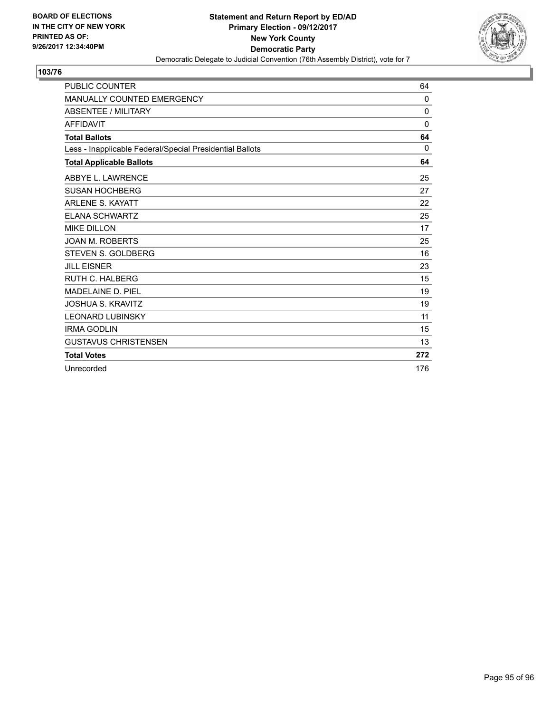

| <b>PUBLIC COUNTER</b>                                    | 64           |
|----------------------------------------------------------|--------------|
| <b>MANUALLY COUNTED EMERGENCY</b>                        | $\mathbf{0}$ |
| <b>ABSENTEE / MILITARY</b>                               | 0            |
| <b>AFFIDAVIT</b>                                         | $\Omega$     |
| <b>Total Ballots</b>                                     | 64           |
| Less - Inapplicable Federal/Special Presidential Ballots | $\Omega$     |
| <b>Total Applicable Ballots</b>                          | 64           |
| ABBYE L. LAWRENCE                                        | 25           |
| <b>SUSAN HOCHBERG</b>                                    | 27           |
| <b>ARLENE S. KAYATT</b>                                  | 22           |
| <b>ELANA SCHWARTZ</b>                                    | 25           |
| <b>MIKE DILLON</b>                                       | 17           |
| <b>JOAN M. ROBERTS</b>                                   | 25           |
| <b>STEVEN S. GOLDBERG</b>                                | 16           |
| <b>JILL EISNER</b>                                       | 23           |
| <b>RUTH C. HALBERG</b>                                   | 15           |
| MADELAINE D. PIEL                                        | 19           |
| <b>JOSHUA S. KRAVITZ</b>                                 | 19           |
| <b>LEONARD LUBINSKY</b>                                  | 11           |
| <b>IRMA GODLIN</b>                                       | 15           |
| <b>GUSTAVUS CHRISTENSEN</b>                              | 13           |
| <b>Total Votes</b>                                       | 272          |
| Unrecorded                                               | 176          |